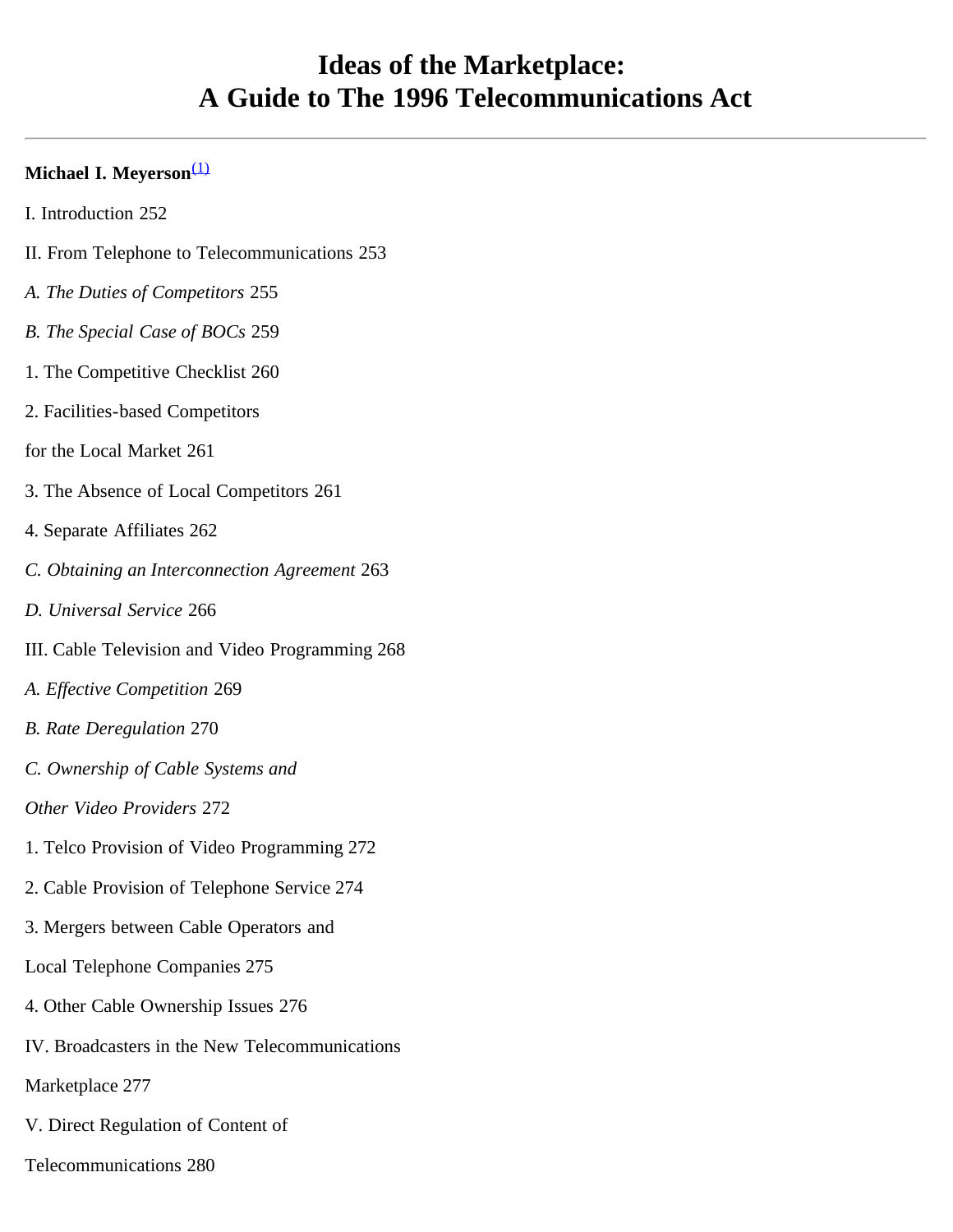# **Ideas of the Marketplace: A Guide to The 1996 Telecommunications Act**

#### **Michael I. Meyerson**[\(1\)](#page-17-0)

- I. Introduction 252
- II. From Telephone to Telecommunications 253
- *A. The Duties of Competitors* 255
- *B. The Special Case of BOCs* 259
- 1. The Competitive Checklist 260
- 2. Facilities-based Competitors
- for the Local Market 261
- 3. The Absence of Local Competitors 261
- 4. Separate Affiliates 262
- *C. Obtaining an Interconnection Agreement* 263
- *D. Universal Service* 266
- III. Cable Television and Video Programming 268
- *A. Effective Competition* 269
- *B. Rate Deregulation* 270
- *C. Ownership of Cable Systems and*
- *Other Video Providers* 272
- 1. Telco Provision of Video Programming 272
- 2. Cable Provision of Telephone Service 274
- 3. Mergers between Cable Operators and
- Local Telephone Companies 275
- 4. Other Cable Ownership Issues 276
- IV. Broadcasters in the New Telecommunications
- Marketplace 277
- V. Direct Regulation of Content of
- Telecommunications 280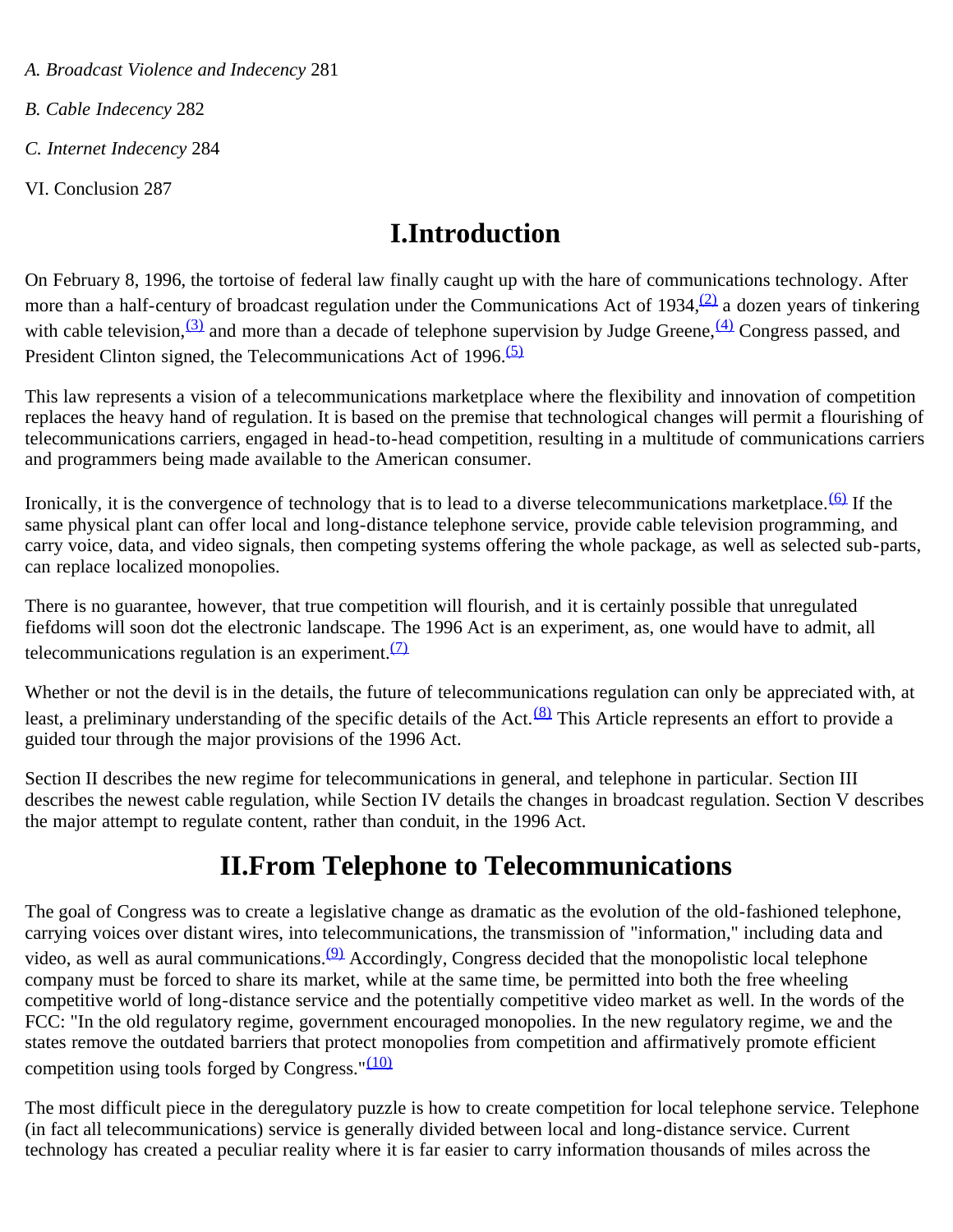*A. Broadcast Violence and Indecency* 281

*B. Cable Indecency* 282

*C. Internet Indecency* 284

VI. Conclusion 287

# **I.Introduction**

On February 8, 1996, the tortoise of federal law finally caught up with the hare of communications technology. After more than a half-century of broadcast regulation under the Communications Act of 1934, $(2)$  a dozen years of tinkering with cable television,  $(3)$  and more than a decade of telephone supervision by Judge Greene,  $(4)$  Congress passed, and President Clinton signed, the Telecommunications Act of 1996. $\overline{(5)}$  $\overline{(5)}$  $\overline{(5)}$ 

This law represents a vision of a telecommunications marketplace where the flexibility and innovation of competition replaces the heavy hand of regulation. It is based on the premise that technological changes will permit a flourishing of telecommunications carriers, engaged in head-to-head competition, resulting in a multitude of communications carriers and programmers being made available to the American consumer.

Ironically, it is the convergence of technology that is to lead to a diverse telecommunications marketplace.<sup>(6)</sup> If the same physical plant can offer local and long-distance telephone service, provide cable television programming, and carry voice, data, and video signals, then competing systems offering the whole package, as well as selected sub-parts, can replace localized monopolies.

There is no guarantee, however, that true competition will flourish, and it is certainly possible that unregulated fiefdoms will soon dot the electronic landscape. The 1996 Act is an experiment, as, one would have to admit, all telecommunications regulation is an experiment. $(7)$ 

Whether or not the devil is in the details, the future of telecommunications regulation can only be appreciated with, at least, a preliminary understanding of the specific details of the Act. $(8)$  This Article represents an effort to provide a guided tour through the major provisions of the 1996 Act.

Section II describes the new regime for telecommunications in general, and telephone in particular. Section III describes the newest cable regulation, while Section IV details the changes in broadcast regulation. Section V describes the major attempt to regulate content, rather than conduit, in the 1996 Act.

# **II.From Telephone to Telecommunications**

The goal of Congress was to create a legislative change as dramatic as the evolution of the old-fashioned telephone, carrying voices over distant wires, into telecommunications, the transmission of "information," including data and video, as well as aural communications.<sup>(9)</sup> Accordingly, Congress decided that the monopolistic local telephone company must be forced to share its market, while at the same time, be permitted into both the free wheeling competitive world of long-distance service and the potentially competitive video market as well. In the words of the FCC: "In the old regulatory regime, government encouraged monopolies. In the new regulatory regime, we and the states remove the outdated barriers that protect monopolies from competition and affirmatively promote efficient competition using tools forged by Congress." $(10)$ 

The most difficult piece in the deregulatory puzzle is how to create competition for local telephone service. Telephone (in fact all telecommunications) service is generally divided between local and long-distance service. Current technology has created a peculiar reality where it is far easier to carry information thousands of miles across the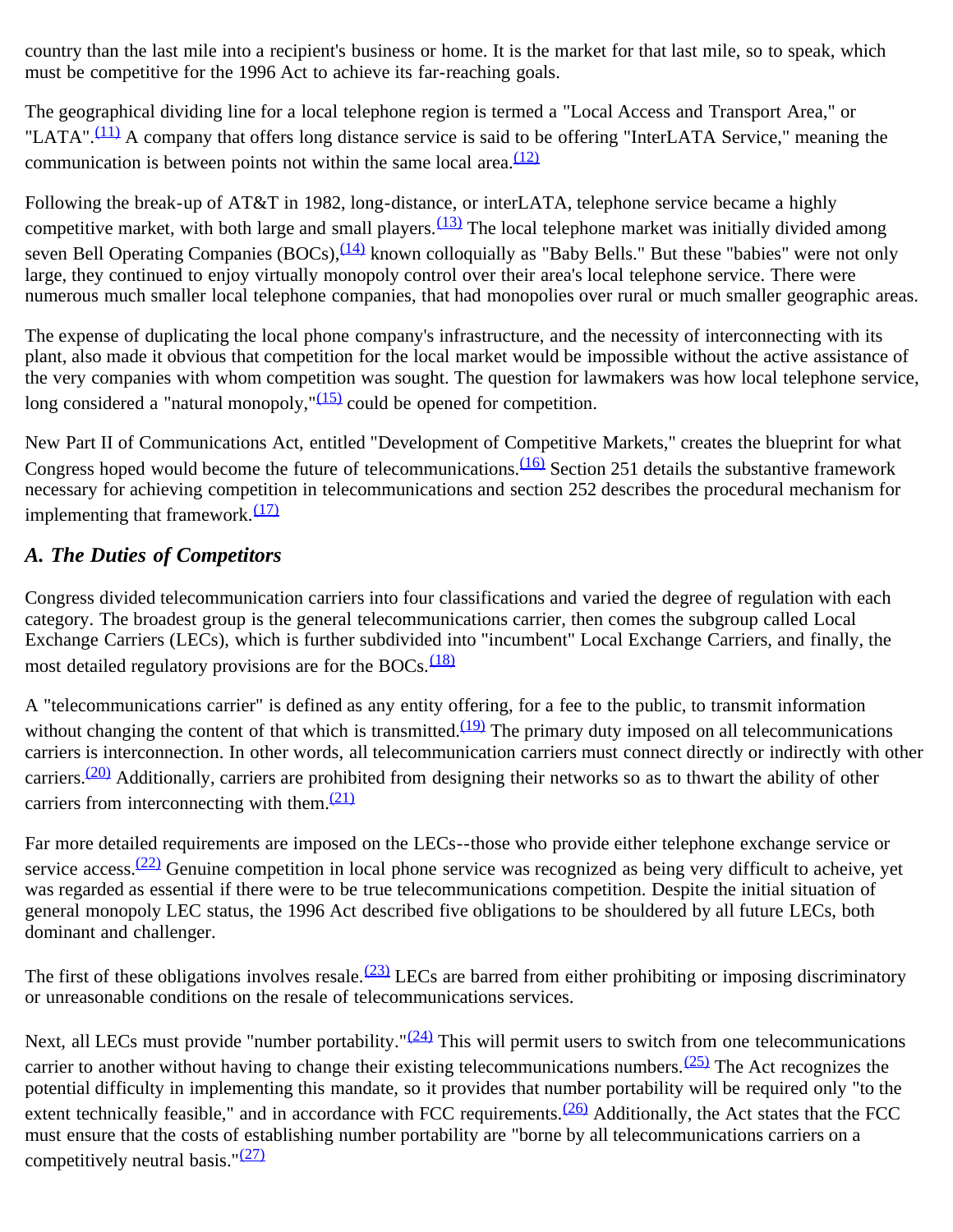country than the last mile into a recipient's business or home. It is the market for that last mile, so to speak, which must be competitive for the 1996 Act to achieve its far-reaching goals.

The geographical dividing line for a local telephone region is termed a "Local Access and Transport Area," or "LATA".<sup>(11)</sup> A company that offers long distance service is said to be offering "InterLATA Service," meaning the communication is between points not within the same local area. $\frac{(12)}{2}$  $\frac{(12)}{2}$  $\frac{(12)}{2}$ 

Following the break-up of AT&T in 1982, long-distance, or interLATA, telephone service became a highly competitive market, with both large and small players. $\frac{(13)}{12}$  The local telephone market was initially divided among seven Bell Operating Companies (BOCs),  $(14)$  known colloquially as "Baby Bells." But these "babies" were not only large, they continued to enjoy virtually monopoly control over their area's local telephone service. There were numerous much smaller local telephone companies, that had monopolies over rural or much smaller geographic areas.

The expense of duplicating the local phone company's infrastructure, and the necessity of interconnecting with its plant, also made it obvious that competition for the local market would be impossible without the active assistance of the very companies with whom competition was sought. The question for lawmakers was how local telephone service, long considered a "natural monopoly," $(15)$  could be opened for competition.

New Part II of Communications Act, entitled "Development of Competitive Markets," creates the blueprint for what Congress hoped would become the future of telecommunications.<sup>(16)</sup> Section 251 details the substantive framework necessary for achieving competition in telecommunications and section 252 describes the procedural mechanism for implementing that framework. $(17)$ 

## *A. The Duties of Competitors*

Congress divided telecommunication carriers into four classifications and varied the degree of regulation with each category. The broadest group is the general telecommunications carrier, then comes the subgroup called Local Exchange Carriers (LECs), which is further subdivided into "incumbent" Local Exchange Carriers, and finally, the most detailed regulatory provisions are for the BOCs. $\frac{(18)}{2}$  $\frac{(18)}{2}$  $\frac{(18)}{2}$ 

A "telecommunications carrier" is defined as any entity offering, for a fee to the public, to transmit information without changing the content of that which is transmitted.<sup>(19)</sup> The primary duty imposed on all telecommunications carriers is interconnection. In other words, all telecommunication carriers must connect directly or indirectly with other carriers.<sup>(20)</sup> Additionally, carriers are prohibited from designing their networks so as to thwart the ability of other carriers from interconnecting with them. $\frac{(21)}{2}$  $\frac{(21)}{2}$  $\frac{(21)}{2}$ 

Far more detailed requirements are imposed on the LECs--those who provide either telephone exchange service or service access.<sup>(22)</sup> Genuine competition in local phone service was recognized as being very difficult to acheive, yet was regarded as essential if there were to be true telecommunications competition. Despite the initial situation of general monopoly LEC status, the 1996 Act described five obligations to be shouldered by all future LECs, both dominant and challenger.

The first of these obligations involves resale.  $\frac{(23)}{(23)}$  LECs are barred from either prohibiting or imposing discriminatory or unreasonable conditions on the resale of telecommunications services.

Next, all LECs must provide "number portability." $(24)$  This will permit users to switch from one telecommunications carrier to another without having to change their existing telecommunications numbers.  $(25)$  The Act recognizes the potential difficulty in implementing this mandate, so it provides that number portability will be required only "to the extent technically feasible," and in accordance with FCC requirements. $(26)$  Additionally, the Act states that the FCC must ensure that the costs of establishing number portability are "borne by all telecommunications carriers on a competitively neutral basis." $(27)$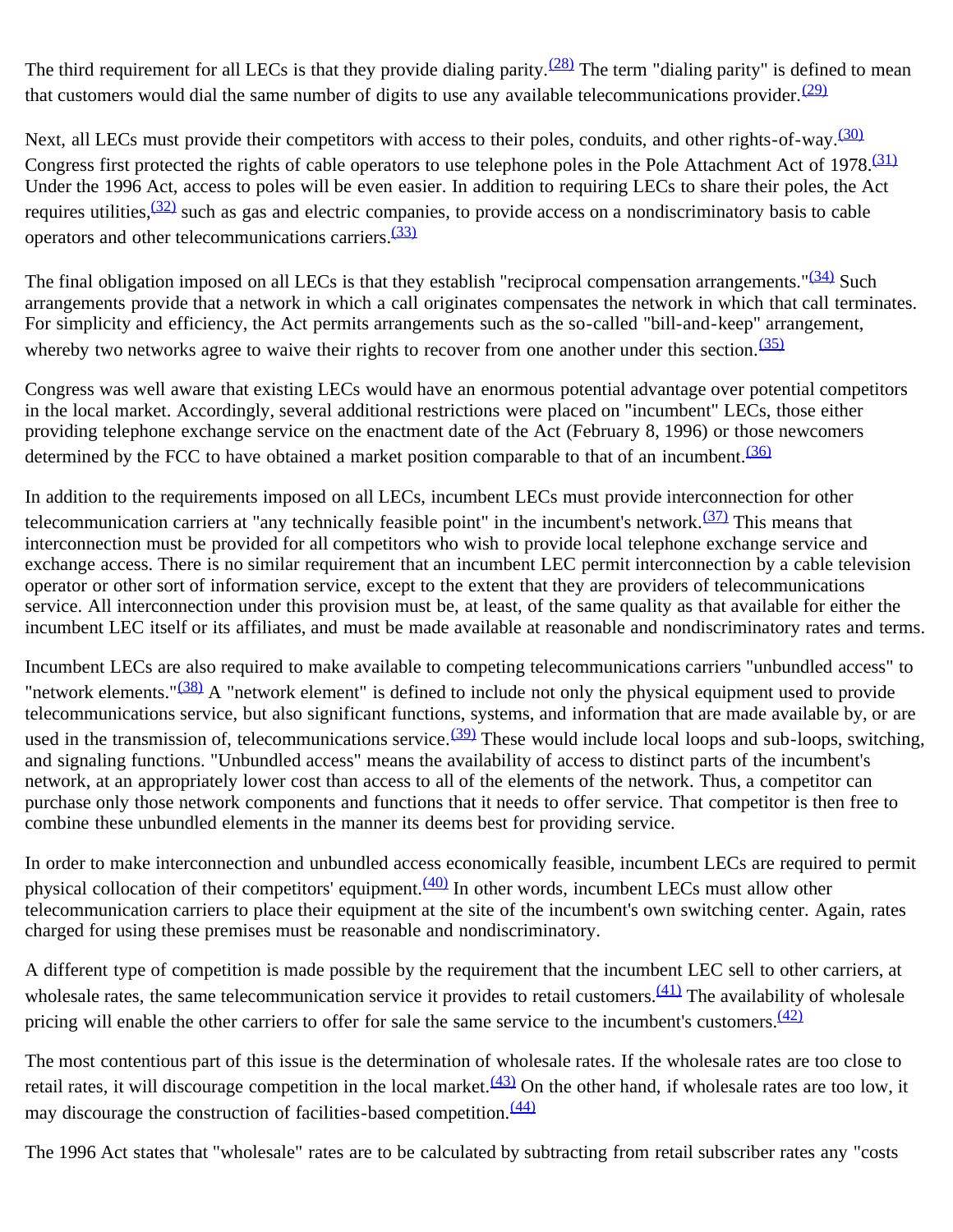The third requirement for all LECs is that they provide dialing parity.<sup> $(28)$ </sup> The term "dialing parity" is defined to mean that customers would dial the same number of digits to use any available telecommunications provider.  $(29)$ 

Next, all LECs must provide their competitors with access to their poles, conduits, and other rights-of-way.<sup>[\(30\)](#page-18-16)</sup> Congress first protected the rights of cable operators to use telephone poles in the Pole Attachment Act of 1978.<sup>[\(31\)](#page-18-17)</sup> Under the 1996 Act, access to poles will be even easier. In addition to requiring LECs to share their poles, the Act requires utilities,  $\frac{(32)}{2}$  such as gas and electric companies, to provide access on a nondiscriminatory basis to cable operators and other telecommunications carriers.[\(33\)](#page-18-19)

The final obligation imposed on all LECs is that they establish "reciprocal compensation arrangements." $(34)$  Such arrangements provide that a network in which a call originates compensates the network in which that call terminates. For simplicity and efficiency, the Act permits arrangements such as the so-called "bill-and-keep" arrangement, whereby two networks agree to waive their rights to recover from one another under this section.  $(35)$ 

Congress was well aware that existing LECs would have an enormous potential advantage over potential competitors in the local market. Accordingly, several additional restrictions were placed on "incumbent" LECs, those either providing telephone exchange service on the enactment date of the Act (February 8, 1996) or those newcomers determined by the FCC to have obtained a market position comparable to that of an incumbent.<sup>[\(36\)](#page-18-22)</sup>

In addition to the requirements imposed on all LECs, incumbent LECs must provide interconnection for other telecommunication carriers at "any technically feasible point" in the incumbent's network. $(37)$  This means that interconnection must be provided for all competitors who wish to provide local telephone exchange service and exchange access. There is no similar requirement that an incumbent LEC permit interconnection by a cable television operator or other sort of information service, except to the extent that they are providers of telecommunications service. All interconnection under this provision must be, at least, of the same quality as that available for either the incumbent LEC itself or its affiliates, and must be made available at reasonable and nondiscriminatory rates and terms.

Incumbent LECs are also required to make available to competing telecommunications carriers "unbundled access" to "network elements."<sup>(38)</sup> A "network element" is defined to include not only the physical equipment used to provide telecommunications service, but also significant functions, systems, and information that are made available by, or are used in the transmission of, telecommunications service. $(39)$  These would include local loops and sub-loops, switching, and signaling functions. "Unbundled access" means the availability of access to distinct parts of the incumbent's network, at an appropriately lower cost than access to all of the elements of the network. Thus, a competitor can purchase only those network components and functions that it needs to offer service. That competitor is then free to combine these unbundled elements in the manner its deems best for providing service.

In order to make interconnection and unbundled access economically feasible, incumbent LECs are required to permit physical collocation of their competitors' equipment. $(40)$  In other words, incumbent LECs must allow other telecommunication carriers to place their equipment at the site of the incumbent's own switching center. Again, rates charged for using these premises must be reasonable and nondiscriminatory.

A different type of competition is made possible by the requirement that the incumbent LEC sell to other carriers, at wholesale rates, the same telecommunication service it provides to retail customers. $(41)$  The availability of wholesale pricing will enable the other carriers to offer for sale the same service to the incumbent's customers. $\frac{(42)}{2}$  $\frac{(42)}{2}$  $\frac{(42)}{2}$ 

The most contentious part of this issue is the determination of wholesale rates. If the wholesale rates are too close to retail rates, it will discourage competition in the local market. $\frac{(43)}{2}$  On the other hand, if wholesale rates are too low, it may discourage the construction of facilities-based competition.<sup>[\(44\)](#page-19-7)</sup>

The 1996 Act states that "wholesale" rates are to be calculated by subtracting from retail subscriber rates any "costs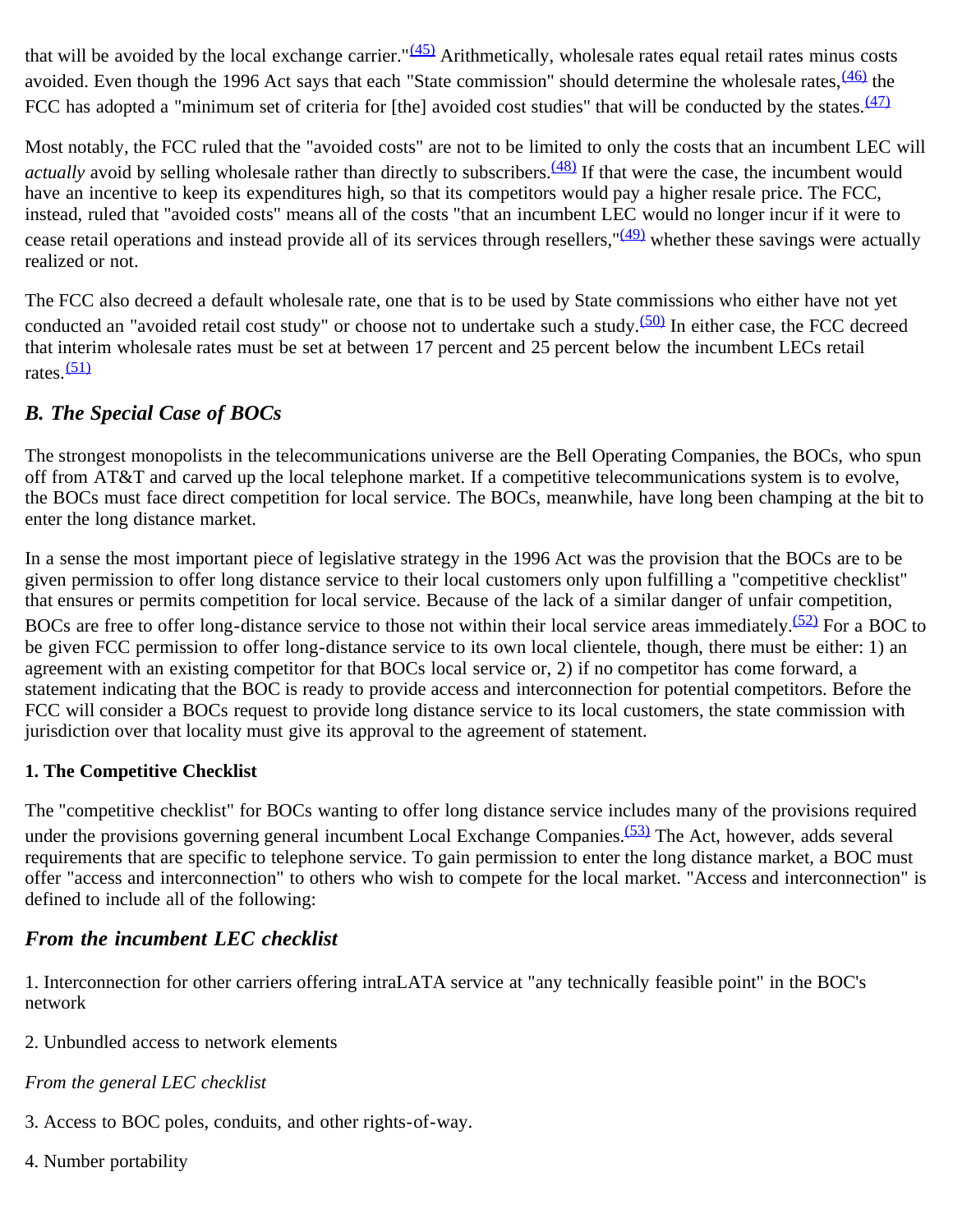that will be avoided by the local exchange carrier." $(45)$  Arithmetically, wholesale rates equal retail rates minus costs avoided. Even though the 1996 Act says that each "State commission" should determine the wholesale rates,  $\frac{(46)}{10}$  the FCC has adopted a "minimum set of criteria for [the] avoided cost studies" that will be conducted by the states.<sup>[\(47\)](#page-19-10)</sup>

Most notably, the FCC ruled that the "avoided costs" are not to be limited to only the costs that an incumbent LEC will *actually* avoid by selling wholesale rather than directly to subscribers.<sup>(48)</sup> If that were the case, the incumbent would have an incentive to keep its expenditures high, so that its competitors would pay a higher resale price. The FCC, instead, ruled that "avoided costs" means all of the costs "that an incumbent LEC would no longer incur if it were to cease retail operations and instead provide all of its services through resellers,  $\frac{(49)}{(49)}$  whether these savings were actually realized or not.

The FCC also decreed a default wholesale rate, one that is to be used by State commissions who either have not yet conducted an "avoided retail cost study" or choose not to undertake such a study. $(50)$  In either case, the FCC decreed that interim wholesale rates must be set at between 17 percent and 25 percent below the incumbent LECs retail rates $\frac{(51)}{2}$  $\frac{(51)}{2}$  $\frac{(51)}{2}$ 

## *B. The Special Case of BOCs*

The strongest monopolists in the telecommunications universe are the Bell Operating Companies, the BOCs, who spun off from AT&T and carved up the local telephone market. If a competitive telecommunications system is to evolve, the BOCs must face direct competition for local service. The BOCs, meanwhile, have long been champing at the bit to enter the long distance market.

In a sense the most important piece of legislative strategy in the 1996 Act was the provision that the BOCs are to be given permission to offer long distance service to their local customers only upon fulfilling a "competitive checklist" that ensures or permits competition for local service. Because of the lack of a similar danger of unfair competition, BOCs are free to offer long-distance service to those not within their local service areas immediately.<sup>(52)</sup> For a BOC to be given FCC permission to offer long-distance service to its own local clientele, though, there must be either: 1) an agreement with an existing competitor for that BOCs local service or, 2) if no competitor has come forward, a statement indicating that the BOC is ready to provide access and interconnection for potential competitors. Before the FCC will consider a BOCs request to provide long distance service to its local customers, the state commission with jurisdiction over that locality must give its approval to the agreement of statement.

### **1. The Competitive Checklist**

The "competitive checklist" for BOCs wanting to offer long distance service includes many of the provisions required under the provisions governing general incumbent Local Exchange Companies.<sup>(53)</sup> The Act, however, adds several requirements that are specific to telephone service. To gain permission to enter the long distance market, a BOC must offer "access and interconnection" to others who wish to compete for the local market. "Access and interconnection" is defined to include all of the following:

## *From the incumbent LEC checklist*

1. Interconnection for other carriers offering intraLATA service at "any technically feasible point" in the BOC's network

2. Unbundled access to network elements

*From the general LEC checklist*

- 3. Access to BOC poles, conduits, and other rights-of-way.
- 4. Number portability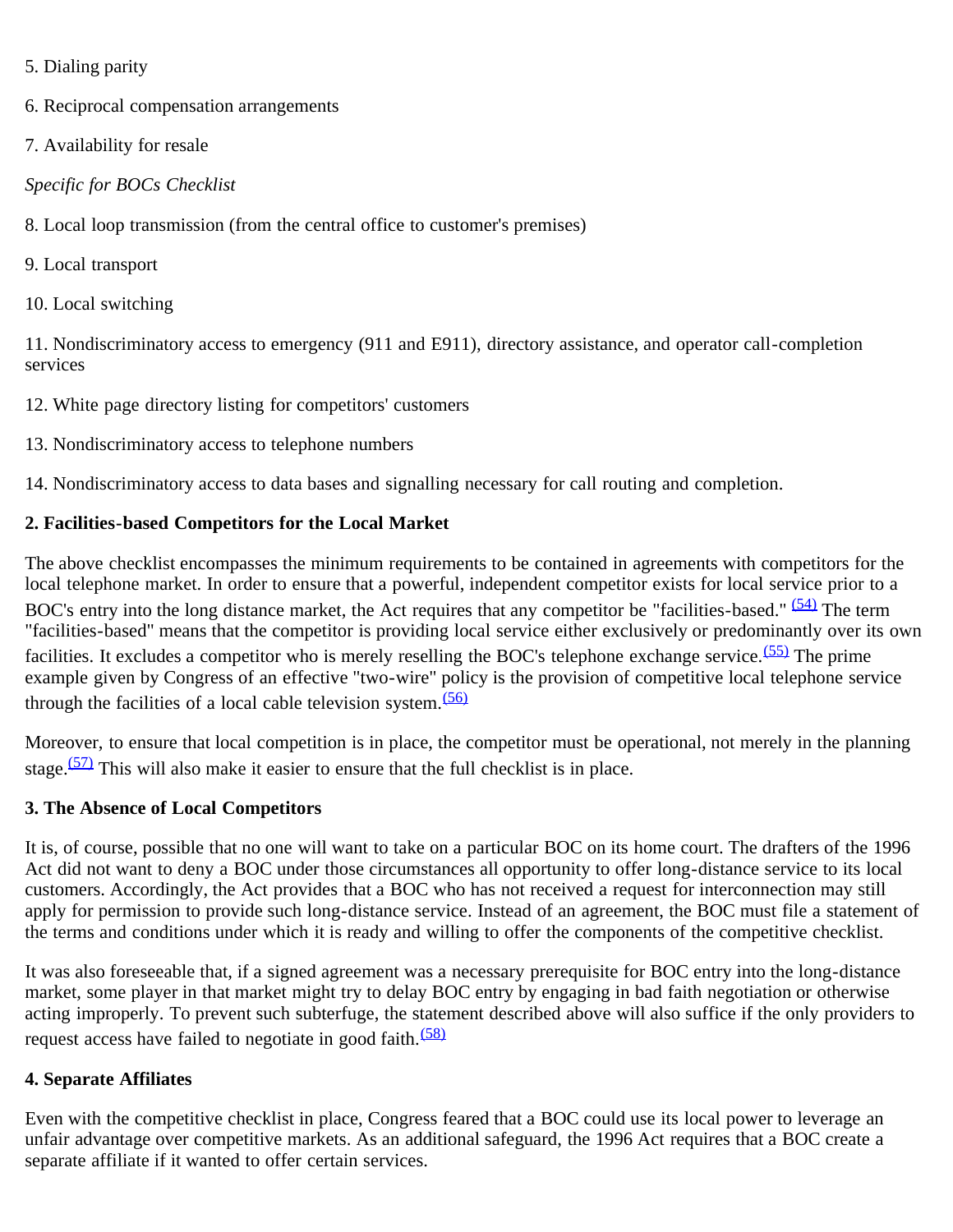- 5. Dialing parity
- 6. Reciprocal compensation arrangements
- 7. Availability for resale

#### *Specific for BOCs Checklist*

8. Local loop transmission (from the central office to customer's premises)

- 9. Local transport
- 10. Local switching

11. Nondiscriminatory access to emergency (911 and E911), directory assistance, and operator call-completion services

12. White page directory listing for competitors' customers

13. Nondiscriminatory access to telephone numbers

14. Nondiscriminatory access to data bases and signalling necessary for call routing and completion.

#### **2. Facilities-based Competitors for the Local Market**

The above checklist encompasses the minimum requirements to be contained in agreements with competitors for the local telephone market. In order to ensure that a powerful, independent competitor exists for local service prior to a BOC's entry into the long distance market, the Act requires that any competitor be "facilities-based." [\(54\)](#page-20-0) The term "facilities-based" means that the competitor is providing local service either exclusively or predominantly over its own facilities. It excludes a competitor who is merely reselling the BOC's telephone exchange service.<sup>(55)</sup> The prime example given by Congress of an effective "two-wire" policy is the provision of competitive local telephone service through the facilities of a local cable television system.  $(56)$ 

Moreover, to ensure that local competition is in place, the competitor must be operational, not merely in the planning stage.<sup> $(57)$ </sup> This will also make it easier to ensure that the full checklist is in place.

### **3. The Absence of Local Competitors**

It is, of course, possible that no one will want to take on a particular BOC on its home court. The drafters of the 1996 Act did not want to deny a BOC under those circumstances all opportunity to offer long-distance service to its local customers. Accordingly, the Act provides that a BOC who has not received a request for interconnection may still apply for permission to provide such long-distance service. Instead of an agreement, the BOC must file a statement of the terms and conditions under which it is ready and willing to offer the components of the competitive checklist.

It was also foreseeable that, if a signed agreement was a necessary prerequisite for BOC entry into the long-distance market, some player in that market might try to delay BOC entry by engaging in bad faith negotiation or otherwise acting improperly. To prevent such subterfuge, the statement described above will also suffice if the only providers to request access have failed to negotiate in good faith.<sup>[\(58\)](#page-20-4)</sup>

### **4. Separate Affiliates**

Even with the competitive checklist in place, Congress feared that a BOC could use its local power to leverage an unfair advantage over competitive markets. As an additional safeguard, the 1996 Act requires that a BOC create a separate affiliate if it wanted to offer certain services.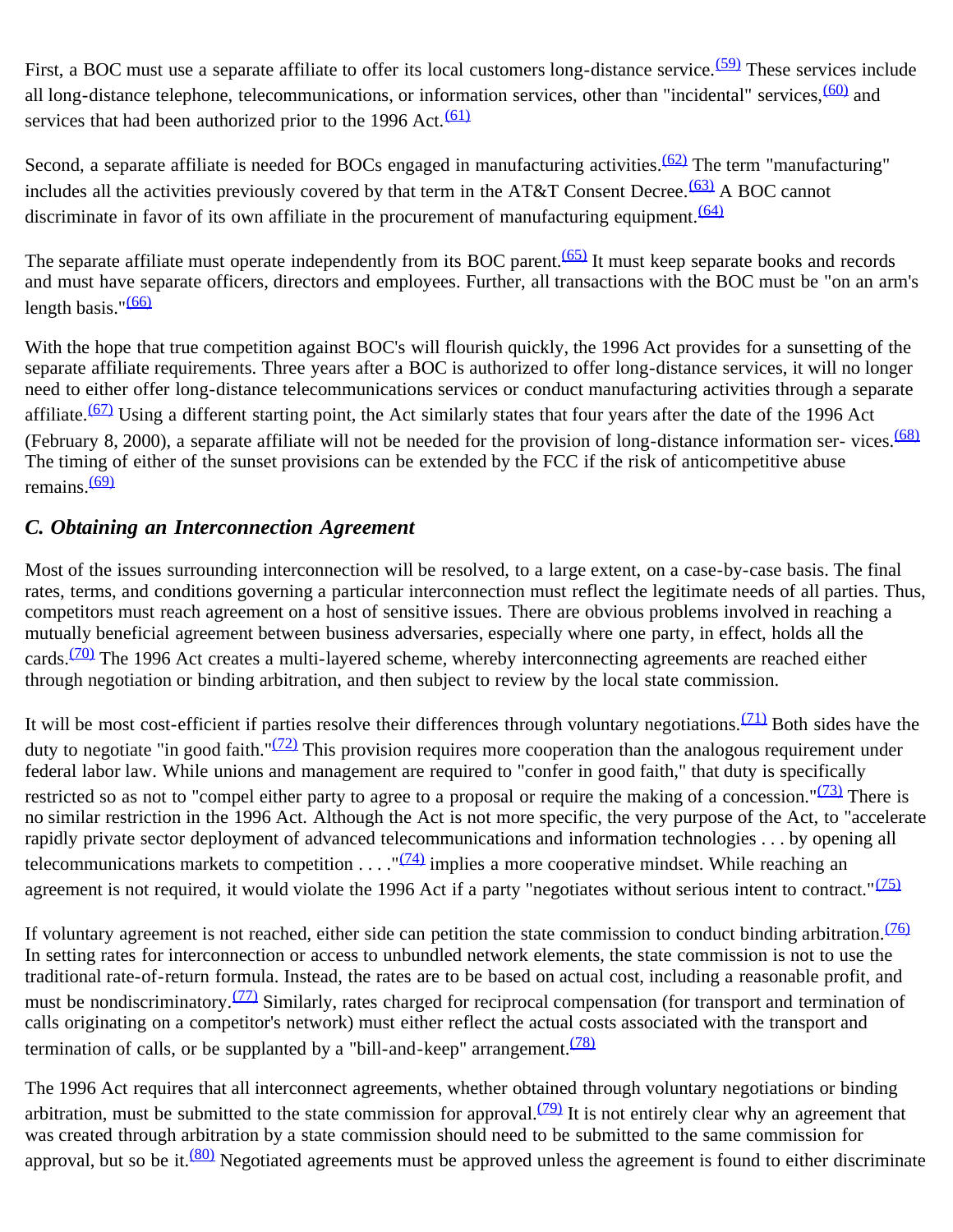First, a BOC must use a separate affiliate to offer its local customers long-distance service.<sup>(59)</sup> These services include all long-distance telephone, telecommunications, or information services, other than "incidental" services, [\(60\)](#page-20-6) and services that had been authorized prior to the 1996 Act. $(61)$ 

Second, a separate affiliate is needed for BOCs engaged in manufacturing activities.<sup>(62)</sup> The term "manufacturing" includes all the activities previously covered by that term in the AT&T Consent Decree.<sup>(63)</sup> A BOC cannot discriminate in favor of its own affiliate in the procurement of manufacturing equipment.  $(64)$ 

The separate affiliate must operate independently from its BOC parent.<sup>(65)</sup> It must keep separate books and records and must have separate officers, directors and employees. Further, all transactions with the BOC must be "on an arm's length basis." $(66)$ 

With the hope that true competition against BOC's will flourish quickly, the 1996 Act provides for a sunsetting of the separate affiliate requirements. Three years after a BOC is authorized to offer long-distance services, it will no longer need to either offer long-distance telecommunications services or conduct manufacturing activities through a separate affiliate. $(67)$  Using a different starting point, the Act similarly states that four years after the date of the 1996 Act (February 8, 2000), a separate affiliate will not be needed for the provision of long-distance information ser-vices. $\frac{(68)}{2}$  $\frac{(68)}{2}$  $\frac{(68)}{2}$ The timing of either of the sunset provisions can be extended by the FCC if the risk of anticompetitive abuse remains. $(69)$ 

## *C. Obtaining an Interconnection Agreement*

Most of the issues surrounding interconnection will be resolved, to a large extent, on a case-by-case basis. The final rates, terms, and conditions governing a particular interconnection must reflect the legitimate needs of all parties. Thus, competitors must reach agreement on a host of sensitive issues. There are obvious problems involved in reaching a mutually beneficial agreement between business adversaries, especially where one party, in effect, holds all the cards.<sup>(70)</sup> The 1996 Act creates a multi-layered scheme, whereby interconnecting agreements are reached either through negotiation or binding arbitration, and then subject to review by the local state commission.

It will be most cost-efficient if parties resolve their differences through voluntary negotiations. $(71)$  Both sides have the duty to negotiate "in good faith." $(72)$  This provision requires more cooperation than the analogous requirement under federal labor law. While unions and management are required to "confer in good faith," that duty is specifically restricted so as not to "compel either party to agree to a proposal or require the making of a concession." $(73)$  There is no similar restriction in the 1996 Act. Although the Act is not more specific, the very purpose of the Act, to "accelerate rapidly private sector deployment of advanced telecommunications and information technologies . . . by opening all telecommunications markets to competition  $\dots$ . " $(74)$  implies a more cooperative mindset. While reaching an agreement is not required, it would violate the 1996 Act if a party "negotiates without serious intent to contract." $(75)$ 

If voluntary agreement is not reached, either side can petition the state commission to conduct binding arbitration.<sup>[\(76\)](#page-21-3)</sup> In setting rates for interconnection or access to unbundled network elements, the state commission is not to use the traditional rate-of-return formula. Instead, the rates are to be based on actual cost, including a reasonable profit, and must be nondiscriminatory.<sup>(77)</sup> Similarly, rates charged for reciprocal compensation (for transport and termination of calls originating on a competitor's network) must either reflect the actual costs associated with the transport and termination of calls, or be supplanted by a "bill-and-keep" arrangement.  $(78)$ 

The 1996 Act requires that all interconnect agreements, whether obtained through voluntary negotiations or binding arbitration, must be submitted to the state commission for approval.<sup>(79)</sup> It is not entirely clear why an agreement that was created through arbitration by a state commission should need to be submitted to the same commission for approval, but so be it.<sup>(80)</sup> Negotiated agreements must be approved unless the agreement is found to either discriminate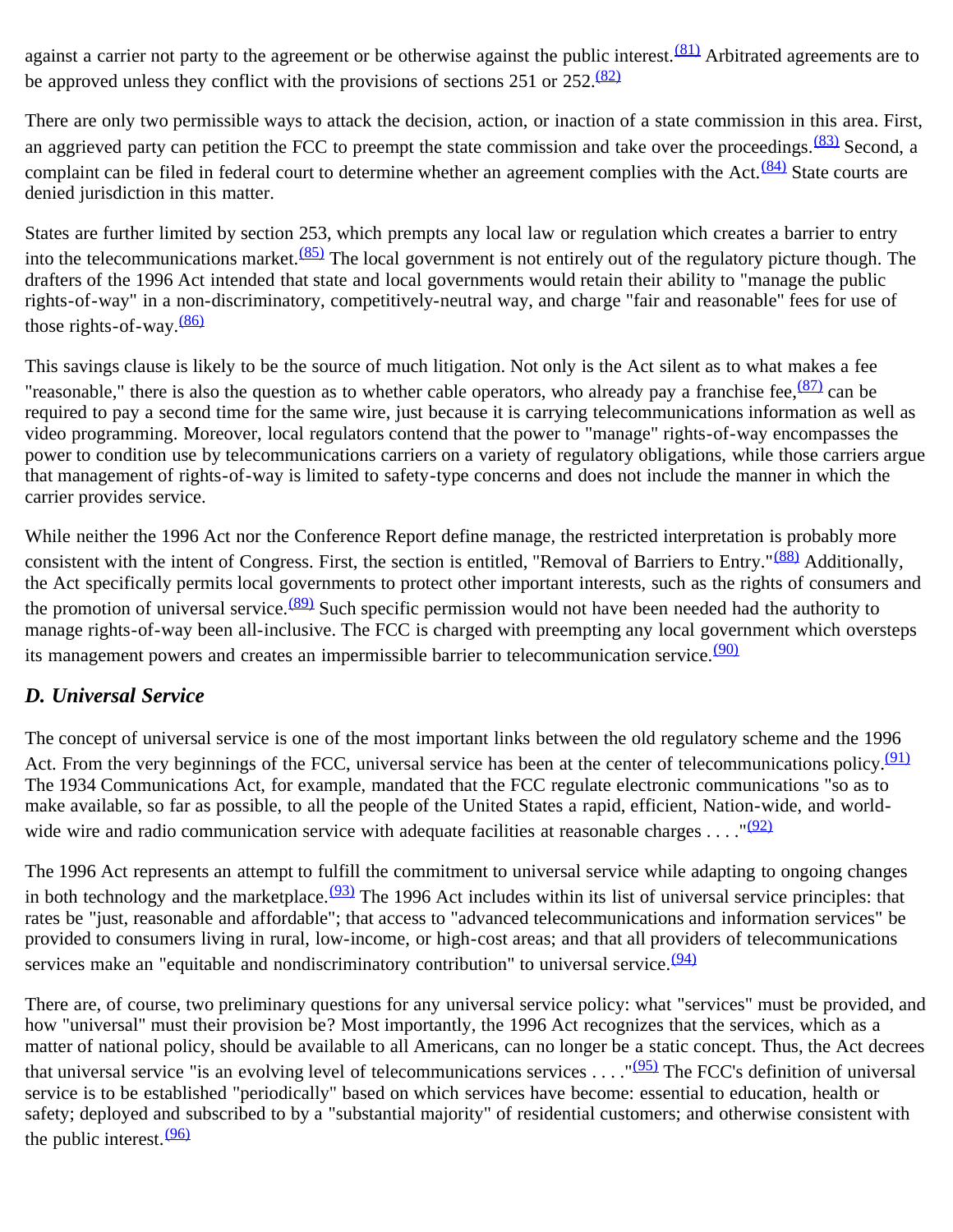against a carrier not party to the agreement or be otherwise against the public interest.<sup>(81)</sup> Arbitrated agreements are to be approved unless they conflict with the provisions of sections  $251$  or  $252 \cdot \frac{(82)}{25}$  $252 \cdot \frac{(82)}{25}$  $252 \cdot \frac{(82)}{25}$ 

There are only two permissible ways to attack the decision, action, or inaction of a state commission in this area. First, an aggrieved party can petition the FCC to preempt the state commission and take over the proceedings.  $\frac{(83)}{83}$  Second, a complaint can be filed in federal court to determine whether an agreement complies with the Act.<sup>(84)</sup> State courts are denied jurisdiction in this matter.

States are further limited by section 253, which prempts any local law or regulation which creates a barrier to entry into the telecommunications market.  $(85)$  The local government is not entirely out of the regulatory picture though. The drafters of the 1996 Act intended that state and local governments would retain their ability to "manage the public rights-of-way" in a non-discriminatory, competitively-neutral way, and charge "fair and reasonable" fees for use of those rights-of-way. $\frac{(86)}{6}$  $\frac{(86)}{6}$  $\frac{(86)}{6}$ 

This savings clause is likely to be the source of much litigation. Not only is the Act silent as to what makes a fee "reasonable," there is also the question as to whether cable operators, who already pay a franchise fee,  $\frac{(87)}{2}$  can be required to pay a second time for the same wire, just because it is carrying telecommunications information as well as video programming. Moreover, local regulators contend that the power to "manage" rights-of-way encompasses the power to condition use by telecommunications carriers on a variety of regulatory obligations, while those carriers argue that management of rights-of-way is limited to safety-type concerns and does not include the manner in which the carrier provides service.

While neither the 1996 Act nor the Conference Report define manage, the restricted interpretation is probably more consistent with the intent of Congress. First, the section is entitled, "Removal of Barriers to Entry."<sup>(88)</sup> Additionally, the Act specifically permits local governments to protect other important interests, such as the rights of consumers and the promotion of universal service.<sup>(89)</sup> Such specific permission would not have been needed had the authority to manage rights-of-way been all-inclusive. The FCC is charged with preempting any local government which oversteps its management powers and creates an impermissible barrier to telecommunication service.<sup>[\(90\)](#page-21-17)</sup>

## *D. Universal Service*

The concept of universal service is one of the most important links between the old regulatory scheme and the 1996 Act. From the very beginnings of the FCC, universal service has been at the center of telecommunications policy.<sup>[\(91\)](#page-22-0)</sup> The 1934 Communications Act, for example, mandated that the FCC regulate electronic communications "so as to make available, so far as possible, to all the people of the United States a rapid, efficient, Nation-wide, and worldwide wire and radio communication service with adequate facilities at reasonable charges . . . . " $(92)$ 

The 1996 Act represents an attempt to fulfill the commitment to universal service while adapting to ongoing changes in both technology and the marketplace. $(93)$  The 1996 Act includes within its list of universal service principles: that rates be "just, reasonable and affordable"; that access to "advanced telecommunications and information services" be provided to consumers living in rural, low-income, or high-cost areas; and that all providers of telecommunications services make an "equitable and nondiscriminatory contribution" to universal service.  $(94)$ 

There are, of course, two preliminary questions for any universal service policy: what "services" must be provided, and how "universal" must their provision be? Most importantly, the 1996 Act recognizes that the services, which as a matter of national policy, should be available to all Americans, can no longer be a static concept. Thus, the Act decrees that universal service "is an evolving level of telecommunications services . . . . " $(95)$  The FCC's definition of universal service is to be established "periodically" based on which services have become: essential to education, health or safety; deployed and subscribed to by a "substantial majority" of residential customers; and otherwise consistent with the public interest.  $(96)$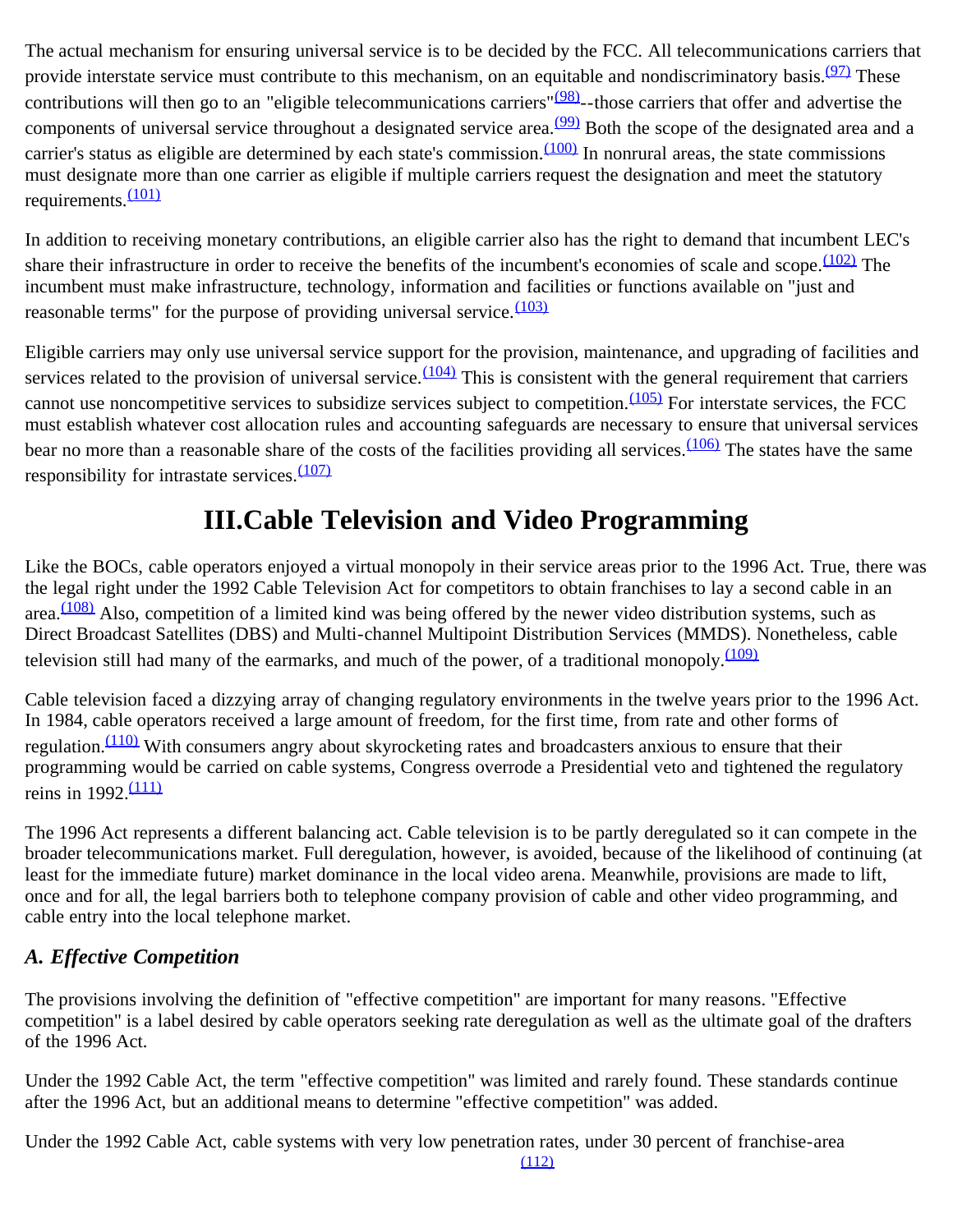The actual mechanism for ensuring universal service is to be decided by the FCC. All telecommunications carriers that provide interstate service must contribute to this mechanism, on an equitable and nondiscriminatory basis.<sup>(97)</sup> These contributions will then go to an "eligible telecommunications carriers" $(98)$ --those carriers that offer and advertise the components of universal service throughout a designated service area.<sup>(99)</sup> Both the scope of the designated area and a carrier's status as eligible are determined by each state's commission. $(100)$  In nonrural areas, the state commissions must designate more than one carrier as eligible if multiple carriers request the designation and meet the statutory requirements.<sup>[\(101\)](#page-22-10)</sup>

In addition to receiving monetary contributions, an eligible carrier also has the right to demand that incumbent LEC's share their infrastructure in order to receive the benefits of the incumbent's economies of scale and scope.  $(102)$  The incumbent must make infrastructure, technology, information and facilities or functions available on "just and reasonable terms" for the purpose of providing universal service. $\frac{(103)}{2}$  $\frac{(103)}{2}$  $\frac{(103)}{2}$ 

Eligible carriers may only use universal service support for the provision, maintenance, and upgrading of facilities and services related to the provision of universal service. $\frac{(104)}{104}$  This is consistent with the general requirement that carriers cannot use noncompetitive services to subsidize services subject to competition. $(105)$  For interstate services, the FCC must establish whatever cost allocation rules and accounting safeguards are necessary to ensure that universal services bear no more than a reasonable share of the costs of the facilities providing all services.  $(106)$  The states have the same responsibility for intrastate services. $\frac{(107)}{2}$  $\frac{(107)}{2}$  $\frac{(107)}{2}$ 

# **III.Cable Television and Video Programming**

Like the BOCs, cable operators enjoyed a virtual monopoly in their service areas prior to the 1996 Act. True, there was the legal right under the 1992 Cable Television Act for competitors to obtain franchises to lay a second cable in an area. $\frac{(108)}{2}$  $\frac{(108)}{2}$  $\frac{(108)}{2}$  Also, competition of a limited kind was being offered by the newer video distribution systems, such as Direct Broadcast Satellites (DBS) and Multi-channel Multipoint Distribution Services (MMDS). Nonetheless, cable television still had many of the earmarks, and much of the power, of a traditional monopoly. $\frac{(109)}{(109)}$  $\frac{(109)}{(109)}$  $\frac{(109)}{(109)}$ 

Cable television faced a dizzying array of changing regulatory environments in the twelve years prior to the 1996 Act. In 1984, cable operators received a large amount of freedom, for the first time, from rate and other forms of regulation.<sup>(110)</sup> With consumers angry about skyrocketing rates and broadcasters anxious to ensure that their programming would be carried on cable systems, Congress overrode a Presidential veto and tightened the regulatory reins in  $1992 \frac{(111)}{2}$  $1992 \frac{(111)}{2}$  $1992 \frac{(111)}{2}$ 

The 1996 Act represents a different balancing act. Cable television is to be partly deregulated so it can compete in the broader telecommunications market. Full deregulation, however, is avoided, because of the likelihood of continuing (at least for the immediate future) market dominance in the local video arena. Meanwhile, provisions are made to lift, once and for all, the legal barriers both to telephone company provision of cable and other video programming, and cable entry into the local telephone market.

## *A. Effective Competition*

The provisions involving the definition of "effective competition" are important for many reasons. "Effective competition" is a label desired by cable operators seeking rate deregulation as well as the ultimate goal of the drafters of the 1996 Act.

Under the 1992 Cable Act, the term "effective competition" was limited and rarely found. These standards continue after the 1996 Act, but an additional means to determine "effective competition" was added.

Under the 1992 Cable Act, cable systems with very low penetration rates, under 30 percent of franchise-area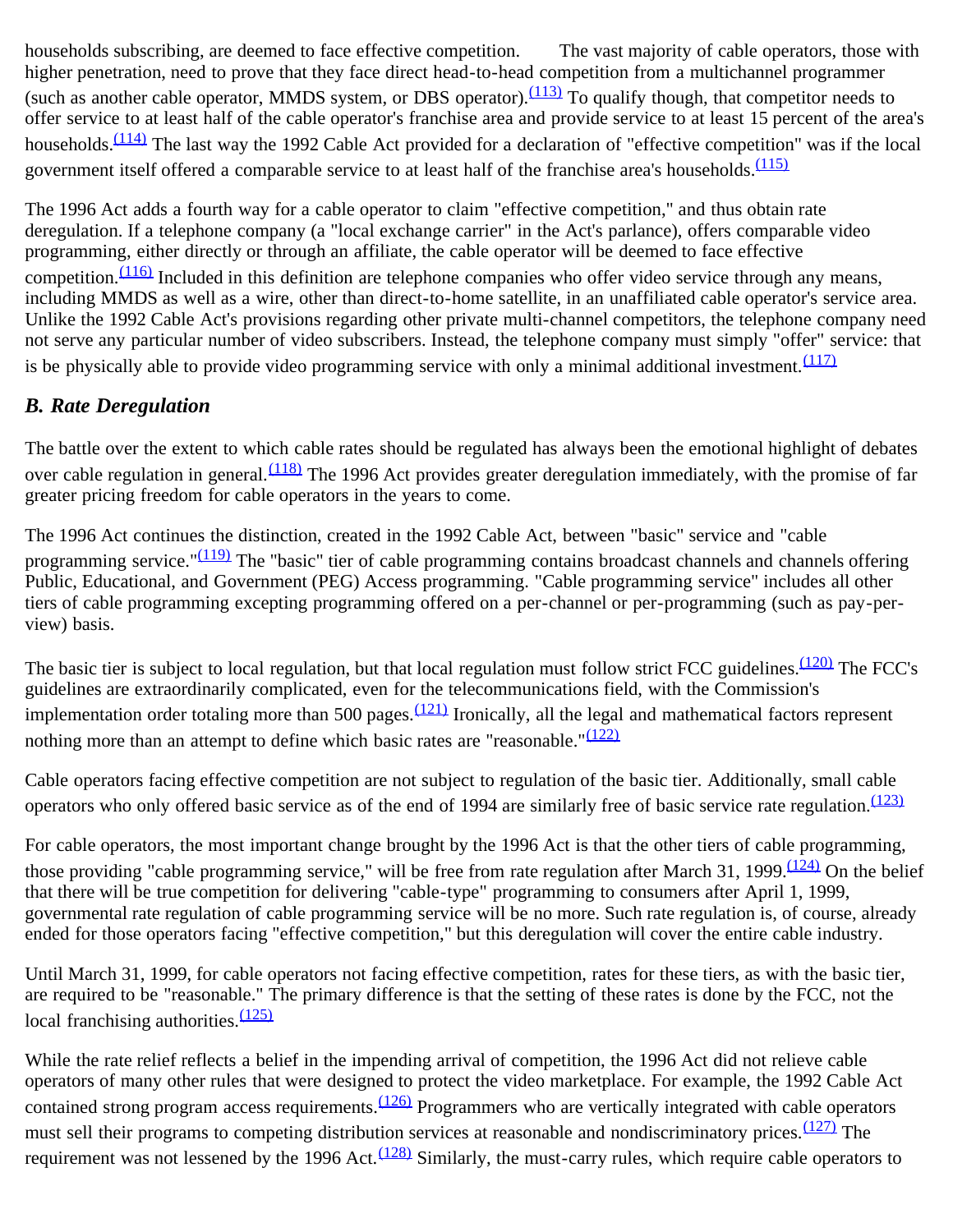households subscribing, are deemed to face effective competition. The vast majority of cable operators, those with higher penetration, need to prove that they face direct head-to-head competition from a multichannel programmer (such as another cable operator, MMDS system, or DBS operator). $\frac{(113)}{10}$  To qualify though, that competitor needs to offer service to at least half of the cable operator's franchise area and provide service to at least 15 percent of the area's households. $\frac{(114)}{114}$  The last way the 1992 Cable Act provided for a declaration of "effective competition" was if the local government itself offered a comparable service to at least half of the franchise area's households.<sup>[\(115\)](#page-23-3)</sup>

The 1996 Act adds a fourth way for a cable operator to claim "effective competition," and thus obtain rate deregulation. If a telephone company (a "local exchange carrier" in the Act's parlance), offers comparable video programming, either directly or through an affiliate, the cable operator will be deemed to face effective competition.  $(116)$  Included in this definition are telephone companies who offer video service through any means, including MMDS as well as a wire, other than direct-to-home satellite, in an unaffiliated cable operator's service area. Unlike the 1992 Cable Act's provisions regarding other private multi-channel competitors, the telephone company need not serve any particular number of video subscribers. Instead, the telephone company must simply "offer" service: that is be physically able to provide video programming service with only a minimal additional investment.  $(117)$ 

## *B. Rate Deregulation*

The battle over the extent to which cable rates should be regulated has always been the emotional highlight of debates over cable regulation in general.  $(118)$  The 1996 Act provides greater deregulation immediately, with the promise of far greater pricing freedom for cable operators in the years to come.

The 1996 Act continues the distinction, created in the 1992 Cable Act, between "basic" service and "cable programming service." $(119)$  The "basic" tier of cable programming contains broadcast channels and channels offering Public, Educational, and Government (PEG) Access programming. "Cable programming service" includes all other tiers of cable programming excepting programming offered on a per-channel or per-programming (such as pay-perview) basis.

The basic tier is subject to local regulation, but that local regulation must follow strict FCC guidelines.<sup>(120)</sup> The FCC's guidelines are extraordinarily complicated, even for the telecommunications field, with the Commission's implementation order totaling more than 500 pages. $\frac{(121)}{2}$  Ironically, all the legal and mathematical factors represent nothing more than an attempt to define which basic rates are "reasonable." $(122)$ 

Cable operators facing effective competition are not subject to regulation of the basic tier. Additionally, small cable operators who only offered basic service as of the end of 1994 are similarly free of basic service rate regulation.  $(123)$ 

For cable operators, the most important change brought by the 1996 Act is that the other tiers of cable programming, those providing "cable programming service," will be free from rate regulation after March 31, 1999. $\frac{(124)}{2}$  On the belief that there will be true competition for delivering "cable-type" programming to consumers after April 1, 1999, governmental rate regulation of cable programming service will be no more. Such rate regulation is, of course, already ended for those operators facing "effective competition," but this deregulation will cover the entire cable industry.

Until March 31, 1999, for cable operators not facing effective competition, rates for these tiers, as with the basic tier, are required to be "reasonable." The primary difference is that the setting of these rates is done by the FCC, not the local franchising authorities. $\frac{(125)}{2}$  $\frac{(125)}{2}$  $\frac{(125)}{2}$ 

While the rate relief reflects a belief in the impending arrival of competition, the 1996 Act did not relieve cable operators of many other rules that were designed to protect the video marketplace. For example, the 1992 Cable Act contained strong program access requirements.<sup>[\(126\)](#page-23-14)</sup> Programmers who are vertically integrated with cable operators must sell their programs to competing distribution services at reasonable and nondiscriminatory prices. [\(127\)](#page-23-15) The requirement was not lessened by the 1996 Act.<sup>[\(128\)](#page-23-16)</sup> Similarly, the must-carry rules, which require cable operators to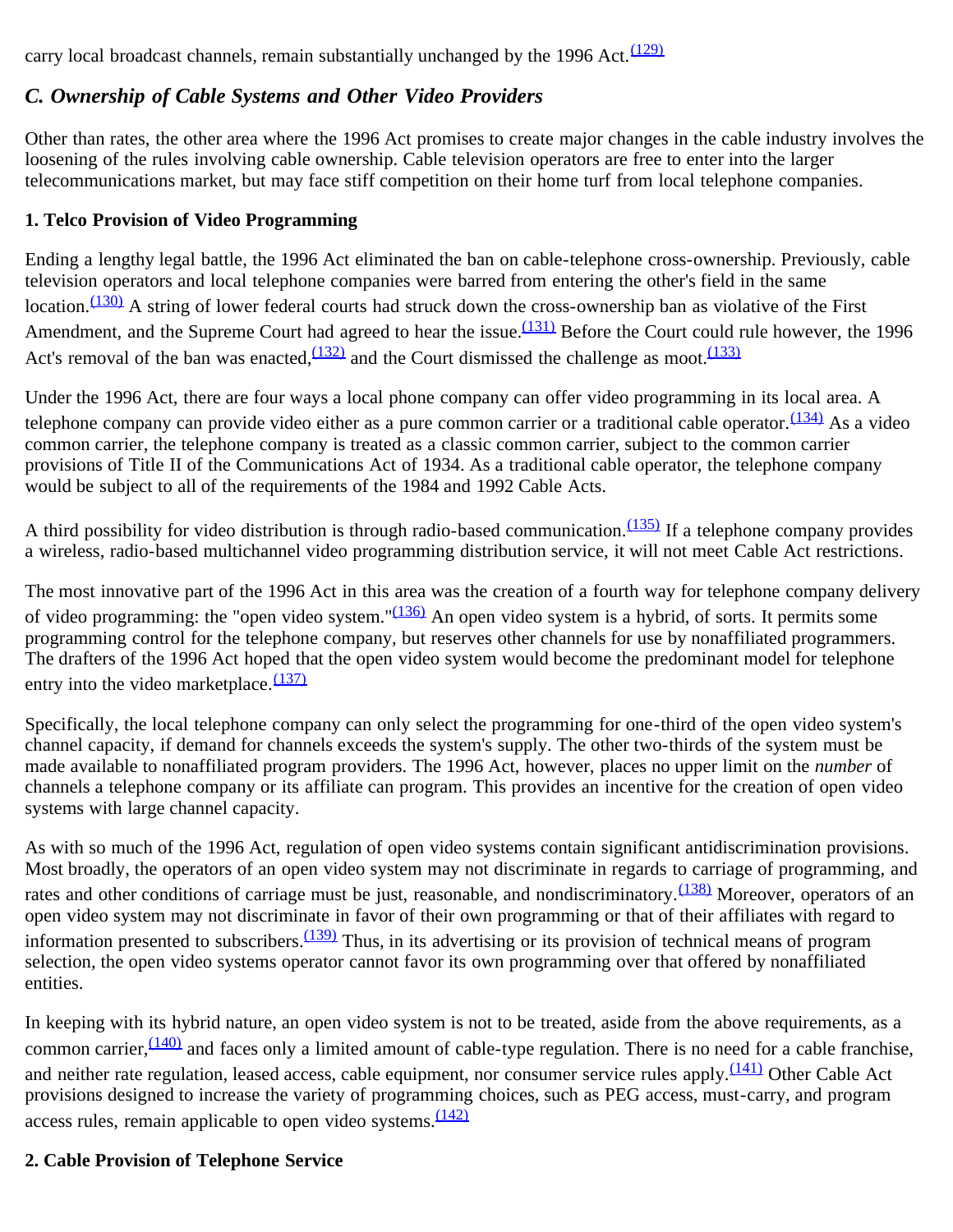carry local broadcast channels, remain substantially unchanged by the 1996 Act. $\frac{(129)}{2}$  $\frac{(129)}{2}$  $\frac{(129)}{2}$ 

## *C. Ownership of Cable Systems and Other Video Providers*

Other than rates, the other area where the 1996 Act promises to create major changes in the cable industry involves the loosening of the rules involving cable ownership. Cable television operators are free to enter into the larger telecommunications market, but may face stiff competition on their home turf from local telephone companies.

#### **1. Telco Provision of Video Programming**

Ending a lengthy legal battle, the 1996 Act eliminated the ban on cable-telephone cross-ownership. Previously, cable television operators and local telephone companies were barred from entering the other's field in the same location.<sup>(130)</sup> A string of lower federal courts had struck down the cross-ownership ban as violative of the First Amendment, and the Supreme Court had agreed to hear the issue.<sup>(131)</sup> Before the Court could rule however, the 1996 Act's removal of the ban was enacted,  $(132)$  and the Court dismissed the challenge as moot.  $(133)$ 

Under the 1996 Act, there are four ways a local phone company can offer video programming in its local area. A telephone company can provide video either as a pure common carrier or a traditional cable operator.  $(134)$  As a video common carrier, the telephone company is treated as a classic common carrier, subject to the common carrier provisions of Title II of the Communications Act of 1934. As a traditional cable operator, the telephone company would be subject to all of the requirements of the 1984 and 1992 Cable Acts.

A third possibility for video distribution is through radio-based communication. $(135)$  If a telephone company provides a wireless, radio-based multichannel video programming distribution service, it will not meet Cable Act restrictions.

The most innovative part of the 1996 Act in this area was the creation of a fourth way for telephone company delivery of video programming: the "open video system." $(136)$  An open video system is a hybrid, of sorts. It permits some programming control for the telephone company, but reserves other channels for use by nonaffiliated programmers. The drafters of the 1996 Act hoped that the open video system would become the predominant model for telephone entry into the video marketplace. $\frac{(137)}{2}$  $\frac{(137)}{2}$  $\frac{(137)}{2}$ 

Specifically, the local telephone company can only select the programming for one-third of the open video system's channel capacity, if demand for channels exceeds the system's supply. The other two-thirds of the system must be made available to nonaffiliated program providers. The 1996 Act, however, places no upper limit on the *number* of channels a telephone company or its affiliate can program. This provides an incentive for the creation of open video systems with large channel capacity.

As with so much of the 1996 Act, regulation of open video systems contain significant antidiscrimination provisions. Most broadly, the operators of an open video system may not discriminate in regards to carriage of programming, and rates and other conditions of carriage must be just, reasonable, and nondiscriminatory.<sup>(138)</sup> Moreover, operators of an open video system may not discriminate in favor of their own programming or that of their affiliates with regard to information presented to subscribers.  $(139)$  Thus, in its advertising or its provision of technical means of program selection, the open video systems operator cannot favor its own programming over that offered by nonaffiliated entities.

In keeping with its hybrid nature, an open video system is not to be treated, aside from the above requirements, as a common carrier,  $(140)$  and faces only a limited amount of cable-type regulation. There is no need for a cable franchise, and neither rate regulation, leased access, cable equipment, nor consumer service rules apply. $\frac{(141)}{(141)}$  Other Cable Act provisions designed to increase the variety of programming choices, such as PEG access, must-carry, and program access rules, remain applicable to open video systems. $\frac{(142)}{2}$  $\frac{(142)}{2}$  $\frac{(142)}{2}$ 

### **2. Cable Provision of Telephone Service**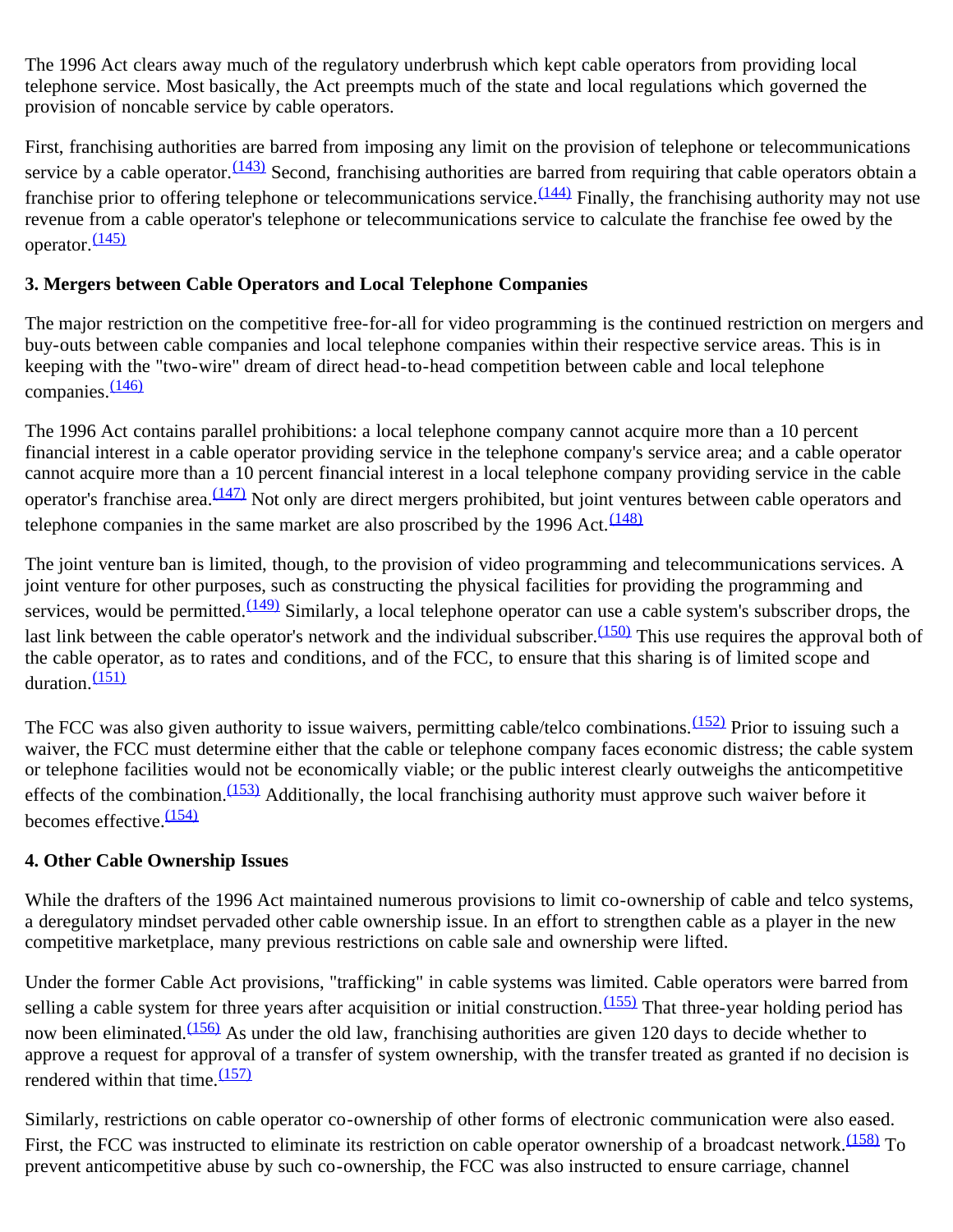The 1996 Act clears away much of the regulatory underbrush which kept cable operators from providing local telephone service. Most basically, the Act preempts much of the state and local regulations which governed the provision of noncable service by cable operators.

First, franchising authorities are barred from imposing any limit on the provision of telephone or telecommunications service by a cable operator.  $(143)$  Second, franchising authorities are barred from requiring that cable operators obtain a franchise prior to offering telephone or telecommunications service.  $(144)$  Finally, the franchising authority may not use revenue from a cable operator's telephone or telecommunications service to calculate the franchise fee owed by the operator.  $\frac{(145)}{2}$  $\frac{(145)}{2}$  $\frac{(145)}{2}$ 

#### **3. Mergers between Cable Operators and Local Telephone Companies**

The major restriction on the competitive free-for-all for video programming is the continued restriction on mergers and buy-outs between cable companies and local telephone companies within their respective service areas. This is in keeping with the "two-wire" dream of direct head-to-head competition between cable and local telephone companies.<sup>[\(146\)](#page-24-14)</sup>

The 1996 Act contains parallel prohibitions: a local telephone company cannot acquire more than a 10 percent financial interest in a cable operator providing service in the telephone company's service area; and a cable operator cannot acquire more than a 10 percent financial interest in a local telephone company providing service in the cable operator's franchise area. [\(147\)](#page-24-15) Not only are direct mergers prohibited, but joint ventures between cable operators and telephone companies in the same market are also proscribed by the 1996 Act.  $\frac{(148)}{2}$  $\frac{(148)}{2}$  $\frac{(148)}{2}$ 

The joint venture ban is limited, though, to the provision of video programming and telecommunications services. A joint venture for other purposes, such as constructing the physical facilities for providing the programming and services, would be permitted.  $(149)$  Similarly, a local telephone operator can use a cable system's subscriber drops, the last link between the cable operator's network and the individual subscriber. $\frac{(150)}{150}$  $\frac{(150)}{150}$  $\frac{(150)}{150}$  This use requires the approval both of the cable operator, as to rates and conditions, and of the FCC, to ensure that this sharing is of limited scope and duration.<sup>[\(151\)](#page-25-0)</sup>

The FCC was also given authority to issue waivers, permitting cable/telco combinations.<sup>(152)</sup> Prior to issuing such a waiver, the FCC must determine either that the cable or telephone company faces economic distress; the cable system or telephone facilities would not be economically viable; or the public interest clearly outweighs the anticompetitive effects of the combination.<sup>(153)</sup> Additionally, the local franchising authority must approve such waiver before it becomes effective.  $(154)$ 

### **4. Other Cable Ownership Issues**

While the drafters of the 1996 Act maintained numerous provisions to limit co-ownership of cable and telco systems, a deregulatory mindset pervaded other cable ownership issue. In an effort to strengthen cable as a player in the new competitive marketplace, many previous restrictions on cable sale and ownership were lifted.

Under the former Cable Act provisions, "trafficking" in cable systems was limited. Cable operators were barred from selling a cable system for three years after acquisition or initial construction.<sup>(155)</sup> That three-year holding period has now been eliminated.<sup>[\(156\)](#page-25-5)</sup> As under the old law, franchising authorities are given 120 days to decide whether to approve a request for approval of a transfer of system ownership, with the transfer treated as granted if no decision is rendered within that time.  $(157)$ 

Similarly, restrictions on cable operator co-ownership of other forms of electronic communication were also eased. First, the FCC was instructed to eliminate its restriction on cable operator ownership of a broadcast network.<sup>(158)</sup> To prevent anticompetitive abuse by such co-ownership, the FCC was also instructed to ensure carriage, channel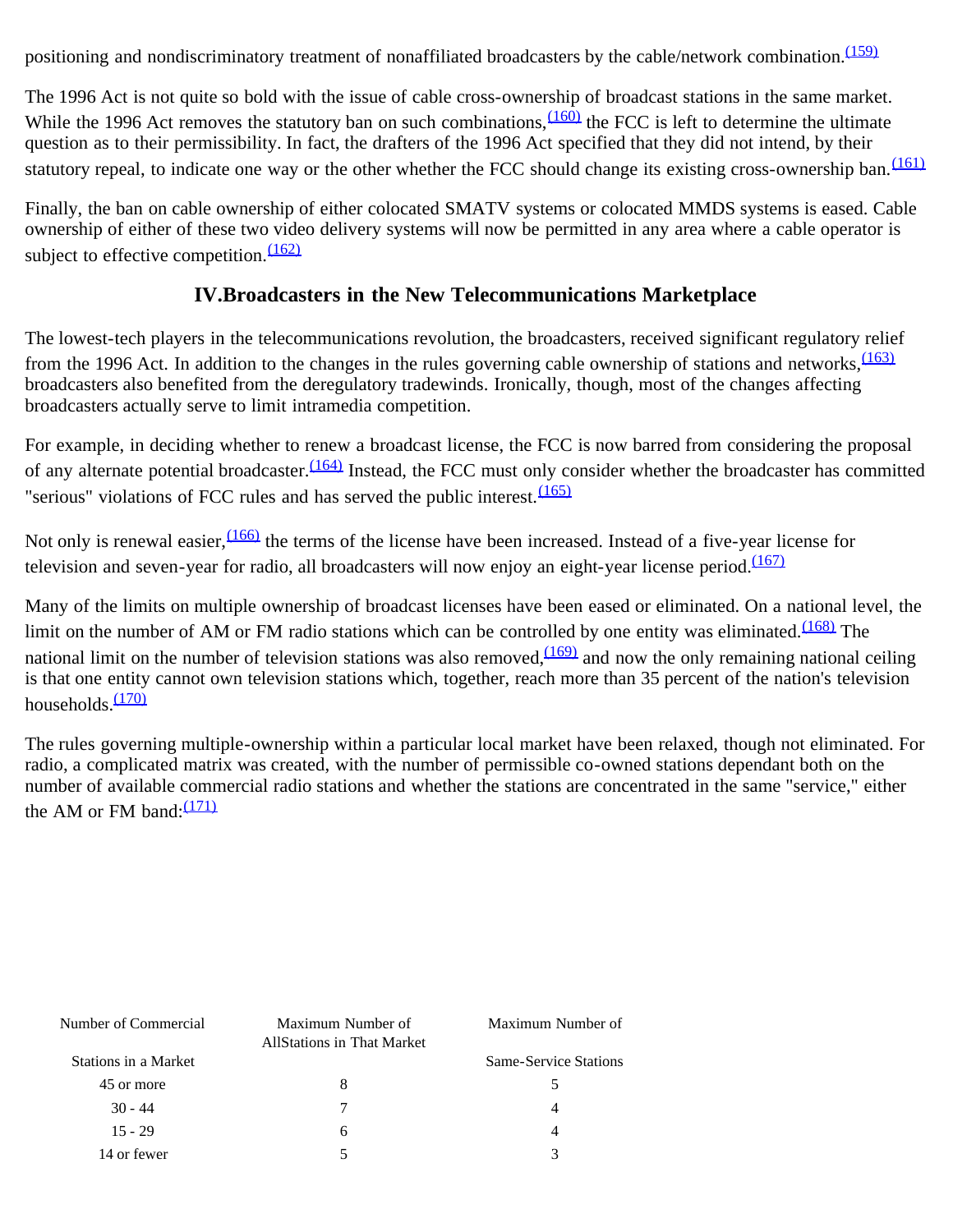positioning and nondiscriminatory treatment of nonaffiliated broadcasters by the cable/network combination.<sup>[\(159\)](#page-25-8)</sup>

The 1996 Act is not quite so bold with the issue of cable cross-ownership of broadcast stations in the same market. While the 1996 Act removes the statutory ban on such combinations,  $(160)$  the FCC is left to determine the ultimate question as to their permissibility. In fact, the drafters of the 1996 Act specified that they did not intend, by their statutory repeal, to indicate one way or the other whether the FCC should change its existing cross-ownership ban.<sup>[\(161\)](#page-25-10)</sup>

Finally, the ban on cable ownership of either colocated SMATV systems or colocated MMDS systems is eased. Cable ownership of either of these two video delivery systems will now be permitted in any area where a cable operator is subject to effective competition. $\frac{(162)}{2}$  $\frac{(162)}{2}$  $\frac{(162)}{2}$ 

### **IV.Broadcasters in the New Telecommunications Marketplace**

The lowest-tech players in the telecommunications revolution, the broadcasters, received significant regulatory relief from the 1996 Act. In addition to the changes in the rules governing cable ownership of stations and networks,  $\frac{(163)}{2}$  $\frac{(163)}{2}$  $\frac{(163)}{2}$ broadcasters also benefited from the deregulatory tradewinds. Ironically, though, most of the changes affecting broadcasters actually serve to limit intramedia competition.

For example, in deciding whether to renew a broadcast license, the FCC is now barred from considering the proposal of any alternate potential broadcaster.  $(164)$  Instead, the FCC must only consider whether the broadcaster has committed "serious" violations of FCC rules and has served the public interest. $\frac{(165)}{2}$  $\frac{(165)}{2}$  $\frac{(165)}{2}$ 

Not only is renewal easier,  $\frac{(166)}{166}$  the terms of the license have been increased. Instead of a five-year license for television and seven-year for radio, all broadcasters will now enjoy an eight-year license period. $\frac{(167)}{(167)}$  $\frac{(167)}{(167)}$  $\frac{(167)}{(167)}$ 

Many of the limits on multiple ownership of broadcast licenses have been eased or eliminated. On a national level, the limit on the number of AM or FM radio stations which can be controlled by one entity was eliminated. $\frac{(168)}{168}$  The national limit on the number of television stations was also removed,  $(169)$  and now the only remaining national ceiling is that one entity cannot own television stations which, together, reach more than 35 percent of the nation's television households. $(170)$ 

The rules governing multiple-ownership within a particular local market have been relaxed, though not eliminated. For radio, a complicated matrix was created, with the number of permissible co-owned stations dependant both on the number of available commercial radio stations and whether the stations are concentrated in the same "service," either the AM or FM band: $\frac{(171)}{2}$  $\frac{(171)}{2}$  $\frac{(171)}{2}$ 

| Number of Commercial | Maximum Number of<br><b>AllStations in That Market</b> | Maximum Number of            |
|----------------------|--------------------------------------------------------|------------------------------|
| Stations in a Market |                                                        | <b>Same-Service Stations</b> |
| 45 or more           | 8                                                      |                              |
| $30 - 44$            |                                                        |                              |
| $15 - 29$            | 6                                                      |                              |
| 14 or fewer          |                                                        |                              |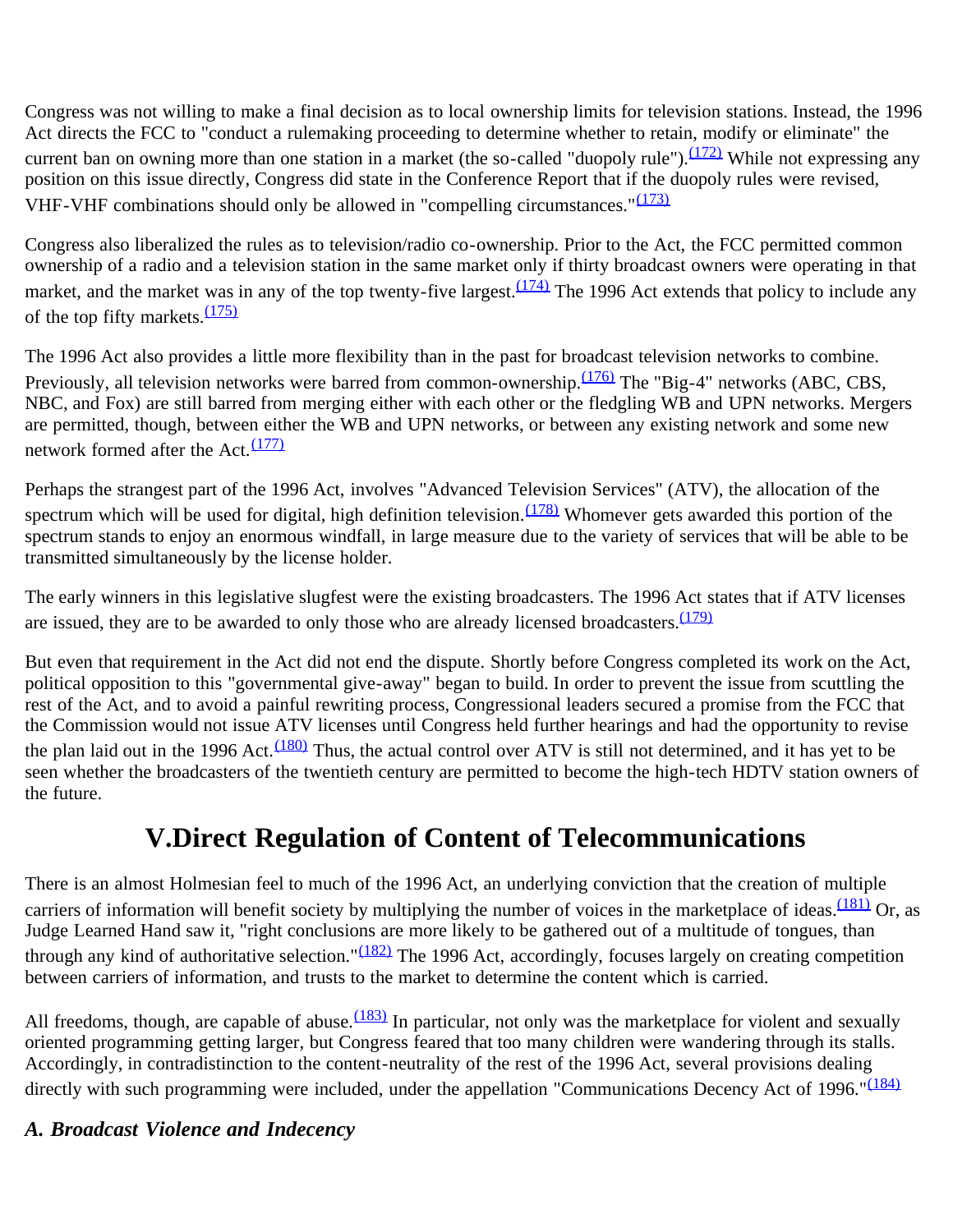Congress was not willing to make a final decision as to local ownership limits for television stations. Instead, the 1996 Act directs the FCC to "conduct a rulemaking proceeding to determine whether to retain, modify or eliminate" the current ban on owning more than one station in a market (the so-called "duopoly rule").<sup>(172)</sup> While not expressing any position on this issue directly, Congress did state in the Conference Report that if the duopoly rules were revised, VHF-VHF combinations should only be allowed in "compelling circumstances." $(173)$ 

Congress also liberalized the rules as to television/radio co-ownership. Prior to the Act, the FCC permitted common ownership of a radio and a television station in the same market only if thirty broadcast owners were operating in that market, and the market was in any of the top twenty-five largest.<sup>(174)</sup> The 1996 Act extends that policy to include any of the top fifty markets. $\frac{(175)}{2}$  $\frac{(175)}{2}$  $\frac{(175)}{2}$ 

The 1996 Act also provides a little more flexibility than in the past for broadcast television networks to combine. Previously, all television networks were barred from common-ownership.<sup>(176)</sup> The "Big-4" networks (ABC, CBS, NBC, and Fox) are still barred from merging either with each other or the fledgling WB and UPN networks. Mergers are permitted, though, between either the WB and UPN networks, or between any existing network and some new network formed after the Act.<sup>[\(177\)](#page-26-10)</sup>

Perhaps the strangest part of the 1996 Act, involves "Advanced Television Services" (ATV), the allocation of the spectrum which will be used for digital, high definition television.  $(178)$  Whomever gets awarded this portion of the spectrum stands to enjoy an enormous windfall, in large measure due to the variety of services that will be able to be transmitted simultaneously by the license holder.

The early winners in this legislative slugfest were the existing broadcasters. The 1996 Act states that if ATV licenses are issued, they are to be awarded to only those who are already licensed broadcasters. $\frac{(179)}{2}$  $\frac{(179)}{2}$  $\frac{(179)}{2}$ 

But even that requirement in the Act did not end the dispute. Shortly before Congress completed its work on the Act, political opposition to this "governmental give-away" began to build. In order to prevent the issue from scuttling the rest of the Act, and to avoid a painful rewriting process, Congressional leaders secured a promise from the FCC that the Commission would not issue ATV licenses until Congress held further hearings and had the opportunity to revise the plan laid out in the 1996 Act.<sup> $(180)$ </sup> Thus, the actual control over ATV is still not determined, and it has yet to be seen whether the broadcasters of the twentieth century are permitted to become the high-tech HDTV station owners of the future.

# **V.Direct Regulation of Content of Telecommunications**

There is an almost Holmesian feel to much of the 1996 Act, an underlying conviction that the creation of multiple carriers of information will benefit society by multiplying the number of voices in the marketplace of ideas. $\frac{(181)}{2}$  Or, as Judge Learned Hand saw it, "right conclusions are more likely to be gathered out of a multitude of tongues, than through any kind of authoritative selection." $(182)$  The 1996 Act, accordingly, focuses largely on creating competition between carriers of information, and trusts to the market to determine the content which is carried.

All freedoms, though, are capable of abuse. $\frac{(183)}{10}$  In particular, not only was the marketplace for violent and sexually oriented programming getting larger, but Congress feared that too many children were wandering through its stalls. Accordingly, in contradistinction to the content-neutrality of the rest of the 1996 Act, several provisions dealing directly with such programming were included, under the appellation "Communications Decency Act of 1996."<sup>[\(184\)](#page-26-17)</sup>

### *A. Broadcast Violence and Indecency*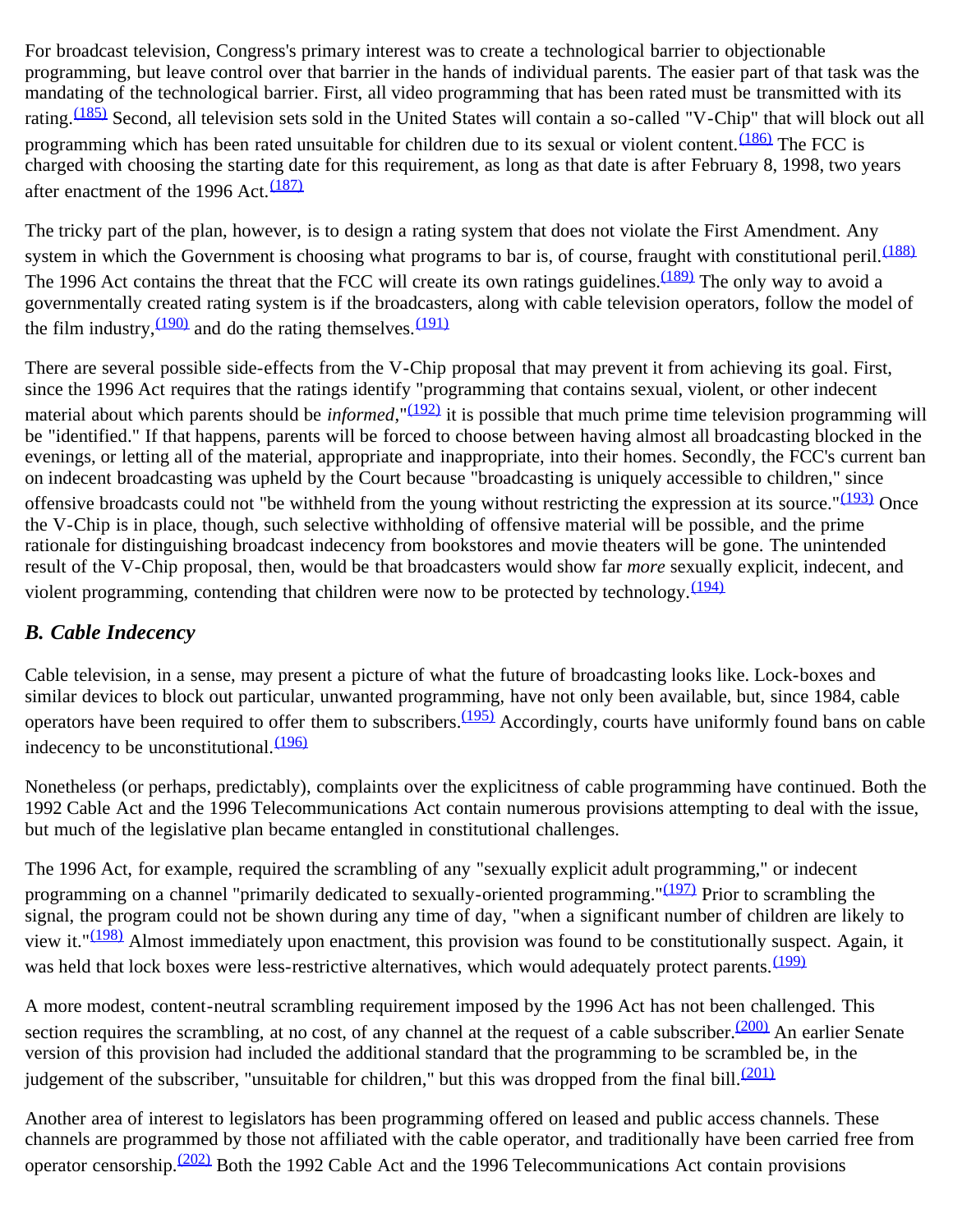For broadcast television, Congress's primary interest was to create a technological barrier to objectionable programming, but leave control over that barrier in the hands of individual parents. The easier part of that task was the mandating of the technological barrier. First, all video programming that has been rated must be transmitted with its rating.<sup>(185)</sup> Second, all television sets sold in the United States will contain a so-called "V-Chip" that will block out all programming which has been rated unsuitable for children due to its sexual or violent content.<sup>(186)</sup> The FCC is charged with choosing the starting date for this requirement, as long as that date is after February 8, 1998, two years after enactment of the 1996 Act. $\frac{(187)}{2}$  $\frac{(187)}{2}$  $\frac{(187)}{2}$ 

The tricky part of the plan, however, is to design a rating system that does not violate the First Amendment. Any system in which the Government is choosing what programs to bar is, of course, fraught with constitutional peril.  $(188)$ The 1996 Act contains the threat that the FCC will create its own ratings guidelines.<sup>(189)</sup> The only way to avoid a governmentally created rating system is if the broadcasters, along with cable television operators, follow the model of the film industry,  $\frac{(190)}{2}$  and do the rating themselves.  $\frac{(191)}{2}$  $\frac{(191)}{2}$  $\frac{(191)}{2}$ 

There are several possible side-effects from the V-Chip proposal that may prevent it from achieving its goal. First, since the 1996 Act requires that the ratings identify "programming that contains sexual, violent, or other indecent material about which parents should be *informed*, "<sup>(192)</sup> it is possible that much prime time television programming will be "identified." If that happens, parents will be forced to choose between having almost all broadcasting blocked in the evenings, or letting all of the material, appropriate and inappropriate, into their homes. Secondly, the FCC's current ban on indecent broadcasting was upheld by the Court because "broadcasting is uniquely accessible to children," since offensive broadcasts could not "be withheld from the young without restricting the expression at its source." $(193)$  Once the V-Chip is in place, though, such selective withholding of offensive material will be possible, and the prime rationale for distinguishing broadcast indecency from bookstores and movie theaters will be gone. The unintended result of the V-Chip proposal, then, would be that broadcasters would show far *more* sexually explicit, indecent, and violent programming, contending that children were now to be protected by technology.  $(194)$ 

## *B. Cable Indecency*

Cable television, in a sense, may present a picture of what the future of broadcasting looks like. Lock-boxes and similar devices to block out particular, unwanted programming, have not only been available, but, since 1984, cable operators have been required to offer them to subscribers.<sup>(195)</sup> Accordingly, courts have uniformly found bans on cable indecency to be unconstitutional.  $(196)$ 

Nonetheless (or perhaps, predictably), complaints over the explicitness of cable programming have continued. Both the 1992 Cable Act and the 1996 Telecommunications Act contain numerous provisions attempting to deal with the issue, but much of the legislative plan became entangled in constitutional challenges.

The 1996 Act, for example, required the scrambling of any "sexually explicit adult programming," or indecent programming on a channel "primarily dedicated to sexually-oriented programming." $(197)$  Prior to scrambling the signal, the program could not be shown during any time of day, "when a significant number of children are likely to view it." $(198)$  Almost immediately upon enactment, this provision was found to be constitutionally suspect. Again, it was held that lock boxes were less-restrictive alternatives, which would adequately protect parents. [\(199\)](#page-27-9)

A more modest, content-neutral scrambling requirement imposed by the 1996 Act has not been challenged. This section requires the scrambling, at no cost, of any channel at the request of a cable subscriber. $(200)$  An earlier Senate version of this provision had included the additional standard that the programming to be scrambled be, in the judgement of the subscriber, "unsuitable for children," but this was dropped from the final bill. $\frac{(201)}{201}$  $\frac{(201)}{201}$  $\frac{(201)}{201}$ 

Another area of interest to legislators has been programming offered on leased and public access channels. These channels are programmed by those not affiliated with the cable operator, and traditionally have been carried free from operator censorship.<sup>[\(202\)](#page-27-12)</sup> Both the 1992 Cable Act and the 1996 Telecommunications Act contain provisions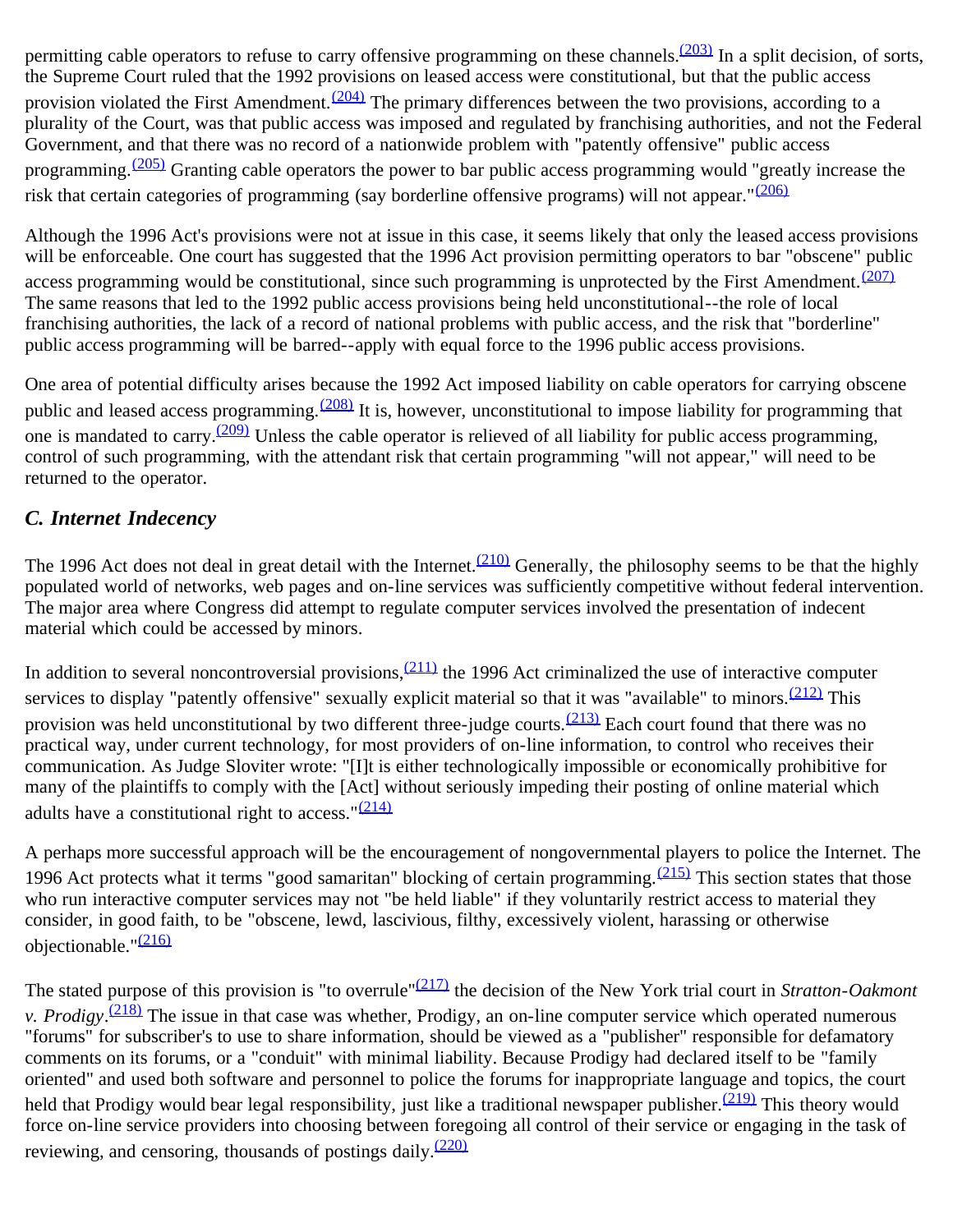permitting cable operators to refuse to carry offensive programming on these channels.<sup>(203)</sup> In a split decision, of sorts, the Supreme Court ruled that the 1992 provisions on leased access were constitutional, but that the public access provision violated the First Amendment.  $(204)$  The primary differences between the two provisions, according to a plurality of the Court, was that public access was imposed and regulated by franchising authorities, and not the Federal Government, and that there was no record of a nationwide problem with "patently offensive" public access programming.  $(205)$  Granting cable operators the power to bar public access programming would "greatly increase the risk that certain categories of programming (say borderline offensive programs) will not appear."[\(206\)](#page-27-16)

Although the 1996 Act's provisions were not at issue in this case, it seems likely that only the leased access provisions will be enforceable. One court has suggested that the 1996 Act provision permitting operators to bar "obscene" public access programming would be constitutional, since such programming is unprotected by the First Amendment. $(207)$ The same reasons that led to the 1992 public access provisions being held unconstitutional--the role of local franchising authorities, the lack of a record of national problems with public access, and the risk that "borderline" public access programming will be barred--apply with equal force to the 1996 public access provisions.

One area of potential difficulty arises because the 1992 Act imposed liability on cable operators for carrying obscene public and leased access programming.<sup>(208)</sup> It is, however, unconstitutional to impose liability for programming that one is mandated to carry.<sup>(209)</sup> Unless the cable operator is relieved of all liability for public access programming, control of such programming, with the attendant risk that certain programming "will not appear," will need to be returned to the operator.

## *C. Internet Indecency*

The 1996 Act does not deal in great detail with the Internet.  $\frac{(210)}{210}$  $\frac{(210)}{210}$  $\frac{(210)}{210}$  Generally, the philosophy seems to be that the highly populated world of networks, web pages and on-line services was sufficiently competitive without federal intervention. The major area where Congress did attempt to regulate computer services involved the presentation of indecent material which could be accessed by minors.

In addition to several noncontroversial provisions,  $(211)$  the 1996 Act criminalized the use of interactive computer services to display "patently offensive" sexually explicit material so that it was "available" to minors.<sup>[\(212\)](#page-28-3)</sup> This provision was held unconstitutional by two different three-judge courts.  $(213)$  Each court found that there was no practical way, under current technology, for most providers of on-line information, to control who receives their communication. As Judge Sloviter wrote: "[I]t is either technologically impossible or economically prohibitive for many of the plaintiffs to comply with the [Act] without seriously impeding their posting of online material which adults have a constitutional right to access.  $\frac{(214)}{2}$  $\frac{(214)}{2}$  $\frac{(214)}{2}$ 

A perhaps more successful approach will be the encouragement of nongovernmental players to police the Internet. The 1996 Act protects what it terms "good samaritan" blocking of certain programming.  $(215)$  This section states that those who run interactive computer services may not "be held liable" if they voluntarily restrict access to material they consider, in good faith, to be "obscene, lewd, lascivious, filthy, excessively violent, harassing or otherwise objectionable."<sup>[\(216\)](#page-28-7)</sup>

The stated purpose of this provision is "to overrule"[\(217\)](#page-28-8) the decision of the New York trial court in *Stratton-Oakmont v. Prodigy*. [\(218\)](#page-28-9) The issue in that case was whether, Prodigy, an on-line computer service which operated numerous "forums" for subscriber's to use to share information, should be viewed as a "publisher" responsible for defamatory comments on its forums, or a "conduit" with minimal liability. Because Prodigy had declared itself to be "family oriented" and used both software and personnel to police the forums for inappropriate language and topics, the court held that Prodigy would bear legal responsibility, just like a traditional newspaper publisher.  $(219)$  This theory would force on-line service providers into choosing between foregoing all control of their service or engaging in the task of reviewing, and censoring, thousands of postings daily.<sup>[\(220\)](#page-28-11)</sup>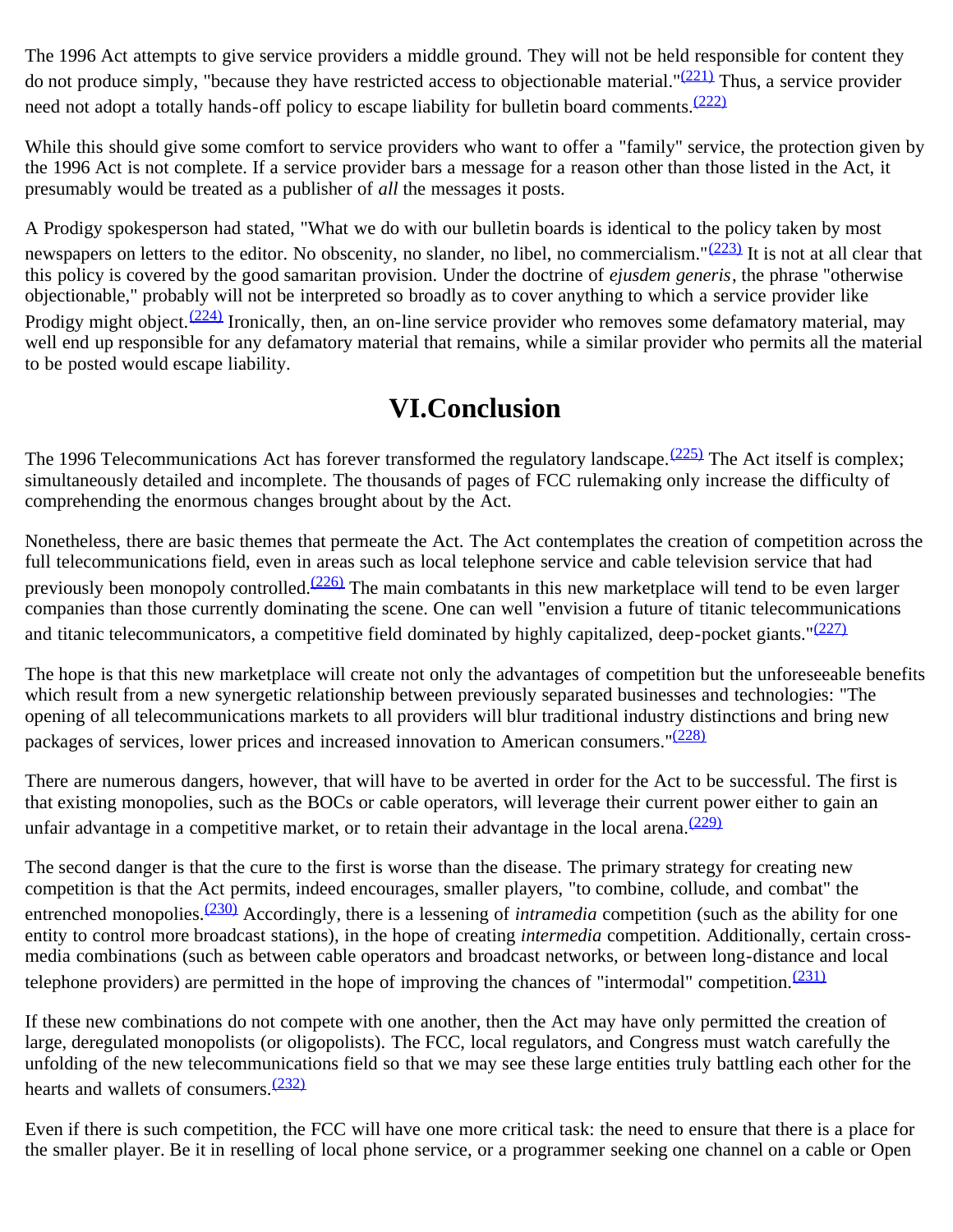The 1996 Act attempts to give service providers a middle ground. They will not be held responsible for content they do not produce simply, "because they have restricted access to objectionable material." $(221)$  Thus, a service provider need not adopt a totally hands-off policy to escape liability for bulletin board comments.<sup>[\(222\)](#page-28-13)</sup>

While this should give some comfort to service providers who want to offer a "family" service, the protection given by the 1996 Act is not complete. If a service provider bars a message for a reason other than those listed in the Act, it presumably would be treated as a publisher of *all* the messages it posts.

A Prodigy spokesperson had stated, "What we do with our bulletin boards is identical to the policy taken by most newspapers on letters to the editor. No obscenity, no slander, no libel, no commercialism."<sup>(223)</sup> It is not at all clear that this policy is covered by the good samaritan provision. Under the doctrine of *ejusdem generis*, the phrase "otherwise objectionable," probably will not be interpreted so broadly as to cover anything to which a service provider like Prodigy might object. $(224)$  Ironically, then, an on-line service provider who removes some defamatory material, may well end up responsible for any defamatory material that remains, while a similar provider who permits all the material to be posted would escape liability.

# **VI.Conclusion**

The 1996 Telecommunications Act has forever transformed the regulatory landscape.  $(225)$  The Act itself is complex; simultaneously detailed and incomplete. The thousands of pages of FCC rulemaking only increase the difficulty of comprehending the enormous changes brought about by the Act.

Nonetheless, there are basic themes that permeate the Act. The Act contemplates the creation of competition across the full telecommunications field, even in areas such as local telephone service and cable television service that had previously been monopoly controlled.<sup>(226)</sup> The main combatants in this new marketplace will tend to be even larger companies than those currently dominating the scene. One can well "envision a future of titanic telecommunications and titanic telecommunicators, a competitive field dominated by highly capitalized, deep-pocket giants."<sup>[\(227\)](#page-29-1)</sup>

The hope is that this new marketplace will create not only the advantages of competition but the unforeseeable benefits which result from a new synergetic relationship between previously separated businesses and technologies: "The opening of all telecommunications markets to all providers will blur traditional industry distinctions and bring new packages of services, lower prices and increased innovation to American consumers."<sup>[\(228\)](#page-29-2)</sup>

There are numerous dangers, however, that will have to be averted in order for the Act to be successful. The first is that existing monopolies, such as the BOCs or cable operators, will leverage their current power either to gain an unfair advantage in a competitive market, or to retain their advantage in the local arena.  $(229)$ 

The second danger is that the cure to the first is worse than the disease. The primary strategy for creating new competition is that the Act permits, indeed encourages, smaller players, "to combine, collude, and combat" the entrenched monopolies.<sup>(230)</sup> Accordingly, there is a lessening of *intramedia* competition (such as the ability for one entity to control more broadcast stations), in the hope of creating *intermedia* competition. Additionally, certain crossmedia combinations (such as between cable operators and broadcast networks, or between long-distance and local telephone providers) are permitted in the hope of improving the chances of "intermodal" competition. $\frac{(231)}{231}$  $\frac{(231)}{231}$  $\frac{(231)}{231}$ 

If these new combinations do not compete with one another, then the Act may have only permitted the creation of large, deregulated monopolists (or oligopolists). The FCC, local regulators, and Congress must watch carefully the unfolding of the new telecommunications field so that we may see these large entities truly battling each other for the hearts and wallets of consumers. $(232)$ 

Even if there is such competition, the FCC will have one more critical task: the need to ensure that there is a place for the smaller player. Be it in reselling of local phone service, or a programmer seeking one channel on a cable or Open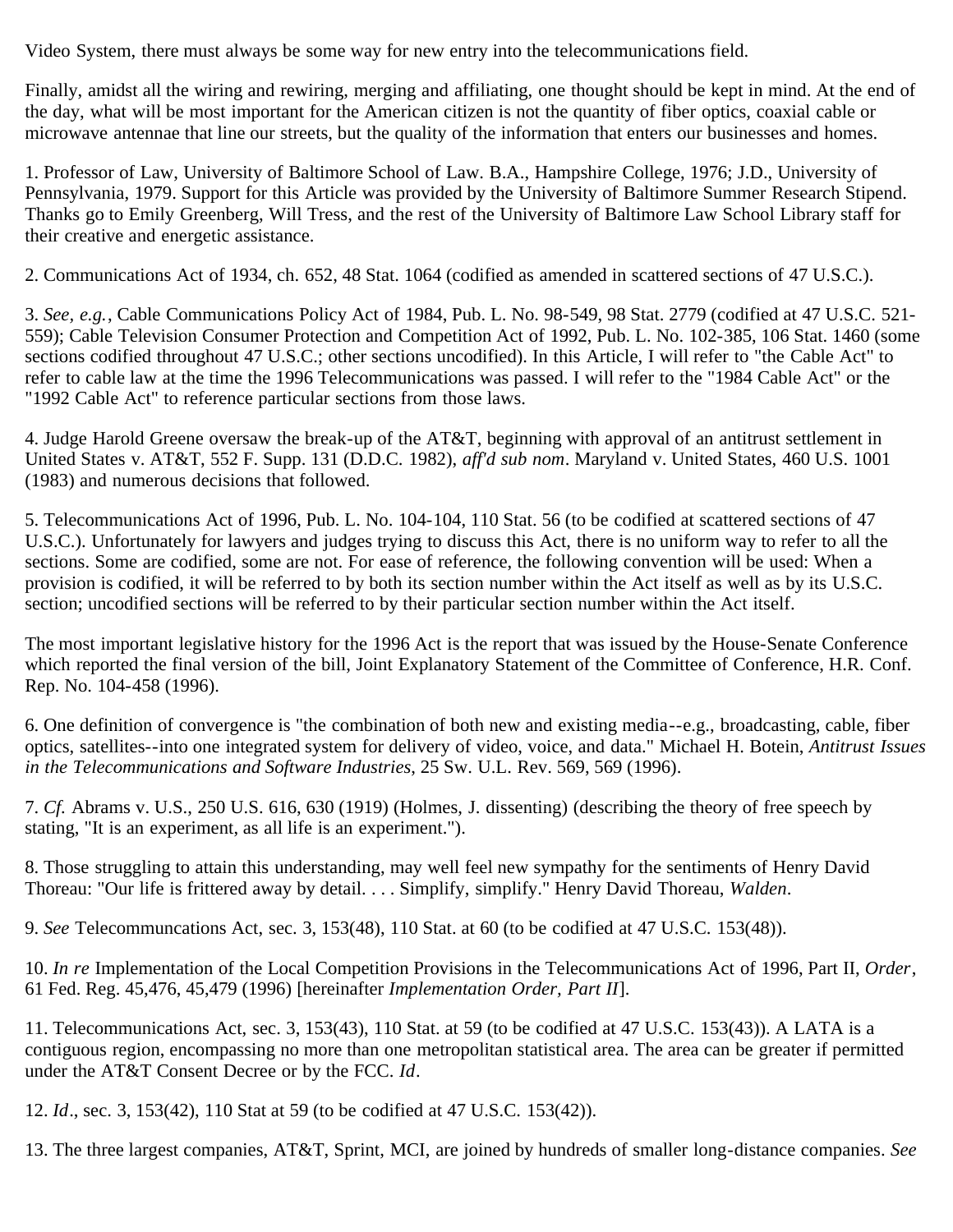Video System, there must always be some way for new entry into the telecommunications field.

Finally, amidst all the wiring and rewiring, merging and affiliating, one thought should be kept in mind. At the end of the day, what will be most important for the American citizen is not the quantity of fiber optics, coaxial cable or microwave antennae that line our streets, but the quality of the information that enters our businesses and homes.

<span id="page-17-0"></span>1. Professor of Law, University of Baltimore School of Law. B.A., Hampshire College, 1976; J.D., University of Pennsylvania, 1979. Support for this Article was provided by the University of Baltimore Summer Research Stipend. Thanks go to Emily Greenberg, Will Tress, and the rest of the University of Baltimore Law School Library staff for their creative and energetic assistance.

<span id="page-17-1"></span>2. Communications Act of 1934, ch. 652, 48 Stat. 1064 (codified as amended in scattered sections of 47 U.S.C.).

<span id="page-17-2"></span>3. *See, e.g.*, Cable Communications Policy Act of 1984, Pub. L. No. 98-549, 98 Stat. 2779 (codified at 47 U.S.C. 521- 559); Cable Television Consumer Protection and Competition Act of 1992, Pub. L. No. 102-385, 106 Stat. 1460 (some sections codified throughout 47 U.S.C.; other sections uncodified). In this Article, I will refer to "the Cable Act" to refer to cable law at the time the 1996 Telecommunications was passed. I will refer to the "1984 Cable Act" or the "1992 Cable Act" to reference particular sections from those laws.

<span id="page-17-3"></span>4. Judge Harold Greene oversaw the break-up of the AT&T, beginning with approval of an antitrust settlement in United States v. AT&T, 552 F. Supp. 131 (D.D.C. 1982), *aff'd sub nom*. Maryland v. United States, 460 U.S. 1001 (1983) and numerous decisions that followed.

<span id="page-17-4"></span>5. Telecommunications Act of 1996, Pub. L. No. 104-104, 110 Stat. 56 (to be codified at scattered sections of 47 U.S.C.). Unfortunately for lawyers and judges trying to discuss this Act, there is no uniform way to refer to all the sections. Some are codified, some are not. For ease of reference, the following convention will be used: When a provision is codified, it will be referred to by both its section number within the Act itself as well as by its U.S.C. section; uncodified sections will be referred to by their particular section number within the Act itself.

The most important legislative history for the 1996 Act is the report that was issued by the House-Senate Conference which reported the final version of the bill, Joint Explanatory Statement of the Committee of Conference, H.R. Conf. Rep. No. 104-458 (1996).

<span id="page-17-5"></span>6. One definition of convergence is "the combination of both new and existing media--e.g., broadcasting, cable, fiber optics, satellites--into one integrated system for delivery of video, voice, and data." Michael H. Botein, *Antitrust Issues in the Telecommunications and Software Industries*, 25 Sw. U.L. Rev. 569, 569 (1996).

<span id="page-17-6"></span>7. *Cf.* Abrams v. U.S., 250 U.S. 616, 630 (1919) (Holmes, J. dissenting) (describing the theory of free speech by stating, "It is an experiment, as all life is an experiment.").

<span id="page-17-7"></span>8. Those struggling to attain this understanding, may well feel new sympathy for the sentiments of Henry David Thoreau: "Our life is frittered away by detail. . . . Simplify, simplify." Henry David Thoreau, *Walden*.

<span id="page-17-8"></span>9. *See* Telecommuncations Act, sec. 3, 153(48), 110 Stat. at 60 (to be codified at 47 U.S.C. 153(48)).

<span id="page-17-9"></span>10. *In re* Implementation of the Local Competition Provisions in the Telecommunications Act of 1996, Part II, *Order*, 61 Fed. Reg. 45,476, 45,479 (1996) [hereinafter *Implementation Order, Part II*].

<span id="page-17-10"></span>11. Telecommunications Act, sec. 3, 153(43), 110 Stat. at 59 (to be codified at 47 U.S.C. 153(43)). A LATA is a contiguous region, encompassing no more than one metropolitan statistical area. The area can be greater if permitted under the AT&T Consent Decree or by the FCC. *Id*.

<span id="page-17-11"></span>12. *Id*., sec. 3, 153(42), 110 Stat at 59 (to be codified at 47 U.S.C. 153(42)).

<span id="page-17-12"></span>13. The three largest companies, AT&T, Sprint, MCI, are joined by hundreds of smaller long-distance companies. *See*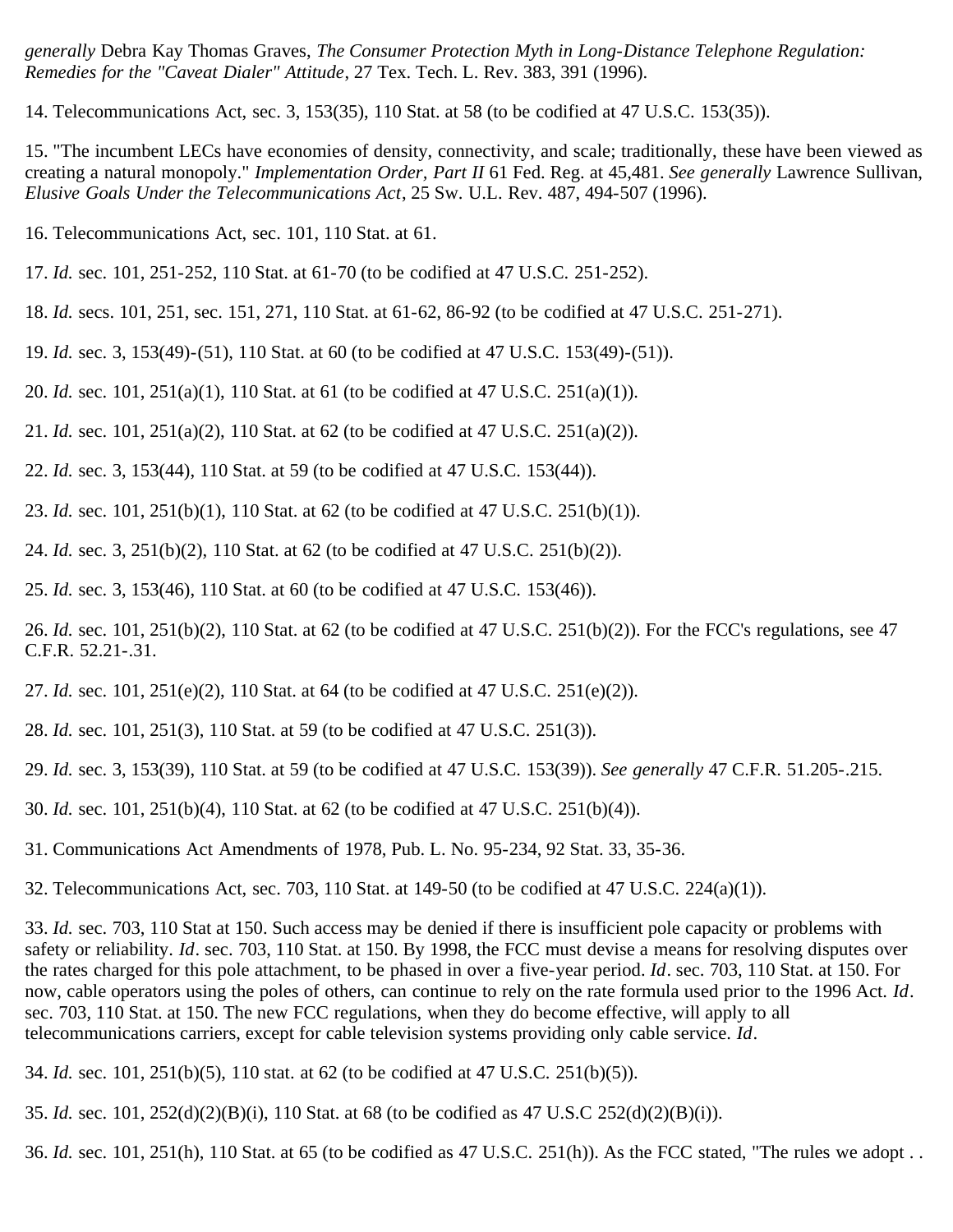*generally* Debra Kay Thomas Graves, *The Consumer Protection Myth in Long-Distance Telephone Regulation: Remedies for the "Caveat Dialer" Attitude*, 27 Tex. Tech. L. Rev. 383, 391 (1996).

<span id="page-18-0"></span>14. Telecommunications Act, sec. 3, 153(35), 110 Stat. at 58 (to be codified at 47 U.S.C. 153(35)).

<span id="page-18-1"></span>15. "The incumbent LECs have economies of density, connectivity, and scale; traditionally, these have been viewed as creating a natural monopoly." *Implementation Order, Part II* 61 Fed. Reg. at 45,481. *See generally* Lawrence Sullivan, *Elusive Goals Under the Telecommunications Act*, 25 Sw. U.L. Rev. 487, 494-507 (1996).

<span id="page-18-2"></span>16. Telecommunications Act, sec. 101, 110 Stat. at 61.

- <span id="page-18-3"></span>17. *Id.* sec. 101, 251-252, 110 Stat. at 61-70 (to be codified at 47 U.S.C. 251-252).
- <span id="page-18-4"></span>18. *Id.* secs. 101, 251, sec. 151, 271, 110 Stat. at 61-62, 86-92 (to be codified at 47 U.S.C. 251-271).
- <span id="page-18-5"></span>19. *Id.* sec. 3, 153(49)-(51), 110 Stat. at 60 (to be codified at 47 U.S.C. 153(49)-(51)).
- <span id="page-18-6"></span>20. *Id.* sec. 101, 251(a)(1), 110 Stat. at 61 (to be codified at 47 U.S.C. 251(a)(1)).
- <span id="page-18-7"></span>21. *Id.* sec. 101, 251(a)(2), 110 Stat. at 62 (to be codified at 47 U.S.C. 251(a)(2)).
- <span id="page-18-8"></span>22. *Id.* sec. 3, 153(44), 110 Stat. at 59 (to be codified at 47 U.S.C. 153(44)).
- <span id="page-18-9"></span>23. *Id.* sec. 101, 251(b)(1), 110 Stat. at 62 (to be codified at 47 U.S.C. 251(b)(1)).
- <span id="page-18-10"></span>24. *Id.* sec. 3, 251(b)(2), 110 Stat. at 62 (to be codified at 47 U.S.C. 251(b)(2)).
- <span id="page-18-11"></span>25. *Id.* sec. 3, 153(46), 110 Stat. at 60 (to be codified at 47 U.S.C. 153(46)).

<span id="page-18-12"></span>26. *Id.* sec. 101, 251(b)(2), 110 Stat. at 62 (to be codified at 47 U.S.C. 251(b)(2)). For the FCC's regulations, see 47 C.F.R. 52.21-.31.

- <span id="page-18-13"></span>27. *Id.* sec. 101, 251(e)(2), 110 Stat. at 64 (to be codified at 47 U.S.C. 251(e)(2)).
- <span id="page-18-14"></span>28. *Id.* sec. 101, 251(3), 110 Stat. at 59 (to be codified at 47 U.S.C. 251(3)).
- <span id="page-18-15"></span>29. *Id.* sec. 3, 153(39), 110 Stat. at 59 (to be codified at 47 U.S.C. 153(39)). *See generally* 47 C.F.R. 51.205-.215.
- <span id="page-18-16"></span>30. *Id.* sec. 101, 251(b)(4), 110 Stat. at 62 (to be codified at 47 U.S.C. 251(b)(4)).
- <span id="page-18-17"></span>31. Communications Act Amendments of 1978, Pub. L. No. 95-234, 92 Stat. 33, 35-36.
- <span id="page-18-18"></span>32. Telecommunications Act, sec. 703, 110 Stat. at 149-50 (to be codified at 47 U.S.C. 224(a)(1)).

<span id="page-18-19"></span>33. *Id.* sec. 703, 110 Stat at 150. Such access may be denied if there is insufficient pole capacity or problems with safety or reliability. *Id*. sec. 703, 110 Stat. at 150. By 1998, the FCC must devise a means for resolving disputes over the rates charged for this pole attachment, to be phased in over a five-year period. *Id*. sec. 703, 110 Stat. at 150. For now, cable operators using the poles of others, can continue to rely on the rate formula used prior to the 1996 Act. *Id*. sec. 703, 110 Stat. at 150. The new FCC regulations, when they do become effective, will apply to all telecommunications carriers, except for cable television systems providing only cable service. *Id*.

- <span id="page-18-20"></span>34. *Id.* sec. 101, 251(b)(5), 110 stat. at 62 (to be codified at 47 U.S.C. 251(b)(5)).
- <span id="page-18-21"></span>35. *Id.* sec. 101, 252(d)(2)(B)(i), 110 Stat. at 68 (to be codified as 47 U.S.C 252(d)(2)(B)(i)).

<span id="page-18-22"></span>36. *Id.* sec. 101, 251(h), 110 Stat. at 65 (to be codified as 47 U.S.C. 251(h)). As the FCC stated, "The rules we adopt . .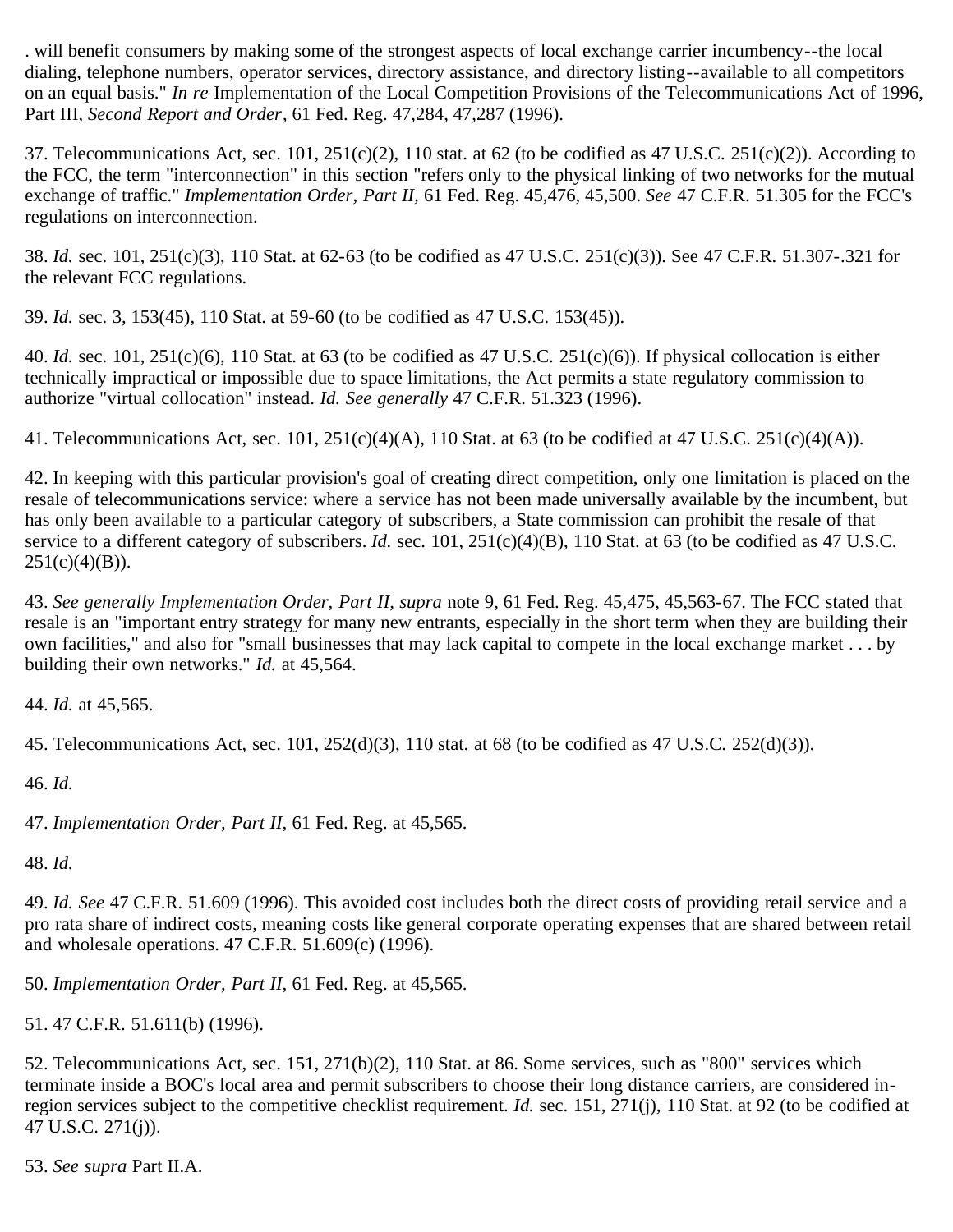. will benefit consumers by making some of the strongest aspects of local exchange carrier incumbency--the local dialing, telephone numbers, operator services, directory assistance, and directory listing--available to all competitors on an equal basis." *In re* Implementation of the Local Competition Provisions of the Telecommunications Act of 1996, Part III, *Second Report and Order*, 61 Fed. Reg. 47,284, 47,287 (1996).

<span id="page-19-0"></span>37. Telecommunications Act, sec.  $101$ ,  $251(c)(2)$ ,  $110$  stat. at 62 (to be codified as 47 U.S.C.  $251(c)(2)$ ). According to the FCC, the term "interconnection" in this section "refers only to the physical linking of two networks for the mutual exchange of traffic." *Implementation Order, Part II,* 61 Fed. Reg. 45,476, 45,500. *See* 47 C.F.R. 51.305 for the FCC's regulations on interconnection.

<span id="page-19-1"></span>38. *Id.* sec. 101, 251(c)(3), 110 Stat. at 62-63 (to be codified as 47 U.S.C. 251(c)(3)). See 47 C.F.R. 51.307-.321 for the relevant FCC regulations.

<span id="page-19-2"></span>39. *Id.* sec. 3, 153(45), 110 Stat. at 59-60 (to be codified as 47 U.S.C. 153(45)).

<span id="page-19-3"></span>40. *Id.* sec. 101, 251(c)(6), 110 Stat. at 63 (to be codified as 47 U.S.C. 251(c)(6)). If physical collocation is either technically impractical or impossible due to space limitations, the Act permits a state regulatory commission to authorize "virtual collocation" instead. *Id. See generally* 47 C.F.R. 51.323 (1996).

<span id="page-19-4"></span>41. Telecommunications Act, sec. 101,  $251(c)(4)(A)$ , 110 Stat. at 63 (to be codified at 47 U.S.C.  $251(c)(4)(A)$ ).

<span id="page-19-5"></span>42. In keeping with this particular provision's goal of creating direct competition, only one limitation is placed on the resale of telecommunications service: where a service has not been made universally available by the incumbent, but has only been available to a particular category of subscribers, a State commission can prohibit the resale of that service to a different category of subscribers. *Id.* sec. 101, 251(c)(4)(B), 110 Stat. at 63 (to be codified as 47 U.S.C.  $251(c)(4)(B)$ ).

<span id="page-19-6"></span>43. *See generally Implementation Order, Part II, supra* note 9, 61 Fed. Reg. 45,475, 45,563-67. The FCC stated that resale is an "important entry strategy for many new entrants, especially in the short term when they are building their own facilities," and also for "small businesses that may lack capital to compete in the local exchange market . . . by building their own networks." *Id.* at 45,564.

<span id="page-19-7"></span>44. *Id.* at 45,565.

<span id="page-19-8"></span>45. Telecommunications Act, sec. 101, 252(d)(3), 110 stat. at 68 (to be codified as 47 U.S.C. 252(d)(3)).

<span id="page-19-9"></span>46. *Id.*

<span id="page-19-10"></span>47. *Implementation Order, Part II,* 61 Fed. Reg. at 45,565.

<span id="page-19-11"></span>48. *Id.*

<span id="page-19-12"></span>49. *Id. See* 47 C.F.R. 51.609 (1996). This avoided cost includes both the direct costs of providing retail service and a pro rata share of indirect costs, meaning costs like general corporate operating expenses that are shared between retail and wholesale operations. 47 C.F.R. 51.609(c) (1996).

<span id="page-19-13"></span>50. *Implementation Order, Part II,* 61 Fed. Reg. at 45,565.

<span id="page-19-14"></span>51. 47 C.F.R. 51.611(b) (1996).

<span id="page-19-15"></span>52. Telecommunications Act, sec. 151, 271(b)(2), 110 Stat. at 86. Some services, such as "800" services which terminate inside a BOC's local area and permit subscribers to choose their long distance carriers, are considered inregion services subject to the competitive checklist requirement. *Id.* sec. 151, 271(j), 110 Stat. at 92 (to be codified at 47 U.S.C. 271(j)).

<span id="page-19-16"></span>53. *See supra* Part II.A.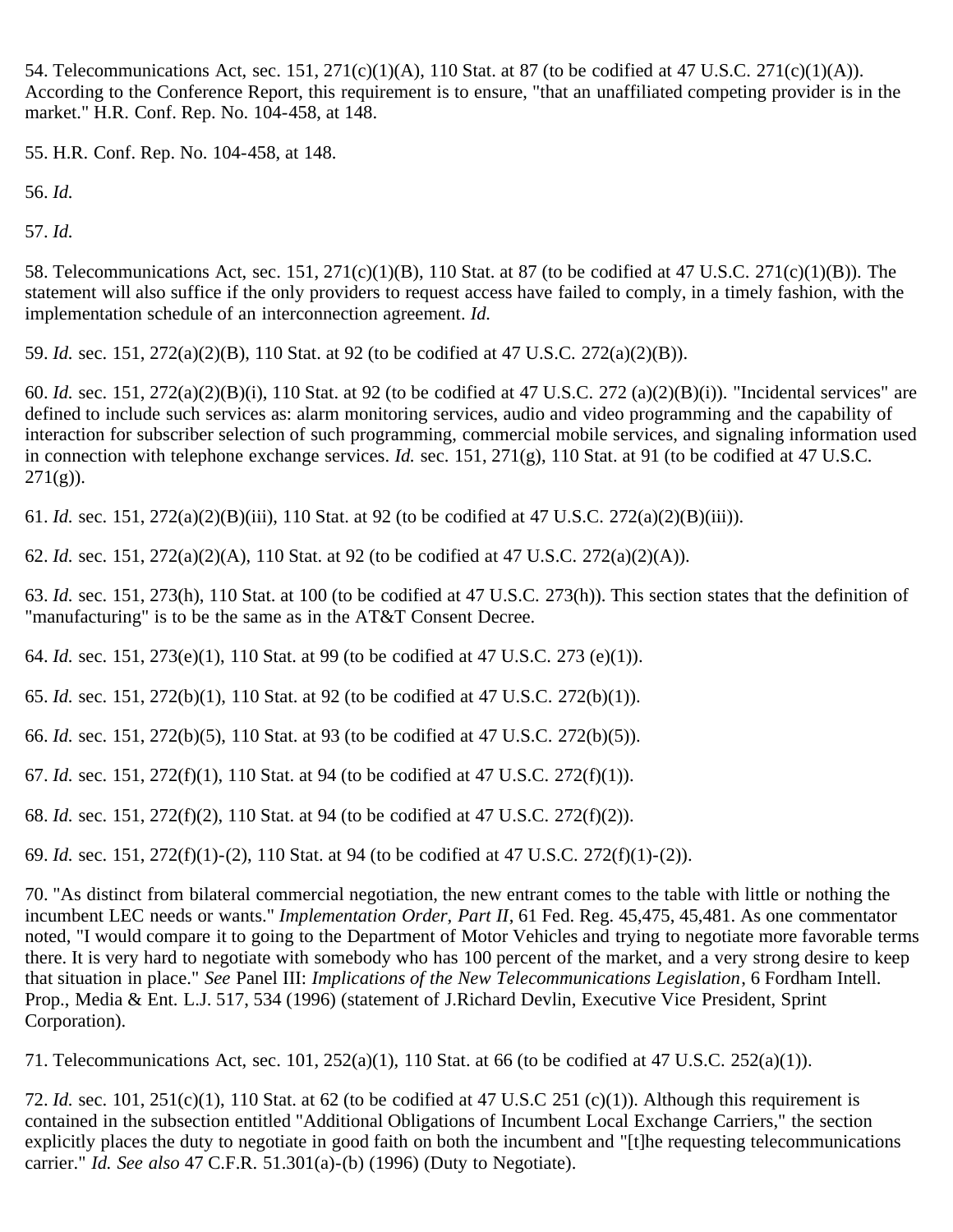<span id="page-20-0"></span>54. Telecommunications Act, sec. 151, 271(c)(1)(A), 110 Stat. at 87 (to be codified at 47 U.S.C. 271(c)(1)(A)). According to the Conference Report, this requirement is to ensure, "that an unaffiliated competing provider is in the market." H.R. Conf. Rep. No. 104-458, at 148.

<span id="page-20-1"></span>55. H.R. Conf. Rep. No. 104-458, at 148.

<span id="page-20-2"></span>56. *Id.*

<span id="page-20-3"></span>57. *Id.*

<span id="page-20-4"></span>58. Telecommunications Act, sec. 151, 271(c)(1)(B), 110 Stat. at 87 (to be codified at 47 U.S.C. 271(c)(1)(B)). The statement will also suffice if the only providers to request access have failed to comply, in a timely fashion, with the implementation schedule of an interconnection agreement. *Id.*

<span id="page-20-5"></span>59. *Id.* sec. 151, 272(a)(2)(B), 110 Stat. at 92 (to be codified at 47 U.S.C. 272(a)(2)(B)).

<span id="page-20-6"></span>60. *Id.* sec. 151, 272(a)(2)(B)(i), 110 Stat. at 92 (to be codified at 47 U.S.C. 272 (a)(2)(B)(i)). "Incidental services" are defined to include such services as: alarm monitoring services, audio and video programming and the capability of interaction for subscriber selection of such programming, commercial mobile services, and signaling information used in connection with telephone exchange services. *Id.* sec. 151, 271(g), 110 Stat. at 91 (to be codified at 47 U.S.C.  $271(g)$ ).

<span id="page-20-7"></span>61. *Id.* sec. 151, 272(a)(2)(B)(iii), 110 Stat. at 92 (to be codified at 47 U.S.C. 272(a)(2)(B)(iii)).

<span id="page-20-8"></span>62. *Id.* sec. 151, 272(a)(2)(A), 110 Stat. at 92 (to be codified at 47 U.S.C. 272(a)(2)(A)).

<span id="page-20-9"></span>63. *Id.* sec. 151, 273(h), 110 Stat. at 100 (to be codified at 47 U.S.C. 273(h)). This section states that the definition of "manufacturing" is to be the same as in the AT&T Consent Decree.

<span id="page-20-10"></span>64. *Id.* sec. 151, 273(e)(1), 110 Stat. at 99 (to be codified at 47 U.S.C. 273 (e)(1)).

<span id="page-20-11"></span>65. *Id.* sec. 151, 272(b)(1), 110 Stat. at 92 (to be codified at 47 U.S.C. 272(b)(1)).

<span id="page-20-12"></span>66. *Id.* sec. 151, 272(b)(5), 110 Stat. at 93 (to be codified at 47 U.S.C. 272(b)(5)).

<span id="page-20-13"></span>67. *Id.* sec. 151, 272(f)(1), 110 Stat. at 94 (to be codified at 47 U.S.C. 272(f)(1)).

<span id="page-20-14"></span>68. *Id.* sec. 151, 272(f)(2), 110 Stat. at 94 (to be codified at 47 U.S.C. 272(f)(2)).

<span id="page-20-15"></span>69. *Id.* sec. 151, 272(f)(1)-(2), 110 Stat. at 94 (to be codified at 47 U.S.C. 272(f)(1)-(2)).

<span id="page-20-16"></span>70. "As distinct from bilateral commercial negotiation, the new entrant comes to the table with little or nothing the incumbent LEC needs or wants." *Implementation Order, Part II*, 61 Fed. Reg. 45,475, 45,481. As one commentator noted, "I would compare it to going to the Department of Motor Vehicles and trying to negotiate more favorable terms there. It is very hard to negotiate with somebody who has 100 percent of the market, and a very strong desire to keep that situation in place." *See* Panel III: *Implications of the New Telecommunications Legislation*, 6 Fordham Intell. Prop., Media & Ent. L.J. 517, 534 (1996) (statement of J.Richard Devlin, Executive Vice President, Sprint Corporation).

<span id="page-20-17"></span>71. Telecommunications Act, sec. 101, 252(a)(1), 110 Stat. at 66 (to be codified at 47 U.S.C. 252(a)(1)).

<span id="page-20-18"></span>72. *Id.* sec. 101, 251(c)(1), 110 Stat. at 62 (to be codified at 47 U.S.C 251 (c)(1)). Although this requirement is contained in the subsection entitled "Additional Obligations of Incumbent Local Exchange Carriers," the section explicitly places the duty to negotiate in good faith on both the incumbent and "[t]he requesting telecommunications carrier." *Id. See also* 47 C.F.R. 51.301(a)-(b) (1996) (Duty to Negotiate).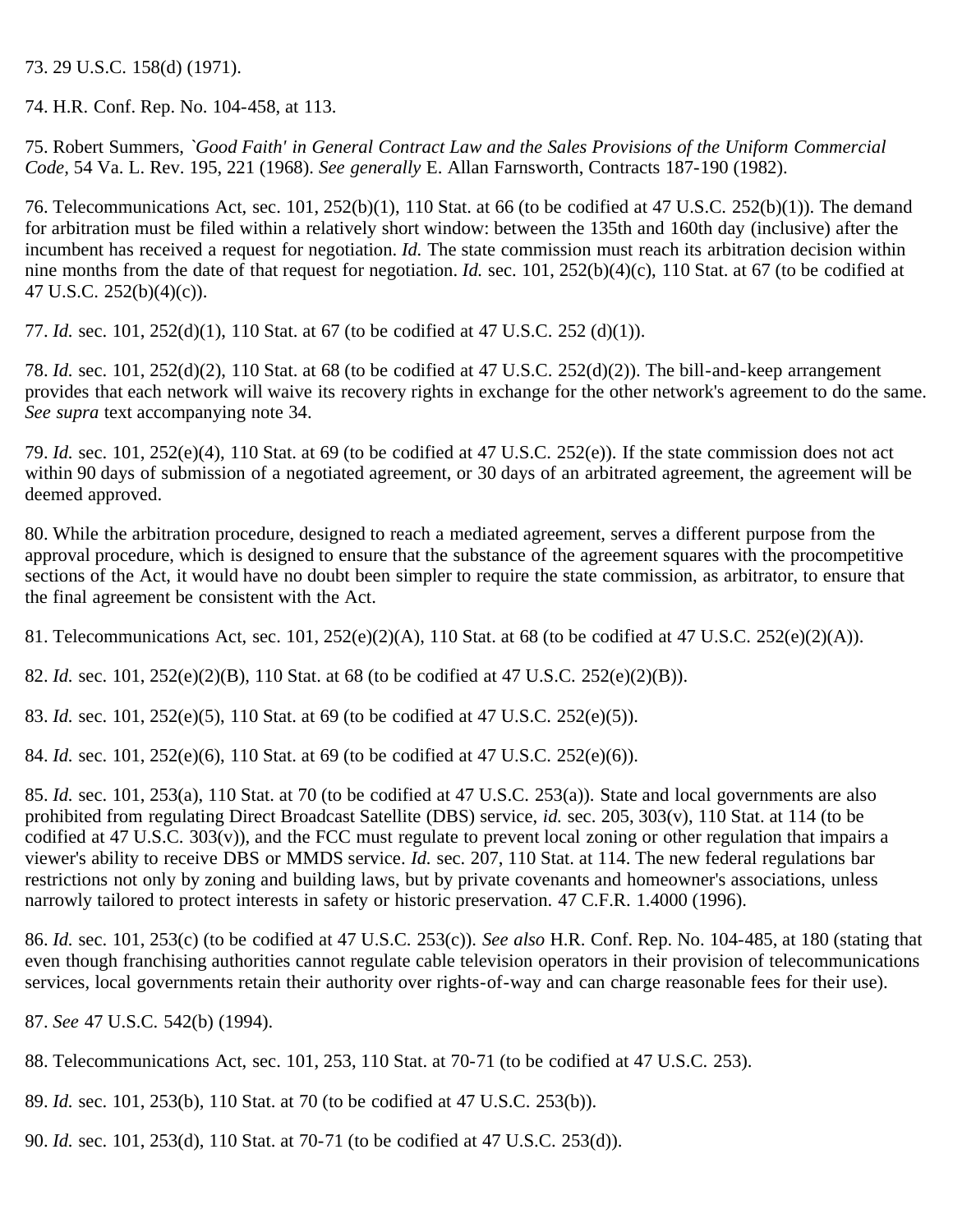<span id="page-21-0"></span>73. 29 U.S.C. 158(d) (1971).

<span id="page-21-1"></span>74. H.R. Conf. Rep. No. 104-458, at 113.

<span id="page-21-2"></span>75. Robert Summers, *`Good Faith' in General Contract Law and the Sales Provisions of the Uniform Commercial Code,* 54 Va. L. Rev. 195, 221 (1968). *See generally* E. Allan Farnsworth, Contracts 187-190 (1982).

<span id="page-21-3"></span>76. Telecommunications Act, sec. 101, 252(b)(1), 110 Stat. at 66 (to be codified at 47 U.S.C. 252(b)(1)). The demand for arbitration must be filed within a relatively short window: between the 135th and 160th day (inclusive) after the incumbent has received a request for negotiation. *Id.* The state commission must reach its arbitration decision within nine months from the date of that request for negotiation. *Id.* sec. 101, 252(b)(4)(c), 110 Stat. at 67 (to be codified at 47 U.S.C. 252(b)(4)(c)).

<span id="page-21-4"></span>77. *Id.* sec. 101, 252(d)(1), 110 Stat. at 67 (to be codified at 47 U.S.C. 252 (d)(1)).

<span id="page-21-5"></span>78. *Id.* sec. 101, 252(d)(2), 110 Stat. at 68 (to be codified at 47 U.S.C. 252(d)(2)). The bill-and-keep arrangement provides that each network will waive its recovery rights in exchange for the other network's agreement to do the same. *See supra* text accompanying note 34.

<span id="page-21-6"></span>79. *Id.* sec. 101, 252(e)(4), 110 Stat. at 69 (to be codified at 47 U.S.C. 252(e)). If the state commission does not act within 90 days of submission of a negotiated agreement, or 30 days of an arbitrated agreement, the agreement will be deemed approved.

<span id="page-21-7"></span>80. While the arbitration procedure, designed to reach a mediated agreement, serves a different purpose from the approval procedure, which is designed to ensure that the substance of the agreement squares with the procompetitive sections of the Act, it would have no doubt been simpler to require the state commission, as arbitrator, to ensure that the final agreement be consistent with the Act.

<span id="page-21-8"></span>81. Telecommunications Act, sec. 101, 252(e)(2)(A), 110 Stat. at 68 (to be codified at 47 U.S.C. 252(e)(2)(A)).

<span id="page-21-9"></span>82. *Id.* sec. 101, 252(e)(2)(B), 110 Stat. at 68 (to be codified at 47 U.S.C. 252(e)(2)(B)).

<span id="page-21-10"></span>83. *Id.* sec. 101, 252(e)(5), 110 Stat. at 69 (to be codified at 47 U.S.C. 252(e)(5)).

<span id="page-21-11"></span>84. *Id.* sec. 101, 252(e)(6), 110 Stat. at 69 (to be codified at 47 U.S.C. 252(e)(6)).

<span id="page-21-12"></span>85. *Id.* sec. 101, 253(a), 110 Stat. at 70 (to be codified at 47 U.S.C. 253(a)). State and local governments are also prohibited from regulating Direct Broadcast Satellite (DBS) service, *id.* sec. 205, 303(v), 110 Stat. at 114 (to be codified at 47 U.S.C. 303(v)), and the FCC must regulate to prevent local zoning or other regulation that impairs a viewer's ability to receive DBS or MMDS service. *Id.* sec. 207, 110 Stat. at 114. The new federal regulations bar restrictions not only by zoning and building laws, but by private covenants and homeowner's associations, unless narrowly tailored to protect interests in safety or historic preservation. 47 C.F.R. 1.4000 (1996).

<span id="page-21-13"></span>86. *Id.* sec. 101, 253(c) (to be codified at 47 U.S.C. 253(c)). *See also* H.R. Conf. Rep. No. 104-485, at 180 (stating that even though franchising authorities cannot regulate cable television operators in their provision of telecommunications services, local governments retain their authority over rights-of-way and can charge reasonable fees for their use).

<span id="page-21-14"></span>87. *See* 47 U.S.C. 542(b) (1994).

<span id="page-21-15"></span>88. Telecommunications Act, sec. 101, 253, 110 Stat. at 70-71 (to be codified at 47 U.S.C. 253).

<span id="page-21-16"></span>89. *Id.* sec. 101, 253(b), 110 Stat. at 70 (to be codified at 47 U.S.C. 253(b)).

<span id="page-21-17"></span>90. *Id.* sec. 101, 253(d), 110 Stat. at 70-71 (to be codified at 47 U.S.C. 253(d)).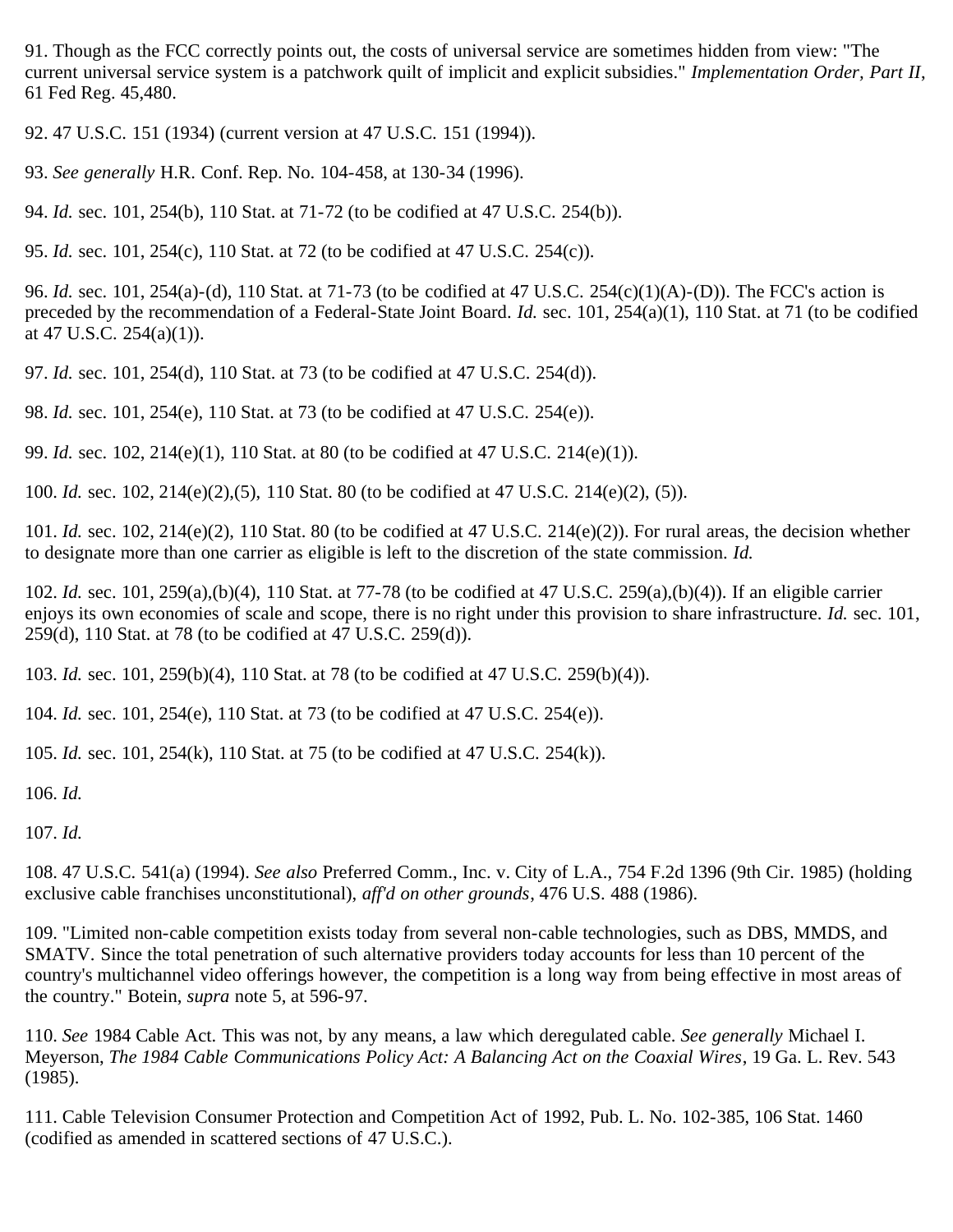<span id="page-22-0"></span>91. Though as the FCC correctly points out, the costs of universal service are sometimes hidden from view: "The current universal service system is a patchwork quilt of implicit and explicit subsidies." *Implementation Order, Part II*, 61 Fed Reg. 45,480.

<span id="page-22-1"></span>92. 47 U.S.C. 151 (1934) (current version at 47 U.S.C. 151 (1994)).

<span id="page-22-2"></span>93. *See generally* H.R. Conf. Rep. No. 104-458, at 130-34 (1996).

<span id="page-22-3"></span>94. *Id.* sec. 101, 254(b), 110 Stat. at 71-72 (to be codified at 47 U.S.C. 254(b)).

<span id="page-22-4"></span>95. *Id.* sec. 101, 254(c), 110 Stat. at 72 (to be codified at 47 U.S.C. 254(c)).

<span id="page-22-5"></span>96. *Id.* sec. 101, 254(a)-(d), 110 Stat. at 71-73 (to be codified at 47 U.S.C. 254(c)(1)(A)-(D)). The FCC's action is preceded by the recommendation of a Federal-State Joint Board. *Id.* sec. 101, 254(a)(1), 110 Stat. at 71 (to be codified at 47 U.S.C.  $254(a)(1)$ .

<span id="page-22-6"></span>97. *Id.* sec. 101, 254(d), 110 Stat. at 73 (to be codified at 47 U.S.C. 254(d)).

<span id="page-22-7"></span>98. *Id.* sec. 101, 254(e), 110 Stat. at 73 (to be codified at 47 U.S.C. 254(e)).

<span id="page-22-8"></span>99. *Id.* sec. 102, 214(e)(1), 110 Stat. at 80 (to be codified at 47 U.S.C. 214(e)(1)).

<span id="page-22-9"></span>100. *Id.* sec. 102, 214(e)(2),(5), 110 Stat. 80 (to be codified at 47 U.S.C. 214(e)(2), (5)).

<span id="page-22-10"></span>101. *Id.* sec. 102, 214(e)(2), 110 Stat. 80 (to be codified at 47 U.S.C. 214(e)(2)). For rural areas, the decision whether to designate more than one carrier as eligible is left to the discretion of the state commission. *Id.*

<span id="page-22-11"></span>102. *Id.* sec. 101, 259(a),(b)(4), 110 Stat. at 77-78 (to be codified at 47 U.S.C. 259(a),(b)(4)). If an eligible carrier enjoys its own economies of scale and scope, there is no right under this provision to share infrastructure. *Id.* sec. 101, 259(d), 110 Stat. at 78 (to be codified at 47 U.S.C. 259(d)).

<span id="page-22-12"></span>103. *Id.* sec. 101, 259(b)(4), 110 Stat. at 78 (to be codified at 47 U.S.C. 259(b)(4)).

<span id="page-22-13"></span>104. *Id.* sec. 101, 254(e), 110 Stat. at 73 (to be codified at 47 U.S.C. 254(e)).

<span id="page-22-14"></span>105. *Id.* sec. 101, 254(k), 110 Stat. at 75 (to be codified at 47 U.S.C. 254(k)).

<span id="page-22-15"></span>106. *Id.*

<span id="page-22-16"></span>107. *Id.*

<span id="page-22-17"></span>108. 47 U.S.C. 541(a) (1994). *See also* Preferred Comm., Inc. v. City of L.A., 754 F.2d 1396 (9th Cir. 1985) (holding exclusive cable franchises unconstitutional), *aff'd on other grounds*, 476 U.S. 488 (1986).

<span id="page-22-18"></span>109. "Limited non-cable competition exists today from several non-cable technologies, such as DBS, MMDS, and SMATV. Since the total penetration of such alternative providers today accounts for less than 10 percent of the country's multichannel video offerings however, the competition is a long way from being effective in most areas of the country." Botein, *supra* note 5, at 596-97.

<span id="page-22-19"></span>110. *See* 1984 Cable Act. This was not, by any means, a law which deregulated cable. *See generally* Michael I. Meyerson, *The 1984 Cable Communications Policy Act: A Balancing Act on the Coaxial Wires*, 19 Ga. L. Rev. 543 (1985).

<span id="page-22-20"></span>111. Cable Television Consumer Protection and Competition Act of 1992, Pub. L. No. 102-385, 106 Stat. 1460 (codified as amended in scattered sections of 47 U.S.C.).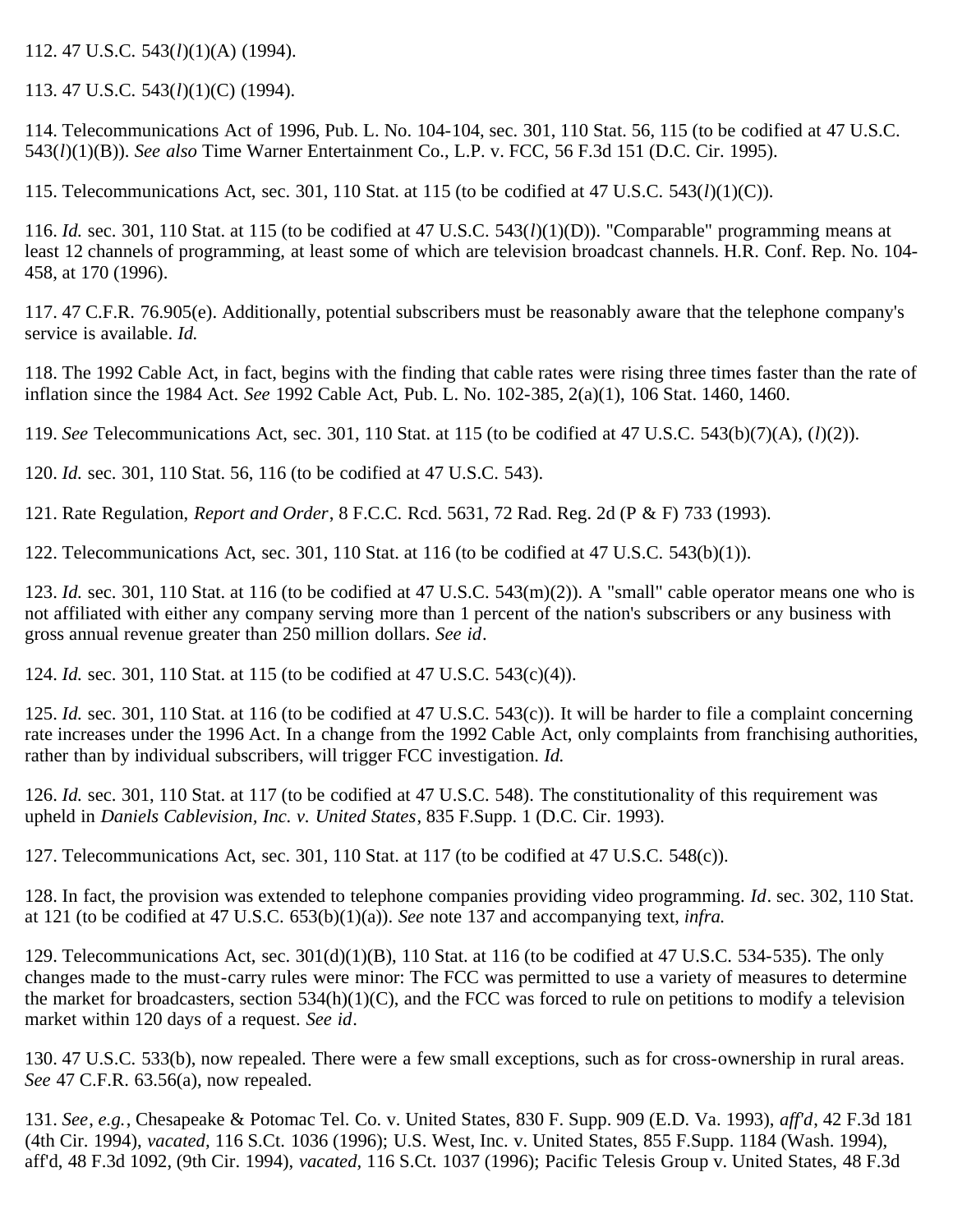<span id="page-23-0"></span>112. 47 U.S.C. 543(*l*)(1)(A) (1994).

<span id="page-23-1"></span>113. 47 U.S.C. 543(*l*)(1)(C) (1994).

<span id="page-23-2"></span>114. Telecommunications Act of 1996, Pub. L. No. 104-104, sec. 301, 110 Stat. 56, 115 (to be codified at 47 U.S.C. 543(*l*)(1)(B)). *See also* Time Warner Entertainment Co., L.P. v. FCC, 56 F.3d 151 (D.C. Cir. 1995).

<span id="page-23-3"></span>115. Telecommunications Act, sec. 301, 110 Stat. at 115 (to be codified at 47 U.S.C. 543(*l*)(1)(C)).

<span id="page-23-4"></span>116. *Id.* sec. 301, 110 Stat. at 115 (to be codified at 47 U.S.C. 543(*l*)(1)(D)). "Comparable" programming means at least 12 channels of programming, at least some of which are television broadcast channels. H.R. Conf. Rep. No. 104- 458, at 170 (1996).

<span id="page-23-5"></span>117. 47 C.F.R. 76.905(e). Additionally, potential subscribers must be reasonably aware that the telephone company's service is available. *Id.*

<span id="page-23-6"></span>118. The 1992 Cable Act, in fact, begins with the finding that cable rates were rising three times faster than the rate of inflation since the 1984 Act. *See* 1992 Cable Act, Pub. L. No. 102-385, 2(a)(1), 106 Stat. 1460, 1460.

<span id="page-23-7"></span>119. *See* Telecommunications Act, sec. 301, 110 Stat. at 115 (to be codified at 47 U.S.C. 543(b)(7)(A), (*l*)(2)).

<span id="page-23-8"></span>120. *Id.* sec. 301, 110 Stat. 56, 116 (to be codified at 47 U.S.C. 543).

<span id="page-23-9"></span>121. Rate Regulation, *Report and Order*, 8 F.C.C. Rcd. 5631, 72 Rad. Reg. 2d (P & F) 733 (1993).

<span id="page-23-10"></span>122. Telecommunications Act, sec. 301, 110 Stat. at 116 (to be codified at 47 U.S.C. 543(b)(1)).

<span id="page-23-11"></span>123. *Id.* sec. 301, 110 Stat. at 116 (to be codified at 47 U.S.C. 543(m)(2)). A "small" cable operator means one who is not affiliated with either any company serving more than 1 percent of the nation's subscribers or any business with gross annual revenue greater than 250 million dollars. *See id*.

<span id="page-23-12"></span>124. *Id.* sec. 301, 110 Stat. at 115 (to be codified at 47 U.S.C. 543(c)(4)).

<span id="page-23-13"></span>125. *Id.* sec. 301, 110 Stat. at 116 (to be codified at 47 U.S.C. 543(c)). It will be harder to file a complaint concerning rate increases under the 1996 Act. In a change from the 1992 Cable Act, only complaints from franchising authorities, rather than by individual subscribers, will trigger FCC investigation. *Id.*

<span id="page-23-14"></span>126. *Id.* sec. 301, 110 Stat. at 117 (to be codified at 47 U.S.C. 548). The constitutionality of this requirement was upheld in *Daniels Cablevision, Inc. v. United States*, 835 F.Supp. 1 (D.C. Cir. 1993).

<span id="page-23-15"></span>127. Telecommunications Act, sec. 301, 110 Stat. at 117 (to be codified at 47 U.S.C. 548(c)).

<span id="page-23-16"></span>128. In fact, the provision was extended to telephone companies providing video programming. *Id*. sec. 302, 110 Stat. at 121 (to be codified at 47 U.S.C. 653(b)(1)(a)). *See* note 137 and accompanying text, *infra.*

<span id="page-23-17"></span>129. Telecommunications Act, sec. 301(d)(1)(B), 110 Stat. at 116 (to be codified at 47 U.S.C. 534-535). The only changes made to the must-carry rules were minor: The FCC was permitted to use a variety of measures to determine the market for broadcasters, section  $534(h)(1)(C)$ , and the FCC was forced to rule on petitions to modify a television market within 120 days of a request. *See id*.

<span id="page-23-18"></span>130. 47 U.S.C. 533(b), now repealed. There were a few small exceptions, such as for cross-ownership in rural areas. *See* 47 C.F.R. 63.56(a), now repealed.

<span id="page-23-19"></span>131. *See*, *e.g.*, Chesapeake & Potomac Tel. Co. v. United States, 830 F. Supp. 909 (E.D. Va. 1993), *aff'd*, 42 F.3d 181 (4th Cir. 1994), *vacated,* 116 S.Ct. 1036 (1996); U.S. West, Inc. v. United States, 855 F.Supp. 1184 (Wash. 1994), aff'd, 48 F.3d 1092, (9th Cir. 1994), *vacated,* 116 S.Ct. 1037 (1996); Pacific Telesis Group v. United States, 48 F.3d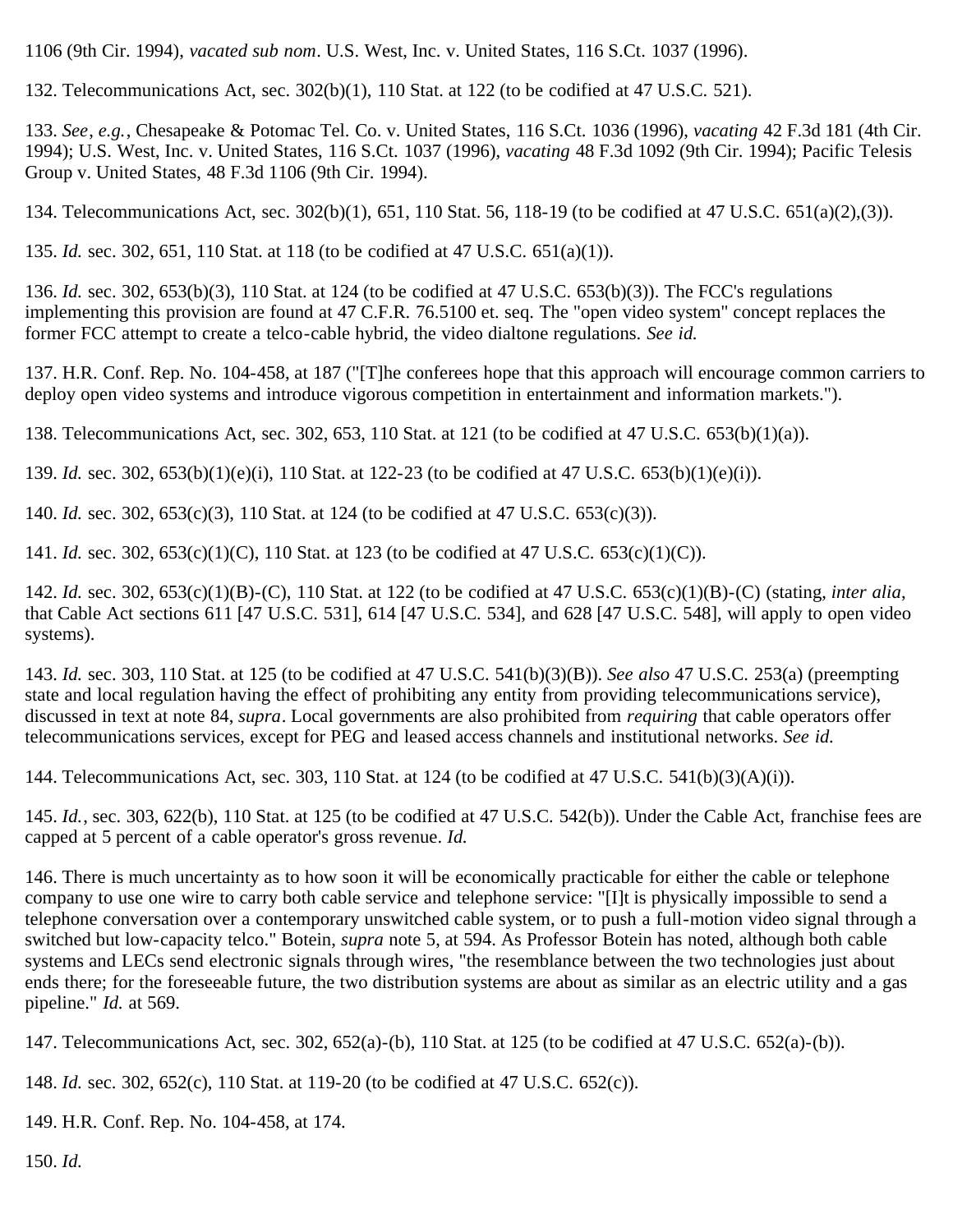1106 (9th Cir. 1994), *vacated sub nom*. U.S. West, Inc. v. United States, 116 S.Ct. 1037 (1996).

<span id="page-24-0"></span>132. Telecommunications Act, sec. 302(b)(1), 110 Stat. at 122 (to be codified at 47 U.S.C. 521).

<span id="page-24-1"></span>133. *See*, *e.g.*, Chesapeake & Potomac Tel. Co. v. United States, 116 S.Ct. 1036 (1996), *vacating* 42 F.3d 181 (4th Cir. 1994); U.S. West, Inc. v. United States, 116 S.Ct. 1037 (1996), *vacating* 48 F.3d 1092 (9th Cir. 1994); Pacific Telesis Group v. United States, 48 F.3d 1106 (9th Cir. 1994).

<span id="page-24-2"></span>134. Telecommunications Act, sec. 302(b)(1), 651, 110 Stat. 56, 118-19 (to be codified at 47 U.S.C. 651(a)(2),(3)).

<span id="page-24-3"></span>135. *Id.* sec. 302, 651, 110 Stat. at 118 (to be codified at 47 U.S.C. 651(a)(1)).

<span id="page-24-4"></span>136. *Id.* sec. 302, 653(b)(3), 110 Stat. at 124 (to be codified at 47 U.S.C. 653(b)(3)). The FCC's regulations implementing this provision are found at 47 C.F.R. 76.5100 et. seq. The "open video system" concept replaces the former FCC attempt to create a telco-cable hybrid, the video dialtone regulations. *See id.*

<span id="page-24-5"></span>137. H.R. Conf. Rep. No. 104-458, at 187 ("[T]he conferees hope that this approach will encourage common carriers to deploy open video systems and introduce vigorous competition in entertainment and information markets.").

<span id="page-24-6"></span>138. Telecommunications Act, sec. 302, 653, 110 Stat. at 121 (to be codified at 47 U.S.C. 653(b)(1)(a)).

<span id="page-24-7"></span>139. *Id.* sec. 302, 653(b)(1)(e)(i), 110 Stat. at 122-23 (to be codified at 47 U.S.C. 653(b)(1)(e)(i)).

<span id="page-24-8"></span>140. *Id.* sec. 302, 653(c)(3), 110 Stat. at 124 (to be codified at 47 U.S.C. 653(c)(3)).

<span id="page-24-9"></span>141. *Id.* sec. 302, 653(c)(1)(C), 110 Stat. at 123 (to be codified at 47 U.S.C. 653(c)(1)(C)).

<span id="page-24-10"></span>142. *Id.* sec. 302, 653(c)(1)(B)-(C), 110 Stat. at 122 (to be codified at 47 U.S.C. 653(c)(1)(B)-(C) (stating, *inter alia*, that Cable Act sections 611 [47 U.S.C. 531], 614 [47 U.S.C. 534], and 628 [47 U.S.C. 548], will apply to open video systems).

<span id="page-24-11"></span>143. *Id.* sec. 303, 110 Stat. at 125 (to be codified at 47 U.S.C. 541(b)(3)(B)). *See also* 47 U.S.C. 253(a) (preempting state and local regulation having the effect of prohibiting any entity from providing telecommunications service), discussed in text at note 84, *supra*. Local governments are also prohibited from *requiring* that cable operators offer telecommunications services, except for PEG and leased access channels and institutional networks. *See id.*

<span id="page-24-12"></span>144. Telecommunications Act, sec. 303, 110 Stat. at 124 (to be codified at 47 U.S.C. 541(b)(3)(A)(i)).

<span id="page-24-13"></span>145. *Id.*, sec. 303, 622(b), 110 Stat. at 125 (to be codified at 47 U.S.C. 542(b)). Under the Cable Act, franchise fees are capped at 5 percent of a cable operator's gross revenue. *Id.*

<span id="page-24-14"></span>146. There is much uncertainty as to how soon it will be economically practicable for either the cable or telephone company to use one wire to carry both cable service and telephone service: "[I]t is physically impossible to send a telephone conversation over a contemporary unswitched cable system, or to push a full-motion video signal through a switched but low-capacity telco." Botein, *supra* note 5, at 594. As Professor Botein has noted, although both cable systems and LECs send electronic signals through wires, "the resemblance between the two technologies just about ends there; for the foreseeable future, the two distribution systems are about as similar as an electric utility and a gas pipeline." *Id.* at 569.

<span id="page-24-15"></span>147. Telecommunications Act, sec. 302, 652(a)-(b), 110 Stat. at 125 (to be codified at 47 U.S.C. 652(a)-(b)).

<span id="page-24-16"></span>148. *Id.* sec. 302, 652(c), 110 Stat. at 119-20 (to be codified at 47 U.S.C. 652(c)).

<span id="page-24-17"></span>149. H.R. Conf. Rep. No. 104-458, at 174.

<span id="page-24-18"></span>150. *Id.*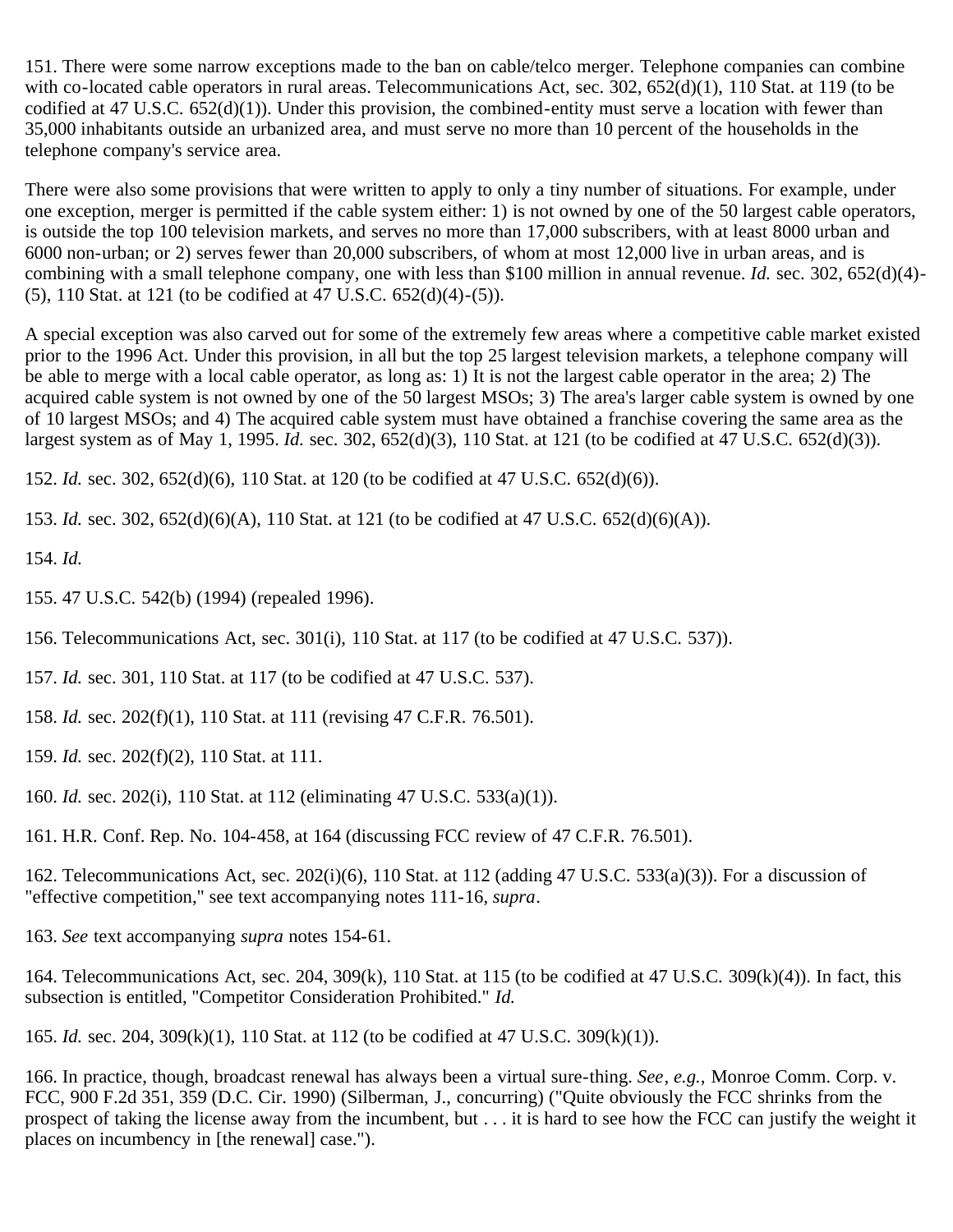<span id="page-25-0"></span>151. There were some narrow exceptions made to the ban on cable/telco merger. Telephone companies can combine with co-located cable operators in rural areas. Telecommunications Act, sec. 302, 652(d)(1), 110 Stat. at 119 (to be codified at 47 U.S.C.  $652(d)(1)$ ). Under this provision, the combined-entity must serve a location with fewer than 35,000 inhabitants outside an urbanized area, and must serve no more than 10 percent of the households in the telephone company's service area.

There were also some provisions that were written to apply to only a tiny number of situations. For example, under one exception, merger is permitted if the cable system either: 1) is not owned by one of the 50 largest cable operators, is outside the top 100 television markets, and serves no more than 17,000 subscribers, with at least 8000 urban and 6000 non-urban; or 2) serves fewer than 20,000 subscribers, of whom at most 12,000 live in urban areas, and is combining with a small telephone company, one with less than \$100 million in annual revenue. *Id.* sec. 302, 652(d)(4)- (5), 110 Stat. at 121 (to be codified at 47 U.S.C. 652(d)(4)-(5)).

A special exception was also carved out for some of the extremely few areas where a competitive cable market existed prior to the 1996 Act. Under this provision, in all but the top 25 largest television markets, a telephone company will be able to merge with a local cable operator, as long as: 1) It is not the largest cable operator in the area; 2) The acquired cable system is not owned by one of the 50 largest MSOs; 3) The area's larger cable system is owned by one of 10 largest MSOs; and 4) The acquired cable system must have obtained a franchise covering the same area as the largest system as of May 1, 1995. *Id.* sec. 302, 652(d)(3), 110 Stat. at 121 (to be codified at 47 U.S.C. 652(d)(3)).

<span id="page-25-1"></span>152. *Id.* sec. 302, 652(d)(6), 110 Stat. at 120 (to be codified at 47 U.S.C. 652(d)(6)).

<span id="page-25-2"></span>153. *Id.* sec. 302, 652(d)(6)(A), 110 Stat. at 121 (to be codified at 47 U.S.C. 652(d)(6)(A)).

<span id="page-25-3"></span>154. *Id.*

<span id="page-25-4"></span>155. 47 U.S.C. 542(b) (1994) (repealed 1996).

<span id="page-25-5"></span>156. Telecommunications Act, sec. 301(i), 110 Stat. at 117 (to be codified at 47 U.S.C. 537)).

<span id="page-25-6"></span>157. *Id.* sec. 301, 110 Stat. at 117 (to be codified at 47 U.S.C. 537).

<span id="page-25-7"></span>158. *Id.* sec. 202(f)(1), 110 Stat. at 111 (revising 47 C.F.R. 76.501).

<span id="page-25-8"></span>159. *Id.* sec. 202(f)(2), 110 Stat. at 111.

<span id="page-25-9"></span>160. *Id.* sec. 202(i), 110 Stat. at 112 (eliminating 47 U.S.C. 533(a)(1)).

<span id="page-25-10"></span>161. H.R. Conf. Rep. No. 104-458, at 164 (discussing FCC review of 47 C.F.R. 76.501).

<span id="page-25-11"></span>162. Telecommunications Act, sec. 202(i)(6), 110 Stat. at 112 (adding 47 U.S.C. 533(a)(3)). For a discussion of "effective competition," see text accompanying notes 111-16, *supra*.

<span id="page-25-12"></span>163. *See* text accompanying *supra* notes 154-61.

<span id="page-25-13"></span>164. Telecommunications Act, sec. 204, 309(k), 110 Stat. at 115 (to be codified at 47 U.S.C. 309(k)(4)). In fact, this subsection is entitled, "Competitor Consideration Prohibited." *Id.*

<span id="page-25-14"></span>165. *Id.* sec. 204, 309(k)(1), 110 Stat. at 112 (to be codified at 47 U.S.C. 309(k)(1)).

<span id="page-25-15"></span>166. In practice, though, broadcast renewal has always been a virtual sure-thing. *See*, *e.g.,* Monroe Comm. Corp. v. FCC, 900 F.2d 351, 359 (D.C. Cir. 1990) (Silberman, J., concurring) ("Quite obviously the FCC shrinks from the prospect of taking the license away from the incumbent, but . . . it is hard to see how the FCC can justify the weight it places on incumbency in [the renewal] case.").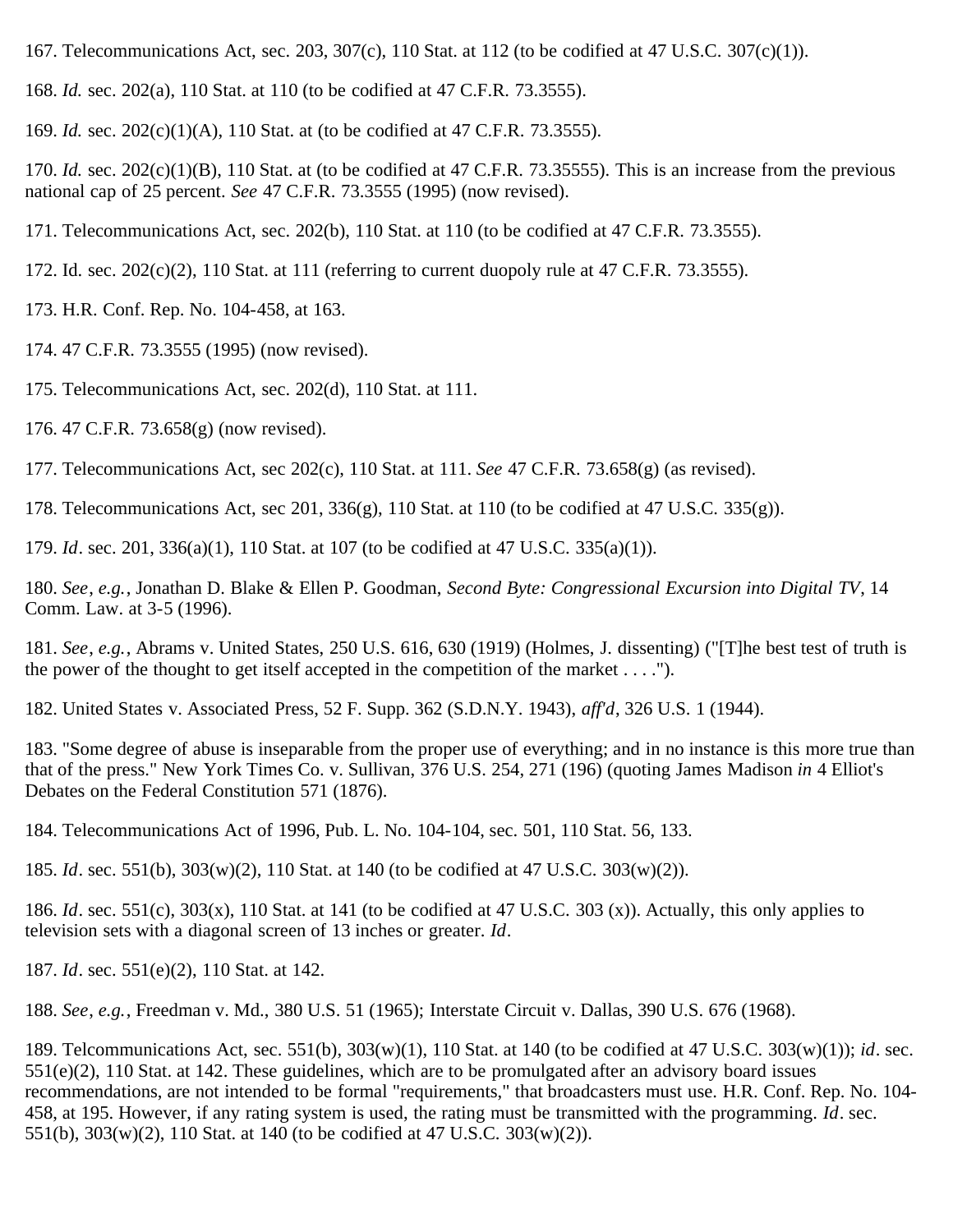- <span id="page-26-0"></span>167. Telecommunications Act, sec. 203, 307(c), 110 Stat. at 112 (to be codified at 47 U.S.C. 307(c)(1)).
- <span id="page-26-1"></span>168. *Id.* sec. 202(a), 110 Stat. at 110 (to be codified at 47 C.F.R. 73.3555).
- <span id="page-26-2"></span>169. *Id.* sec. 202(c)(1)(A), 110 Stat. at (to be codified at 47 C.F.R. 73.3555).

<span id="page-26-3"></span>170. *Id.* sec.  $202(c)(1)(B)$ , 110 Stat. at (to be codified at 47 C.F.R. 73.35555). This is an increase from the previous national cap of 25 percent. *See* 47 C.F.R. 73.3555 (1995) (now revised).

<span id="page-26-4"></span>171. Telecommunications Act, sec. 202(b), 110 Stat. at 110 (to be codified at 47 C.F.R. 73.3555).

- <span id="page-26-5"></span>172. Id. sec.  $202(c)(2)$ , 110 Stat. at 111 (referring to current duopoly rule at 47 C.F.R. 73.3555).
- <span id="page-26-6"></span>173. H.R. Conf. Rep. No. 104-458, at 163.
- <span id="page-26-7"></span>174. 47 C.F.R. 73.3555 (1995) (now revised).
- <span id="page-26-8"></span>175. Telecommunications Act, sec. 202(d), 110 Stat. at 111.
- <span id="page-26-9"></span>176. 47 C.F.R. 73.658(g) (now revised).
- <span id="page-26-10"></span>177. Telecommunications Act, sec 202(c), 110 Stat. at 111. *See* 47 C.F.R. 73.658(g) (as revised).
- <span id="page-26-11"></span>178. Telecommunications Act, sec 201, 336(g), 110 Stat. at 110 (to be codified at 47 U.S.C. 335(g)).
- <span id="page-26-12"></span>179. *Id*. sec. 201, 336(a)(1), 110 Stat. at 107 (to be codified at 47 U.S.C. 335(a)(1)).

<span id="page-26-13"></span>180. *See*, *e.g.*, Jonathan D. Blake & Ellen P. Goodman, *Second Byte: Congressional Excursion into Digital TV*, 14 Comm. Law. at 3-5 (1996).

<span id="page-26-14"></span>181. *See*, *e.g.*, Abrams v. United States, 250 U.S. 616, 630 (1919) (Holmes, J. dissenting) ("[T]he best test of truth is the power of the thought to get itself accepted in the competition of the market  $\dots$ .").

<span id="page-26-15"></span>182. United States v. Associated Press, 52 F. Supp. 362 (S.D.N.Y. 1943), *aff'd*, 326 U.S. 1 (1944).

<span id="page-26-16"></span>183. "Some degree of abuse is inseparable from the proper use of everything; and in no instance is this more true than that of the press." New York Times Co. v. Sullivan, 376 U.S. 254, 271 (196) (quoting James Madison *in* 4 Elliot's Debates on the Federal Constitution 571 (1876).

<span id="page-26-17"></span>184. Telecommunications Act of 1996, Pub. L. No. 104-104, sec. 501, 110 Stat. 56, 133.

<span id="page-26-18"></span>185. *Id*. sec. 551(b), 303(w)(2), 110 Stat. at 140 (to be codified at 47 U.S.C. 303(w)(2)).

<span id="page-26-19"></span>186. *Id*. sec. 551(c), 303(x), 110 Stat. at 141 (to be codified at 47 U.S.C. 303 (x)). Actually, this only applies to television sets with a diagonal screen of 13 inches or greater. *Id*.

<span id="page-26-20"></span>187. *Id*. sec. 551(e)(2), 110 Stat. at 142.

<span id="page-26-21"></span>188. *See*, *e.g.*, Freedman v. Md., 380 U.S. 51 (1965); Interstate Circuit v. Dallas, 390 U.S. 676 (1968).

<span id="page-26-22"></span>189. Telcommunications Act, sec. 551(b), 303(w)(1), 110 Stat. at 140 (to be codified at 47 U.S.C. 303(w)(1)); *id*. sec.  $551(e)(2)$ , 110 Stat. at 142. These guidelines, which are to be promulgated after an advisory board issues recommendations, are not intended to be formal "requirements," that broadcasters must use. H.R. Conf. Rep. No. 104- 458, at 195. However, if any rating system is used, the rating must be transmitted with the programming. *Id*. sec. 551(b), 303(w)(2), 110 Stat. at 140 (to be codified at 47 U.S.C. 303(w)(2)).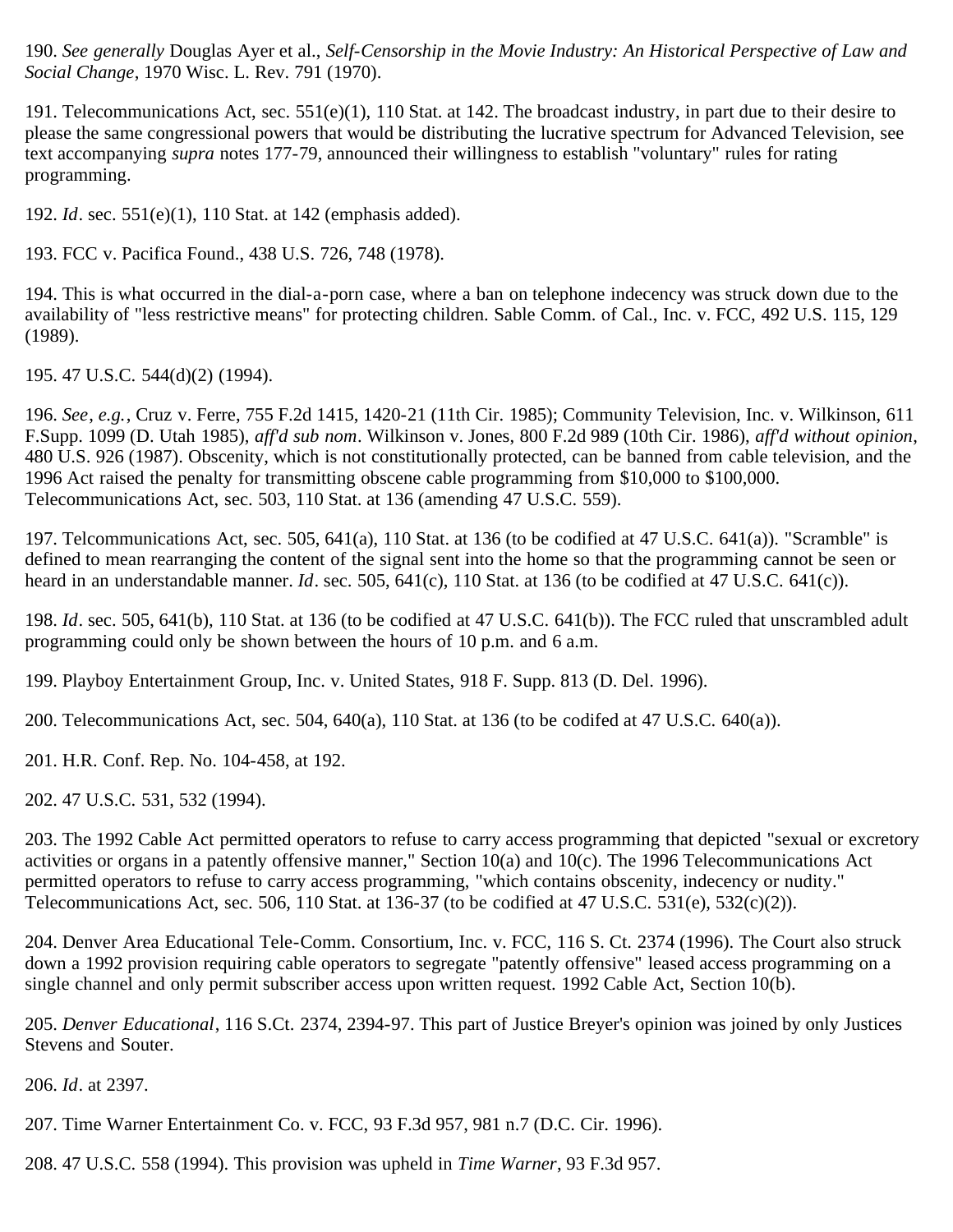<span id="page-27-0"></span>190. *See generally* Douglas Ayer et al., *Self-Censorship in the Movie Industry: An Historical Perspective of Law and Social Change*, 1970 Wisc. L. Rev. 791 (1970).

<span id="page-27-1"></span>191. Telecommunications Act, sec. 551(e)(1), 110 Stat. at 142. The broadcast industry, in part due to their desire to please the same congressional powers that would be distributing the lucrative spectrum for Advanced Television, see text accompanying *supra* notes 177-79, announced their willingness to establish "voluntary" rules for rating programming.

<span id="page-27-2"></span>192. *Id*. sec. 551(e)(1), 110 Stat. at 142 (emphasis added).

<span id="page-27-3"></span>193. FCC v. Pacifica Found., 438 U.S. 726, 748 (1978).

<span id="page-27-4"></span>194. This is what occurred in the dial-a-porn case, where a ban on telephone indecency was struck down due to the availability of "less restrictive means" for protecting children. Sable Comm. of Cal., Inc. v. FCC, 492 U.S. 115, 129 (1989).

<span id="page-27-5"></span>195. 47 U.S.C. 544(d)(2) (1994).

<span id="page-27-6"></span>196. *See*, *e.g.*, Cruz v. Ferre, 755 F.2d 1415, 1420-21 (11th Cir. 1985); Community Television, Inc. v. Wilkinson, 611 F.Supp. 1099 (D. Utah 1985), *aff'd sub nom*. Wilkinson v. Jones, 800 F.2d 989 (10th Cir. 1986), *aff'd without opinion*, 480 U.S. 926 (1987). Obscenity, which is not constitutionally protected, can be banned from cable television, and the 1996 Act raised the penalty for transmitting obscene cable programming from \$10,000 to \$100,000. Telecommunications Act, sec. 503, 110 Stat. at 136 (amending 47 U.S.C. 559).

<span id="page-27-7"></span>197. Telcommunications Act, sec. 505, 641(a), 110 Stat. at 136 (to be codified at 47 U.S.C. 641(a)). "Scramble" is defined to mean rearranging the content of the signal sent into the home so that the programming cannot be seen or heard in an understandable manner. *Id*. sec. 505, 641(c), 110 Stat. at 136 (to be codified at 47 U.S.C. 641(c)).

<span id="page-27-8"></span>198. *Id*. sec. 505, 641(b), 110 Stat. at 136 (to be codified at 47 U.S.C. 641(b)). The FCC ruled that unscrambled adult programming could only be shown between the hours of 10 p.m. and 6 a.m.

<span id="page-27-9"></span>199. Playboy Entertainment Group, Inc. v. United States, 918 F. Supp. 813 (D. Del. 1996).

<span id="page-27-10"></span>200. Telecommunications Act, sec. 504, 640(a), 110 Stat. at 136 (to be codifed at 47 U.S.C. 640(a)).

<span id="page-27-11"></span>201. H.R. Conf. Rep. No. 104-458, at 192.

<span id="page-27-12"></span>202. 47 U.S.C. 531, 532 (1994).

<span id="page-27-13"></span>203. The 1992 Cable Act permitted operators to refuse to carry access programming that depicted "sexual or excretory activities or organs in a patently offensive manner," Section 10(a) and 10(c). The 1996 Telecommunications Act permitted operators to refuse to carry access programming, "which contains obscenity, indecency or nudity." Telecommunications Act, sec. 506, 110 Stat. at 136-37 (to be codified at 47 U.S.C. 531(e), 532(c)(2)).

<span id="page-27-14"></span>204. Denver Area Educational Tele-Comm. Consortium, Inc. v. FCC, 116 S. Ct. 2374 (1996). The Court also struck down a 1992 provision requiring cable operators to segregate "patently offensive" leased access programming on a single channel and only permit subscriber access upon written request. 1992 Cable Act, Section 10(b).

<span id="page-27-15"></span>205. *Denver Educational*, 116 S.Ct. 2374, 2394-97. This part of Justice Breyer's opinion was joined by only Justices Stevens and Souter.

<span id="page-27-16"></span>206. *Id*. at 2397.

<span id="page-27-17"></span>207. Time Warner Entertainment Co. v. FCC, 93 F.3d 957, 981 n.7 (D.C. Cir. 1996).

<span id="page-27-18"></span>208. 47 U.S.C. 558 (1994). This provision was upheld in *Time Warner*, 93 F.3d 957.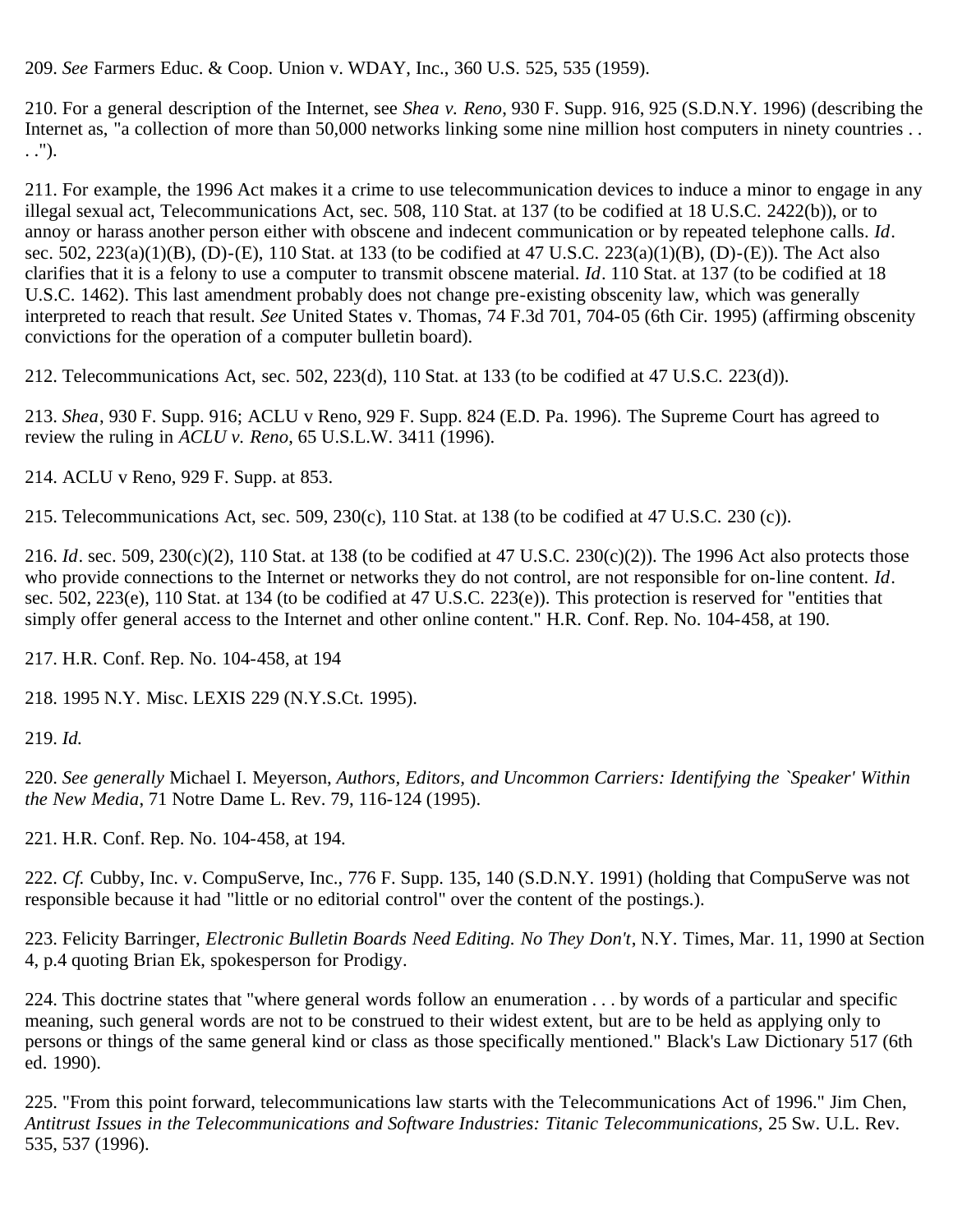<span id="page-28-0"></span>209. *See* Farmers Educ. & Coop. Union v. WDAY, Inc., 360 U.S. 525, 535 (1959).

<span id="page-28-1"></span>210. For a general description of the Internet, see *Shea v. Reno*, 930 F. Supp. 916, 925 (S.D.N.Y. 1996) (describing the Internet as, "a collection of more than 50,000 networks linking some nine million host computers in ninety countries ... . .").

<span id="page-28-2"></span>211. For example, the 1996 Act makes it a crime to use telecommunication devices to induce a minor to engage in any illegal sexual act, Telecommunications Act, sec. 508, 110 Stat. at 137 (to be codified at 18 U.S.C. 2422(b)), or to annoy or harass another person either with obscene and indecent communication or by repeated telephone calls. *Id*. sec. 502, 223(a)(1)(B), (D)-(E), 110 Stat. at 133 (to be codified at 47 U.S.C. 223(a)(1)(B), (D)-(E)). The Act also clarifies that it is a felony to use a computer to transmit obscene material. *Id*. 110 Stat. at 137 (to be codified at 18 U.S.C. 1462). This last amendment probably does not change pre-existing obscenity law, which was generally interpreted to reach that result. *See* United States v. Thomas, 74 F.3d 701, 704-05 (6th Cir. 1995) (affirming obscenity convictions for the operation of a computer bulletin board).

<span id="page-28-3"></span>212. Telecommunications Act, sec. 502, 223(d), 110 Stat. at 133 (to be codified at 47 U.S.C. 223(d)).

<span id="page-28-4"></span>213. *Shea*, 930 F. Supp. 916; ACLU v Reno, 929 F. Supp. 824 (E.D. Pa. 1996). The Supreme Court has agreed to review the ruling in *ACLU v. Reno*, 65 U.S.L.W. 3411 (1996).

<span id="page-28-5"></span>214. ACLU v Reno, 929 F. Supp. at 853.

<span id="page-28-6"></span>215. Telecommunications Act, sec. 509, 230(c), 110 Stat. at 138 (to be codified at 47 U.S.C. 230 (c)).

<span id="page-28-7"></span>216. *Id*. sec. 509, 230(c)(2), 110 Stat. at 138 (to be codified at 47 U.S.C. 230(c)(2)). The 1996 Act also protects those who provide connections to the Internet or networks they do not control, are not responsible for on-line content. *Id*. sec. 502, 223(e), 110 Stat. at 134 (to be codified at 47 U.S.C. 223(e)). This protection is reserved for "entities that simply offer general access to the Internet and other online content." H.R. Conf. Rep. No. 104-458, at 190.

<span id="page-28-8"></span>217. H.R. Conf. Rep. No. 104-458, at 194

<span id="page-28-9"></span>218. 1995 N.Y. Misc. LEXIS 229 (N.Y.S.Ct. 1995).

<span id="page-28-10"></span>219. *Id.*

<span id="page-28-11"></span>220. *See generally* Michael I. Meyerson, *Authors, Editors, and Uncommon Carriers: Identifying the `Speaker' Within the New Media*, 71 Notre Dame L. Rev. 79, 116-124 (1995).

<span id="page-28-12"></span>221. H.R. Conf. Rep. No. 104-458, at 194.

<span id="page-28-13"></span>222. *Cf.* Cubby, Inc. v. CompuServe, Inc., 776 F. Supp. 135, 140 (S.D.N.Y. 1991) (holding that CompuServe was not responsible because it had "little or no editorial control" over the content of the postings.).

<span id="page-28-14"></span>223. Felicity Barringer, *Electronic Bulletin Boards Need Editing. No They Don't*, N.Y. Times, Mar. 11, 1990 at Section 4, p.4 quoting Brian Ek, spokesperson for Prodigy.

<span id="page-28-15"></span>224. This doctrine states that "where general words follow an enumeration . . . by words of a particular and specific meaning, such general words are not to be construed to their widest extent, but are to be held as applying only to persons or things of the same general kind or class as those specifically mentioned." Black's Law Dictionary 517 (6th ed. 1990).

<span id="page-28-16"></span>225. "From this point forward, telecommunications law starts with the Telecommunications Act of 1996." Jim Chen, *Antitrust Issues in the Telecommunications and Software Industries: Titanic Telecommunications,* 25 Sw. U.L. Rev. 535, 537 (1996).